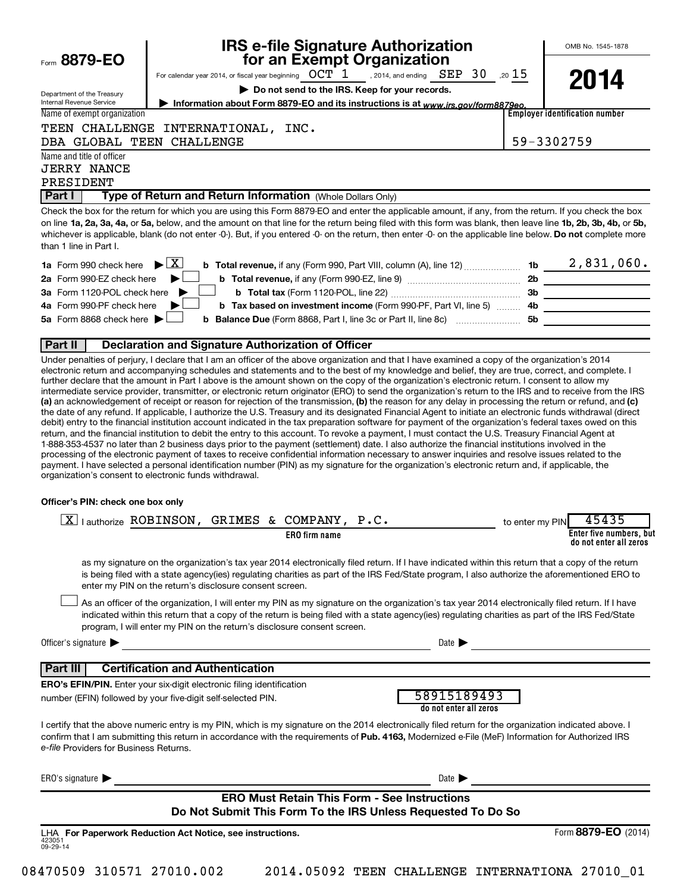| Form 8879-EO                                                 | <b>IRS e-file Signature Authorization</b><br>for an Exempt Organization                                                                                                                                                                                                                                                                                                                                                                                                               |                | OMB No. 1545-1878                     |
|--------------------------------------------------------------|---------------------------------------------------------------------------------------------------------------------------------------------------------------------------------------------------------------------------------------------------------------------------------------------------------------------------------------------------------------------------------------------------------------------------------------------------------------------------------------|----------------|---------------------------------------|
|                                                              | For calendar year 2014, or fiscal year beginning $\rm ~OCT~$ $1$ $\rm ~$ , 2014, and ending $\rm ~SEP~$ $30$                                                                                                                                                                                                                                                                                                                                                                          | ,20, 15        | 2014                                  |
| Department of the Treasury                                   | Do not send to the IRS. Keep for your records.                                                                                                                                                                                                                                                                                                                                                                                                                                        |                |                                       |
| Internal Revenue Service                                     | Information about Form 8879-EO and its instructions is at www.irs.gov/form8879eo.                                                                                                                                                                                                                                                                                                                                                                                                     |                |                                       |
| Name of exempt organization                                  |                                                                                                                                                                                                                                                                                                                                                                                                                                                                                       |                | <b>Employer identification number</b> |
| <b>TEEN CHALLENGE</b>                                        | INTERNATIONAL, INC.                                                                                                                                                                                                                                                                                                                                                                                                                                                                   |                |                                       |
| DBA GLOBAL<br>TEEN                                           | <b>CHALLENGE</b>                                                                                                                                                                                                                                                                                                                                                                                                                                                                      |                | 59-3302759                            |
| Name and title of officer<br><b>JERRY NANCE</b><br>PRESIDENT |                                                                                                                                                                                                                                                                                                                                                                                                                                                                                       |                |                                       |
| <b>Part I</b>                                                | Type of Return and Return Information (Whole Dollars Only)                                                                                                                                                                                                                                                                                                                                                                                                                            |                |                                       |
| than 1 line in Part I.                                       | Check the box for the return for which you are using this Form 8879-EO and enter the applicable amount, if any, from the return. If you check the box<br>on line 1a, 2a, 3a, 4a, or 5a, below, and the amount on that line for the return being filed with this form was blank, then leave line 1b, 2b, 3b, 4b, or 5b,<br>whichever is applicable, blank (do not enter -0-). But, if you entered -0- on the return, then enter -0- on the applicable line below. Do not complete more |                |                                       |
| 1a Form 990 check here                                       | $ \bullet $ X                                                                                                                                                                                                                                                                                                                                                                                                                                                                         |                | $1b$ 2,831,060.                       |
| 2a Form 990-EZ check here                                    |                                                                                                                                                                                                                                                                                                                                                                                                                                                                                       | 2b             |                                       |
| 3a Form 1120-POL check here                                  |                                                                                                                                                                                                                                                                                                                                                                                                                                                                                       | 3b             |                                       |
| 4a Form 990-PF check here                                    | b Tax based on investment income (Form 990-PF, Part VI, line 5)                                                                                                                                                                                                                                                                                                                                                                                                                       | 4b             |                                       |
| 5a Form 8868 check here                                      | <b>Balance Due</b> (Form 8868, Part I, line 3c or Part II, line 8c) <i>manuaronoming</i><br>b                                                                                                                                                                                                                                                                                                                                                                                         | 5 <sub>b</sub> |                                       |
| Part II                                                      | <b>Declaration and Signature Authorization of Officer</b>                                                                                                                                                                                                                                                                                                                                                                                                                             |                |                                       |

(a) an acknowledgement of receipt or reason for rejection of the transmission, (b) the reason for any delay in processing the return or refund, and (c) Under penalties of perjury, I declare that I am an officer of the above organization and that I have examined a copy of the organization's 2014 electronic return and accompanying schedules and statements and to the best of my knowledge and belief, they are true, correct, and complete. I further declare that the amount in Part I above is the amount shown on the copy of the organization's electronic return. I consent to allow my intermediate service provider, transmitter, or electronic return originator (ERO) to send the organization's return to the IRS and to receive from the IRS the date of any refund. If applicable, I authorize the U.S. Treasury and its designated Financial Agent to initiate an electronic funds withdrawal (direct debit) entry to the financial institution account indicated in the tax preparation software for payment of the organization's federal taxes owed on this return, and the financial institution to debit the entry to this account. To revoke a payment, I must contact the U.S. Treasury Financial Agent at 1-888-353-4537 no later than 2 business days prior to the payment (settlement) date. I also authorize the financial institutions involved in the processing of the electronic payment of taxes to receive confidential information necessary to answer inquiries and resolve issues related to the payment. I have selected a personal identification number (PIN) as my signature for the organization's electronic return and, if applicable, the organization's consent to electronic funds withdrawal.

#### **Officer's PIN: check one box only**

| $\overline{X}$   authorize ROBINSON, GRIMES & COMPANY, P.C.                                                                                                                                                                                                                                                                                                                      |                                                     | 45435<br>to enter my PIN                          |  |
|----------------------------------------------------------------------------------------------------------------------------------------------------------------------------------------------------------------------------------------------------------------------------------------------------------------------------------------------------------------------------------|-----------------------------------------------------|---------------------------------------------------|--|
| <b>ERO</b> firm name                                                                                                                                                                                                                                                                                                                                                             |                                                     | Enter five numbers, but<br>do not enter all zeros |  |
| as my signature on the organization's tax year 2014 electronically filed return. If I have indicated within this return that a copy of the return<br>is being filed with a state agency(ies) regulating charities as part of the IRS Fed/State program, I also authorize the aforementioned ERO to<br>enter my PIN on the return's disclosure consent screen.                    |                                                     |                                                   |  |
| As an officer of the organization, I will enter my PIN as my signature on the organization's tax year 2014 electronically filed return. If I have<br>indicated within this return that a copy of the return is being filed with a state agency(ies) regulating charities as part of the IRS Fed/State<br>program, I will enter my PIN on the return's disclosure consent screen. |                                                     |                                                   |  |
| Officer's signature $\blacktriangleright$<br>Date $\blacktriangleright$                                                                                                                                                                                                                                                                                                          |                                                     |                                                   |  |
| <b>Certification and Authentication</b><br>Part III                                                                                                                                                                                                                                                                                                                              |                                                     |                                                   |  |
| <b>ERO's EFIN/PIN.</b> Enter your six-digit electronic filing identification                                                                                                                                                                                                                                                                                                     |                                                     |                                                   |  |
| 58915189493<br>number (EFIN) followed by your five-digit self-selected PIN.<br>do not enter all zeros                                                                                                                                                                                                                                                                            |                                                     |                                                   |  |
| I certify that the above numeric entry is my PIN, which is my signature on the 2014 electronically filed return for the organization indicated above. I<br>confirm that I am submitting this return in accordance with the requirements of Pub. 4163, Modernized e-File (MeF) Information for Authorized IRS<br>e-file Providers for Business Returns.                           |                                                     |                                                   |  |
| ERO's signature $\blacktriangleright$                                                                                                                                                                                                                                                                                                                                            | Date $\blacktriangleright$                          |                                                   |  |
| Do Not Submit This Form To the IRS Unless Requested To Do So                                                                                                                                                                                                                                                                                                                     | <b>ERO Must Retain This Form - See Instructions</b> |                                                   |  |
| LHA For Paperwork Reduction Act Notice, see instructions.<br>423051<br>09-29-14                                                                                                                                                                                                                                                                                                  |                                                     | Form 8879-EO (2014)                               |  |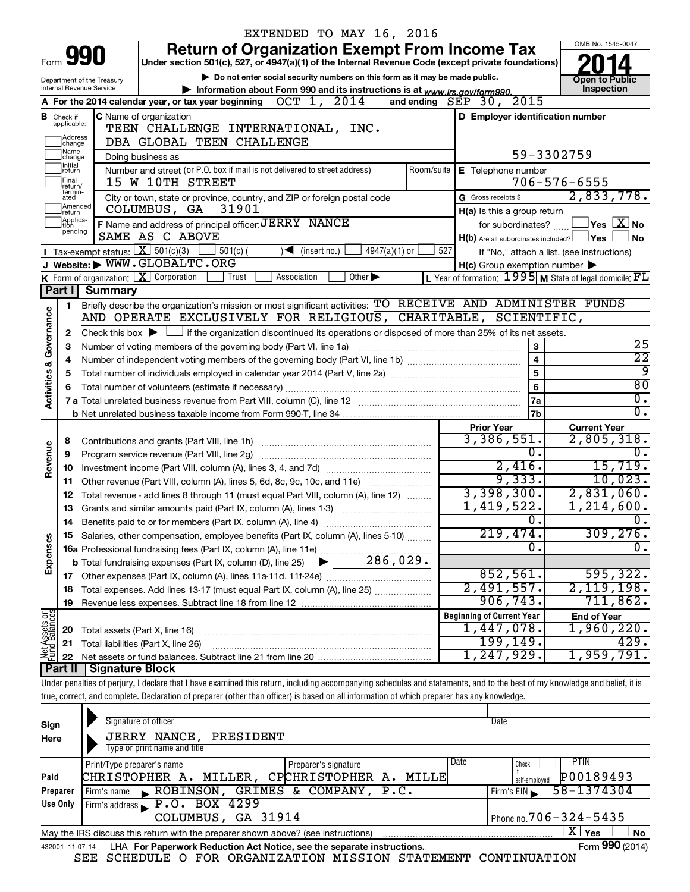|                         |                                                                                                                |                                 | EXTENDED TO MAY 16, 2016                                                                                                                                                   |            |                                                                       |                                                             |
|-------------------------|----------------------------------------------------------------------------------------------------------------|---------------------------------|----------------------------------------------------------------------------------------------------------------------------------------------------------------------------|------------|-----------------------------------------------------------------------|-------------------------------------------------------------|
|                         |                                                                                                                |                                 | <b>Return of Organization Exempt From Income Tax</b>                                                                                                                       |            |                                                                       | OMB No. 1545-0047                                           |
|                         | Form 991<br>Under section 501(c), 527, or 4947(a)(1) of the Internal Revenue Code (except private foundations) |                                 |                                                                                                                                                                            |            |                                                                       |                                                             |
|                         |                                                                                                                | Department of the Treasury      | Do not enter social security numbers on this form as it may be made public.                                                                                                |            |                                                                       | <b>Open to Public</b>                                       |
|                         |                                                                                                                | <b>Internal Revenue Service</b> | Information about Form 990 and its instructions is at www.irs.gov/form990.                                                                                                 |            |                                                                       | Inspection                                                  |
|                         |                                                                                                                |                                 | A For the 2014 calendar year, or tax year beginning $\rm\,~OCT~$ $\rm\,1$ , $\rm\,2014$                                                                                    |            | and ending $SEP$ 30, 2015                                             |                                                             |
| в                       | Check if<br>applicable:                                                                                        |                                 | C Name of organization                                                                                                                                                     |            | D Employer identification number                                      |                                                             |
|                         | Address                                                                                                        |                                 | TEEN CHALLENGE INTERNATIONAL, INC.                                                                                                                                         |            |                                                                       |                                                             |
|                         | change<br>Name                                                                                                 |                                 | DBA GLOBAL TEEN CHALLENGE                                                                                                                                                  |            |                                                                       |                                                             |
|                         | change<br>Initial                                                                                              |                                 | Doing business as                                                                                                                                                          |            |                                                                       | 59-3302759                                                  |
|                         | ∣return<br>Final                                                                                               |                                 | Number and street (or P.O. box if mail is not delivered to street address)                                                                                                 | Room/suite | E Telephone number                                                    |                                                             |
|                         | return/<br>termin-                                                                                             |                                 | 15 W 10TH STREET                                                                                                                                                           |            |                                                                       | $706 - 576 - 6555$                                          |
|                         | ated<br>Amended                                                                                                |                                 | City or town, state or province, country, and ZIP or foreign postal code<br>31901                                                                                          |            | G Gross receipts \$                                                   | 2,833,778.                                                  |
|                         | Ireturn<br>Applica-<br>Ition                                                                                   |                                 | COLUMBUS, GA<br>F Name and address of principal officer: JERRY NANCE                                                                                                       |            | H(a) Is this a group return                                           | $\Box$ Yes $[\overline{\mathrm{X}}]$ No                     |
|                         | pending                                                                                                        |                                 | SAME AS C ABOVE                                                                                                                                                            |            | for subordinates?<br>$H(b)$ Are all subordinates included? $\Box$ Yes | ⊿ No                                                        |
|                         |                                                                                                                |                                 | <b>I</b> Tax-exempt status: $X \overline{S}$ 501(c)(3)<br>$501(c)$ (<br>$\sqrt{\frac{1}{1}}$ (insert no.)<br>$4947(a)(1)$ or                                               | 527        |                                                                       | If "No," attach a list. (see instructions)                  |
|                         |                                                                                                                |                                 | J Website: WWW.GLOBALTC.ORG                                                                                                                                                |            | $H(c)$ Group exemption number $\blacktriangleright$                   |                                                             |
|                         |                                                                                                                |                                 | <b>K</b> Form of organization: $\boxed{\mathbf{X}}$ Corporation<br>Other $\blacktriangleright$<br>Trust<br>Association                                                     |            |                                                                       | L Year of formation: $1995$ M State of legal domicile: $FL$ |
|                         | Part II                                                                                                        | Summary                         |                                                                                                                                                                            |            |                                                                       |                                                             |
|                         | 1.                                                                                                             |                                 | Briefly describe the organization's mission or most significant activities: TO RECEIVE AND ADMINISTER FUNDS                                                                |            |                                                                       |                                                             |
|                         |                                                                                                                |                                 | AND OPERATE EXCLUSIVELY FOR RELIGIOUS, CHARITABLE, SCIENTIFIC,                                                                                                             |            |                                                                       |                                                             |
| Governance              | 2                                                                                                              |                                 | Check this box $\blacktriangleright$ $\Box$ if the organization discontinued its operations or disposed of more than 25% of its net assets.                                |            |                                                                       |                                                             |
|                         | З                                                                                                              |                                 | Number of voting members of the governing body (Part VI, line 1a)                                                                                                          |            | 3                                                                     | 25                                                          |
|                         | 4                                                                                                              |                                 |                                                                                                                                                                            |            | $\overline{\mathbf{4}}$                                               | $\overline{22}$                                             |
|                         | 5                                                                                                              |                                 |                                                                                                                                                                            |            | 5                                                                     | ब्र                                                         |
|                         |                                                                                                                |                                 |                                                                                                                                                                            |            | 6                                                                     | 80                                                          |
| <b>Activities &amp;</b> |                                                                                                                |                                 |                                                                                                                                                                            |            | 7a                                                                    | $\overline{0}$ .                                            |
|                         |                                                                                                                |                                 |                                                                                                                                                                            |            | 7b                                                                    | $\overline{0}$ .                                            |
|                         |                                                                                                                |                                 |                                                                                                                                                                            |            | <b>Prior Year</b>                                                     | <b>Current Year</b>                                         |
|                         | 8                                                                                                              |                                 |                                                                                                                                                                            |            | 3,386,551.                                                            | 2,805,318.                                                  |
| Revenue                 | 9                                                                                                              |                                 | Program service revenue (Part VIII, line 2g)                                                                                                                               |            | 0.                                                                    |                                                             |
|                         | 10                                                                                                             |                                 |                                                                                                                                                                            |            | 2,416.                                                                | 15,719.                                                     |
|                         | 11                                                                                                             |                                 | Other revenue (Part VIII, column (A), lines 5, 6d, 8c, 9c, 10c, and 11e)                                                                                                   |            | 9,333.                                                                | 10,023.                                                     |
|                         | 12                                                                                                             |                                 | Total revenue - add lines 8 through 11 (must equal Part VIII, column (A), line 12)                                                                                         |            | 3,398,300.                                                            | 2,831,060.                                                  |
|                         | 13                                                                                                             |                                 | Grants and similar amounts paid (Part IX, column (A), lines 1-3)                                                                                                           |            | 1,419,522.<br>$\overline{0}$ .                                        | 1, 214, 600.<br>0.                                          |
|                         | 14                                                                                                             |                                 |                                                                                                                                                                            |            | 219,474.                                                              | 309, 276.                                                   |
|                         |                                                                                                                |                                 | 15 Salaries, other compensation, employee benefits (Part IX, column (A), lines 5-10)                                                                                       |            | О.                                                                    | $0$ .                                                       |
| Expenses                |                                                                                                                |                                 |                                                                                                                                                                            |            |                                                                       |                                                             |
|                         |                                                                                                                |                                 |                                                                                                                                                                            |            | 852,561.                                                              | 595, 322.                                                   |
|                         | 18                                                                                                             |                                 | Total expenses. Add lines 13-17 (must equal Part IX, column (A), line 25)                                                                                                  |            | 2,491,557.                                                            | 2,119,198.                                                  |
|                         | 19                                                                                                             |                                 |                                                                                                                                                                            |            | 906, 743.                                                             | 711,862.                                                    |
|                         |                                                                                                                |                                 |                                                                                                                                                                            |            | <b>Beginning of Current Year</b>                                      | <b>End of Year</b>                                          |
|                         | 20                                                                                                             | Total assets (Part X, line 16)  |                                                                                                                                                                            |            | $1,447,078$ .                                                         | 1,960,220.                                                  |
|                         | 21                                                                                                             |                                 | Total liabilities (Part X, line 26)                                                                                                                                        |            | 199,149 <b>.</b>                                                      | 429.                                                        |
| Net Assets or           | 22                                                                                                             |                                 |                                                                                                                                                                            |            | 1,247,929.                                                            | 1,959,791.                                                  |
|                         | Part II                                                                                                        | <b>Signature Block</b>          |                                                                                                                                                                            |            |                                                                       |                                                             |
|                         |                                                                                                                |                                 | Under penalties of perjury, I declare that I have examined this return, including accompanying schedules and statements, and to the best of my knowledge and belief, it is |            |                                                                       |                                                             |
|                         |                                                                                                                |                                 | true, correct, and complete. Declaration of preparer (other than officer) is based on all information of which preparer has any knowledge.                                 |            |                                                                       |                                                             |
|                         |                                                                                                                |                                 |                                                                                                                                                                            |            |                                                                       |                                                             |
| Sign                    |                                                                                                                |                                 | Signature of officer                                                                                                                                                       |            | Date                                                                  |                                                             |
| Here                    |                                                                                                                |                                 | <b>JERRY NANCE, PRESIDENT</b>                                                                                                                                              |            |                                                                       |                                                             |
|                         |                                                                                                                |                                 | Type or print name and title                                                                                                                                               |            |                                                                       |                                                             |

|          | Type or print name and title                                                      |                              |                                  |
|----------|-----------------------------------------------------------------------------------|------------------------------|----------------------------------|
|          | Print/Type preparer's name                                                        | Date<br>Preparer's signature | PTIN<br>Check                    |
| Paid     | CHRISTOPHER A. MILLER, CPCHRISTOPHER A. MILLE                                     |                              | P00189493<br>self-employed       |
| Preparer | Firm's name ROBINSON, GRIMES & COMPANY, P.C.                                      |                              | $I$ Firm's EIN $\sim$ 58-1374304 |
| Use Only | Firm's address P.O. BOX 4299                                                      |                              |                                  |
|          | COLUMBUS, GA 31914                                                                |                              | Phone no. $706 - 324 - 5435$     |
|          | May the IRS discuss this return with the preparer shown above? (see instructions) |                              | x<br>Yes<br><b>No</b>            |

| 432001 11-07-14 LHA For Paperwork Reduction Act Notice, see the separate instructions. | Form 990 (2014) |
|----------------------------------------------------------------------------------------|-----------------|

SEE SCHEDULE O FOR ORGANIZATION MISSION STATEMENT CONTINUATION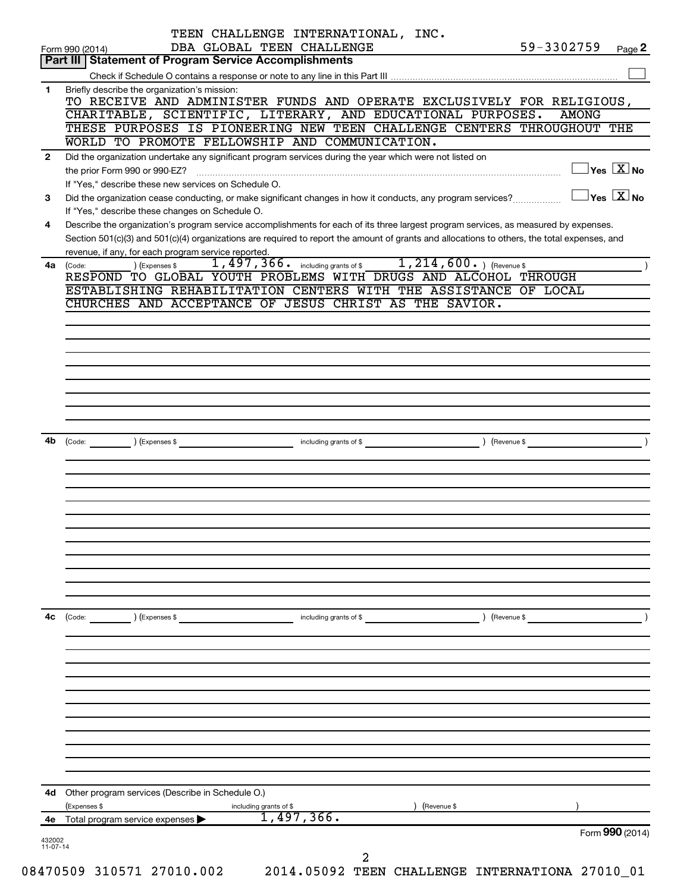| Part III   Statement of Program Service Accomplishments<br>Briefly describe the organization's mission:<br>TO RECEIVE AND ADMINISTER FUNDS AND OPERATE EXCLUSIVELY FOR RELIGIOUS,<br>CHARITABLE, SCIENTIFIC, LITERARY, AND EDUCATIONAL PURPOSES.<br>THESE PURPOSES IS PIONEERING NEW TEEN CHALLENGE CENTERS THROUGHOUT THE<br>WORLD TO PROMOTE FELLOWSHIP AND COMMUNICATION.<br>Did the organization undertake any significant program services during the year which were not listed on<br>the prior Form 990 or 990-EZ?<br>If "Yes," describe these new services on Schedule O.<br>Did the organization cease conducting, or make significant changes in how it conducts, any program services?<br>If "Yes," describe these changes on Schedule O.<br>Describe the organization's program service accomplishments for each of its three largest program services, as measured by expenses.<br>Section 501(c)(3) and 501(c)(4) organizations are required to report the amount of grants and allocations to others, the total expenses, and<br>revenue, if any, for each program service reported.<br>) (Expenses \$<br>(Code:<br>RESPOND TO GLOBAL YOUTH PROBLEMS WITH DRUGS AND ALCOHOL THROUGH<br>ESTABLISHING REHABILITATION CENTERS WITH THE ASSISTANCE OF LOCAL<br>CHURCHES AND ACCEPTANCE OF JESUS CHRIST AS THE SAVIOR. |                        | 1, 497, 366. including grants of $$1, 214, 600.$ ) (Revenue \$ |             |             | <b>AMONG</b> | $\Box$ Yes $[\overline{\mathrm{X}}]$ No<br>$\boxed{\phantom{1}}$ Yes $\boxed{\text{X}}$ No |
|----------------------------------------------------------------------------------------------------------------------------------------------------------------------------------------------------------------------------------------------------------------------------------------------------------------------------------------------------------------------------------------------------------------------------------------------------------------------------------------------------------------------------------------------------------------------------------------------------------------------------------------------------------------------------------------------------------------------------------------------------------------------------------------------------------------------------------------------------------------------------------------------------------------------------------------------------------------------------------------------------------------------------------------------------------------------------------------------------------------------------------------------------------------------------------------------------------------------------------------------------------------------------------------------------------------------------------|------------------------|----------------------------------------------------------------|-------------|-------------|--------------|--------------------------------------------------------------------------------------------|
|                                                                                                                                                                                                                                                                                                                                                                                                                                                                                                                                                                                                                                                                                                                                                                                                                                                                                                                                                                                                                                                                                                                                                                                                                                                                                                                                  |                        |                                                                |             |             |              |                                                                                            |
|                                                                                                                                                                                                                                                                                                                                                                                                                                                                                                                                                                                                                                                                                                                                                                                                                                                                                                                                                                                                                                                                                                                                                                                                                                                                                                                                  |                        |                                                                |             |             |              |                                                                                            |
|                                                                                                                                                                                                                                                                                                                                                                                                                                                                                                                                                                                                                                                                                                                                                                                                                                                                                                                                                                                                                                                                                                                                                                                                                                                                                                                                  |                        |                                                                |             |             |              |                                                                                            |
|                                                                                                                                                                                                                                                                                                                                                                                                                                                                                                                                                                                                                                                                                                                                                                                                                                                                                                                                                                                                                                                                                                                                                                                                                                                                                                                                  |                        |                                                                |             |             |              |                                                                                            |
|                                                                                                                                                                                                                                                                                                                                                                                                                                                                                                                                                                                                                                                                                                                                                                                                                                                                                                                                                                                                                                                                                                                                                                                                                                                                                                                                  |                        |                                                                |             |             |              |                                                                                            |
|                                                                                                                                                                                                                                                                                                                                                                                                                                                                                                                                                                                                                                                                                                                                                                                                                                                                                                                                                                                                                                                                                                                                                                                                                                                                                                                                  |                        |                                                                |             |             |              |                                                                                            |
|                                                                                                                                                                                                                                                                                                                                                                                                                                                                                                                                                                                                                                                                                                                                                                                                                                                                                                                                                                                                                                                                                                                                                                                                                                                                                                                                  |                        |                                                                |             |             |              |                                                                                            |
|                                                                                                                                                                                                                                                                                                                                                                                                                                                                                                                                                                                                                                                                                                                                                                                                                                                                                                                                                                                                                                                                                                                                                                                                                                                                                                                                  |                        |                                                                |             |             |              |                                                                                            |
|                                                                                                                                                                                                                                                                                                                                                                                                                                                                                                                                                                                                                                                                                                                                                                                                                                                                                                                                                                                                                                                                                                                                                                                                                                                                                                                                  |                        |                                                                |             |             |              |                                                                                            |
|                                                                                                                                                                                                                                                                                                                                                                                                                                                                                                                                                                                                                                                                                                                                                                                                                                                                                                                                                                                                                                                                                                                                                                                                                                                                                                                                  |                        |                                                                |             |             |              |                                                                                            |
|                                                                                                                                                                                                                                                                                                                                                                                                                                                                                                                                                                                                                                                                                                                                                                                                                                                                                                                                                                                                                                                                                                                                                                                                                                                                                                                                  |                        |                                                                |             |             |              |                                                                                            |
|                                                                                                                                                                                                                                                                                                                                                                                                                                                                                                                                                                                                                                                                                                                                                                                                                                                                                                                                                                                                                                                                                                                                                                                                                                                                                                                                  |                        |                                                                |             |             |              |                                                                                            |
|                                                                                                                                                                                                                                                                                                                                                                                                                                                                                                                                                                                                                                                                                                                                                                                                                                                                                                                                                                                                                                                                                                                                                                                                                                                                                                                                  |                        |                                                                |             |             |              |                                                                                            |
|                                                                                                                                                                                                                                                                                                                                                                                                                                                                                                                                                                                                                                                                                                                                                                                                                                                                                                                                                                                                                                                                                                                                                                                                                                                                                                                                  |                        |                                                                |             |             |              |                                                                                            |
|                                                                                                                                                                                                                                                                                                                                                                                                                                                                                                                                                                                                                                                                                                                                                                                                                                                                                                                                                                                                                                                                                                                                                                                                                                                                                                                                  |                        |                                                                |             |             |              |                                                                                            |
|                                                                                                                                                                                                                                                                                                                                                                                                                                                                                                                                                                                                                                                                                                                                                                                                                                                                                                                                                                                                                                                                                                                                                                                                                                                                                                                                  |                        |                                                                |             |             |              |                                                                                            |
|                                                                                                                                                                                                                                                                                                                                                                                                                                                                                                                                                                                                                                                                                                                                                                                                                                                                                                                                                                                                                                                                                                                                                                                                                                                                                                                                  |                        |                                                                |             |             |              |                                                                                            |
|                                                                                                                                                                                                                                                                                                                                                                                                                                                                                                                                                                                                                                                                                                                                                                                                                                                                                                                                                                                                                                                                                                                                                                                                                                                                                                                                  |                        |                                                                |             |             |              |                                                                                            |
|                                                                                                                                                                                                                                                                                                                                                                                                                                                                                                                                                                                                                                                                                                                                                                                                                                                                                                                                                                                                                                                                                                                                                                                                                                                                                                                                  |                        |                                                                |             |             |              |                                                                                            |
|                                                                                                                                                                                                                                                                                                                                                                                                                                                                                                                                                                                                                                                                                                                                                                                                                                                                                                                                                                                                                                                                                                                                                                                                                                                                                                                                  |                        |                                                                |             |             |              |                                                                                            |
|                                                                                                                                                                                                                                                                                                                                                                                                                                                                                                                                                                                                                                                                                                                                                                                                                                                                                                                                                                                                                                                                                                                                                                                                                                                                                                                                  |                        |                                                                |             |             |              |                                                                                            |
|                                                                                                                                                                                                                                                                                                                                                                                                                                                                                                                                                                                                                                                                                                                                                                                                                                                                                                                                                                                                                                                                                                                                                                                                                                                                                                                                  |                        |                                                                |             |             |              |                                                                                            |
|                                                                                                                                                                                                                                                                                                                                                                                                                                                                                                                                                                                                                                                                                                                                                                                                                                                                                                                                                                                                                                                                                                                                                                                                                                                                                                                                  |                        |                                                                |             |             |              |                                                                                            |
|                                                                                                                                                                                                                                                                                                                                                                                                                                                                                                                                                                                                                                                                                                                                                                                                                                                                                                                                                                                                                                                                                                                                                                                                                                                                                                                                  |                        |                                                                |             |             |              |                                                                                            |
|                                                                                                                                                                                                                                                                                                                                                                                                                                                                                                                                                                                                                                                                                                                                                                                                                                                                                                                                                                                                                                                                                                                                                                                                                                                                                                                                  |                        |                                                                |             |             |              |                                                                                            |
|                                                                                                                                                                                                                                                                                                                                                                                                                                                                                                                                                                                                                                                                                                                                                                                                                                                                                                                                                                                                                                                                                                                                                                                                                                                                                                                                  |                        |                                                                |             |             |              |                                                                                            |
|                                                                                                                                                                                                                                                                                                                                                                                                                                                                                                                                                                                                                                                                                                                                                                                                                                                                                                                                                                                                                                                                                                                                                                                                                                                                                                                                  |                        |                                                                |             |             |              |                                                                                            |
|                                                                                                                                                                                                                                                                                                                                                                                                                                                                                                                                                                                                                                                                                                                                                                                                                                                                                                                                                                                                                                                                                                                                                                                                                                                                                                                                  |                        |                                                                |             |             |              |                                                                                            |
|                                                                                                                                                                                                                                                                                                                                                                                                                                                                                                                                                                                                                                                                                                                                                                                                                                                                                                                                                                                                                                                                                                                                                                                                                                                                                                                                  |                        |                                                                |             |             |              |                                                                                            |
|                                                                                                                                                                                                                                                                                                                                                                                                                                                                                                                                                                                                                                                                                                                                                                                                                                                                                                                                                                                                                                                                                                                                                                                                                                                                                                                                  |                        |                                                                |             |             |              |                                                                                            |
|                                                                                                                                                                                                                                                                                                                                                                                                                                                                                                                                                                                                                                                                                                                                                                                                                                                                                                                                                                                                                                                                                                                                                                                                                                                                                                                                  |                        |                                                                |             |             |              |                                                                                            |
|                                                                                                                                                                                                                                                                                                                                                                                                                                                                                                                                                                                                                                                                                                                                                                                                                                                                                                                                                                                                                                                                                                                                                                                                                                                                                                                                  |                        |                                                                |             |             |              |                                                                                            |
|                                                                                                                                                                                                                                                                                                                                                                                                                                                                                                                                                                                                                                                                                                                                                                                                                                                                                                                                                                                                                                                                                                                                                                                                                                                                                                                                  |                        |                                                                |             |             |              |                                                                                            |
|                                                                                                                                                                                                                                                                                                                                                                                                                                                                                                                                                                                                                                                                                                                                                                                                                                                                                                                                                                                                                                                                                                                                                                                                                                                                                                                                  |                        |                                                                |             |             |              |                                                                                            |
|                                                                                                                                                                                                                                                                                                                                                                                                                                                                                                                                                                                                                                                                                                                                                                                                                                                                                                                                                                                                                                                                                                                                                                                                                                                                                                                                  |                        |                                                                |             |             |              |                                                                                            |
|                                                                                                                                                                                                                                                                                                                                                                                                                                                                                                                                                                                                                                                                                                                                                                                                                                                                                                                                                                                                                                                                                                                                                                                                                                                                                                                                  |                        |                                                                |             |             |              |                                                                                            |
|                                                                                                                                                                                                                                                                                                                                                                                                                                                                                                                                                                                                                                                                                                                                                                                                                                                                                                                                                                                                                                                                                                                                                                                                                                                                                                                                  |                        |                                                                |             |             |              |                                                                                            |
| (Code:<br>) (Expenses \$                                                                                                                                                                                                                                                                                                                                                                                                                                                                                                                                                                                                                                                                                                                                                                                                                                                                                                                                                                                                                                                                                                                                                                                                                                                                                                         |                        | including grants of \$                                         |             | (Revenue \$ |              |                                                                                            |
|                                                                                                                                                                                                                                                                                                                                                                                                                                                                                                                                                                                                                                                                                                                                                                                                                                                                                                                                                                                                                                                                                                                                                                                                                                                                                                                                  |                        |                                                                |             |             |              |                                                                                            |
|                                                                                                                                                                                                                                                                                                                                                                                                                                                                                                                                                                                                                                                                                                                                                                                                                                                                                                                                                                                                                                                                                                                                                                                                                                                                                                                                  |                        |                                                                |             |             |              |                                                                                            |
|                                                                                                                                                                                                                                                                                                                                                                                                                                                                                                                                                                                                                                                                                                                                                                                                                                                                                                                                                                                                                                                                                                                                                                                                                                                                                                                                  |                        |                                                                |             |             |              |                                                                                            |
|                                                                                                                                                                                                                                                                                                                                                                                                                                                                                                                                                                                                                                                                                                                                                                                                                                                                                                                                                                                                                                                                                                                                                                                                                                                                                                                                  |                        |                                                                |             |             |              |                                                                                            |
|                                                                                                                                                                                                                                                                                                                                                                                                                                                                                                                                                                                                                                                                                                                                                                                                                                                                                                                                                                                                                                                                                                                                                                                                                                                                                                                                  |                        |                                                                |             |             |              |                                                                                            |
|                                                                                                                                                                                                                                                                                                                                                                                                                                                                                                                                                                                                                                                                                                                                                                                                                                                                                                                                                                                                                                                                                                                                                                                                                                                                                                                                  |                        |                                                                |             |             |              |                                                                                            |
|                                                                                                                                                                                                                                                                                                                                                                                                                                                                                                                                                                                                                                                                                                                                                                                                                                                                                                                                                                                                                                                                                                                                                                                                                                                                                                                                  |                        |                                                                |             |             |              |                                                                                            |
|                                                                                                                                                                                                                                                                                                                                                                                                                                                                                                                                                                                                                                                                                                                                                                                                                                                                                                                                                                                                                                                                                                                                                                                                                                                                                                                                  |                        |                                                                |             |             |              |                                                                                            |
|                                                                                                                                                                                                                                                                                                                                                                                                                                                                                                                                                                                                                                                                                                                                                                                                                                                                                                                                                                                                                                                                                                                                                                                                                                                                                                                                  |                        |                                                                |             |             |              |                                                                                            |
|                                                                                                                                                                                                                                                                                                                                                                                                                                                                                                                                                                                                                                                                                                                                                                                                                                                                                                                                                                                                                                                                                                                                                                                                                                                                                                                                  |                        |                                                                |             |             |              |                                                                                            |
|                                                                                                                                                                                                                                                                                                                                                                                                                                                                                                                                                                                                                                                                                                                                                                                                                                                                                                                                                                                                                                                                                                                                                                                                                                                                                                                                  |                        |                                                                |             |             |              |                                                                                            |
|                                                                                                                                                                                                                                                                                                                                                                                                                                                                                                                                                                                                                                                                                                                                                                                                                                                                                                                                                                                                                                                                                                                                                                                                                                                                                                                                  |                        |                                                                |             |             |              |                                                                                            |
|                                                                                                                                                                                                                                                                                                                                                                                                                                                                                                                                                                                                                                                                                                                                                                                                                                                                                                                                                                                                                                                                                                                                                                                                                                                                                                                                  |                        |                                                                |             |             |              |                                                                                            |
|                                                                                                                                                                                                                                                                                                                                                                                                                                                                                                                                                                                                                                                                                                                                                                                                                                                                                                                                                                                                                                                                                                                                                                                                                                                                                                                                  |                        |                                                                |             |             |              |                                                                                            |
| (Expenses \$                                                                                                                                                                                                                                                                                                                                                                                                                                                                                                                                                                                                                                                                                                                                                                                                                                                                                                                                                                                                                                                                                                                                                                                                                                                                                                                     | including grants of \$ |                                                                | (Revenue \$ |             |              |                                                                                            |
| Total program service expenses                                                                                                                                                                                                                                                                                                                                                                                                                                                                                                                                                                                                                                                                                                                                                                                                                                                                                                                                                                                                                                                                                                                                                                                                                                                                                                   |                        | 1,497,366.                                                     |             |             |              | Form 990 (2014)                                                                            |
|                                                                                                                                                                                                                                                                                                                                                                                                                                                                                                                                                                                                                                                                                                                                                                                                                                                                                                                                                                                                                                                                                                                                                                                                                                                                                                                                  |                        | Other program services (Describe in Schedule O.)               |             |             |              |                                                                                            |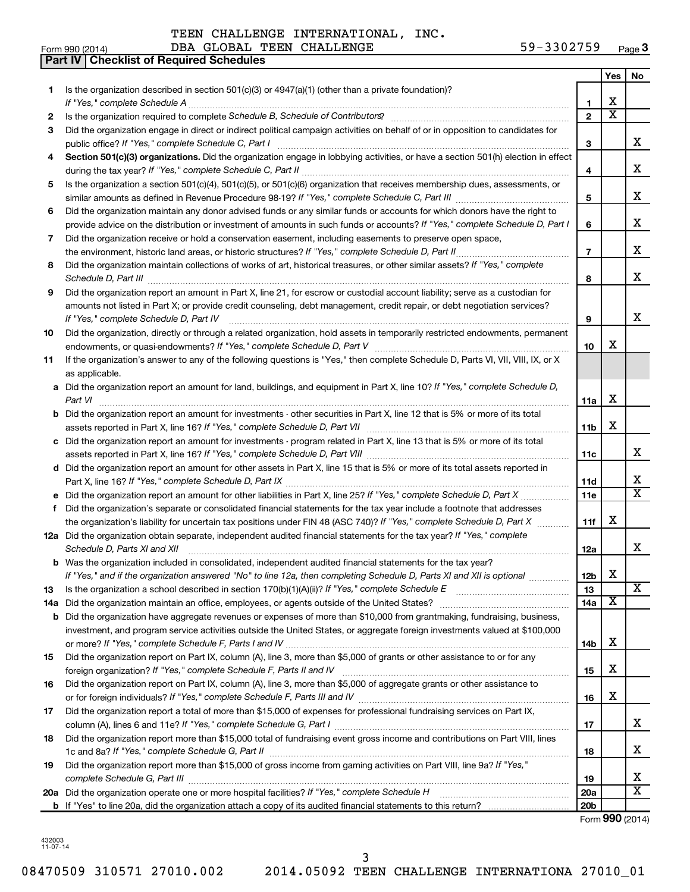|  |  | TEEN CHALLENGE INTERNATIONAL, INC. |  |
|--|--|------------------------------------|--|
|--|--|------------------------------------|--|

**Part IV Checklist of Required Schedules**

|    |                                                                                                                                                    |                               | Yes                   | No                         |
|----|----------------------------------------------------------------------------------------------------------------------------------------------------|-------------------------------|-----------------------|----------------------------|
| 1  | Is the organization described in section 501(c)(3) or $4947(a)(1)$ (other than a private foundation)?                                              |                               |                       |                            |
|    | If "Yes," complete Schedule A                                                                                                                      | 1                             | х                     |                            |
| 2  |                                                                                                                                                    | $\mathbf{z}$                  | $\overline{\text{x}}$ |                            |
| З  | Did the organization engage in direct or indirect political campaign activities on behalf of or in opposition to candidates for                    |                               |                       | x                          |
|    |                                                                                                                                                    | 3                             |                       |                            |
| 4  | Section 501(c)(3) organizations. Did the organization engage in lobbying activities, or have a section 501(h) election in effect                   |                               |                       | x                          |
|    | Is the organization a section 501(c)(4), 501(c)(5), or 501(c)(6) organization that receives membership dues, assessments, or                       | 4                             |                       |                            |
| 5  |                                                                                                                                                    | 5                             |                       | x                          |
| 6  | Did the organization maintain any donor advised funds or any similar funds or accounts for which donors have the right to                          |                               |                       |                            |
|    | provide advice on the distribution or investment of amounts in such funds or accounts? If "Yes," complete Schedule D, Part I                       | 6                             |                       | x                          |
| 7  | Did the organization receive or hold a conservation easement, including easements to preserve open space,                                          |                               |                       |                            |
|    | the environment, historic land areas, or historic structures? If "Yes," complete Schedule D, Part II                                               | $\overline{7}$                |                       | x                          |
| 8  | Did the organization maintain collections of works of art, historical treasures, or other similar assets? If "Yes," complete                       |                               |                       |                            |
|    |                                                                                                                                                    | 8                             |                       | x                          |
| 9  | Did the organization report an amount in Part X, line 21, for escrow or custodial account liability; serve as a custodian for                      |                               |                       |                            |
|    | amounts not listed in Part X; or provide credit counseling, debt management, credit repair, or debt negotiation services?                          |                               |                       |                            |
|    | If "Yes," complete Schedule D, Part IV                                                                                                             | 9                             |                       | x                          |
| 10 | Did the organization, directly or through a related organization, hold assets in temporarily restricted endowments, permanent                      |                               |                       |                            |
|    |                                                                                                                                                    | 10                            | х                     |                            |
| 11 | If the organization's answer to any of the following questions is "Yes," then complete Schedule D, Parts VI, VII, VIII, IX, or X<br>as applicable. |                               |                       |                            |
|    | a Did the organization report an amount for land, buildings, and equipment in Part X, line 10? If "Yes," complete Schedule D,                      |                               |                       |                            |
|    | Part VI                                                                                                                                            | 11a                           | х                     |                            |
|    | <b>b</b> Did the organization report an amount for investments - other securities in Part X, line 12 that is 5% or more of its total               |                               |                       |                            |
|    |                                                                                                                                                    | 11 <sub>b</sub>               | х                     |                            |
|    | c Did the organization report an amount for investments - program related in Part X, line 13 that is 5% or more of its total                       |                               |                       |                            |
|    |                                                                                                                                                    | 11c                           |                       | x                          |
|    | d Did the organization report an amount for other assets in Part X, line 15 that is 5% or more of its total assets reported in                     |                               |                       |                            |
|    |                                                                                                                                                    | 11d                           |                       | x                          |
|    |                                                                                                                                                    | 11e                           |                       | $\overline{\mathtt{x}}$    |
| f  | Did the organization's separate or consolidated financial statements for the tax year include a footnote that addresses                            |                               |                       |                            |
|    | the organization's liability for uncertain tax positions under FIN 48 (ASC 740)? If "Yes," complete Schedule D, Part X                             | 11f                           | х                     |                            |
|    | 12a Did the organization obtain separate, independent audited financial statements for the tax year? If "Yes," complete                            |                               |                       |                            |
|    | Schedule D, Parts XI and XII                                                                                                                       | 12a                           |                       | x                          |
|    | b Was the organization included in consolidated, independent audited financial statements for the tax year?                                        |                               | X                     |                            |
|    | If "Yes," and if the organization answered "No" to line 12a, then completing Schedule D, Parts XI and XII is optional                              | 12 <sub>b</sub>               |                       | $\overline{\textbf{X}}$    |
| 13 | 14a Did the organization maintain an office, employees, or agents outside of the United States?                                                    | 13<br>14a                     | X                     |                            |
|    | <b>b</b> Did the organization have aggregate revenues or expenses of more than \$10,000 from grantmaking, fundraising, business,                   |                               |                       |                            |
|    | investment, and program service activities outside the United States, or aggregate foreign investments valued at \$100,000                         |                               |                       |                            |
|    |                                                                                                                                                    | 14b                           | х                     |                            |
| 15 | Did the organization report on Part IX, column (A), line 3, more than \$5,000 of grants or other assistance to or for any                          |                               |                       |                            |
|    | foreign organization? If "Yes," complete Schedule F, Parts II and IV                                                                               | 15                            | х                     |                            |
| 16 | Did the organization report on Part IX, column (A), line 3, more than \$5,000 of aggregate grants or other assistance to                           |                               |                       |                            |
|    |                                                                                                                                                    | 16                            | х                     |                            |
| 17 | Did the organization report a total of more than \$15,000 of expenses for professional fundraising services on Part IX,                            |                               |                       |                            |
|    |                                                                                                                                                    | 17                            |                       | x                          |
| 18 | Did the organization report more than \$15,000 total of fundraising event gross income and contributions on Part VIII, lines                       |                               |                       |                            |
|    |                                                                                                                                                    | 18                            |                       | х                          |
| 19 | Did the organization report more than \$15,000 of gross income from gaming activities on Part VIII, line 9a? If "Yes,"                             |                               |                       |                            |
|    |                                                                                                                                                    | 19                            |                       | x<br>$\overline{\text{X}}$ |
|    |                                                                                                                                                    | <b>20a</b><br>20 <sub>b</sub> |                       |                            |
|    |                                                                                                                                                    |                               |                       | $T_{2}$ = 000 (001 4)      |

Form (2014) **990**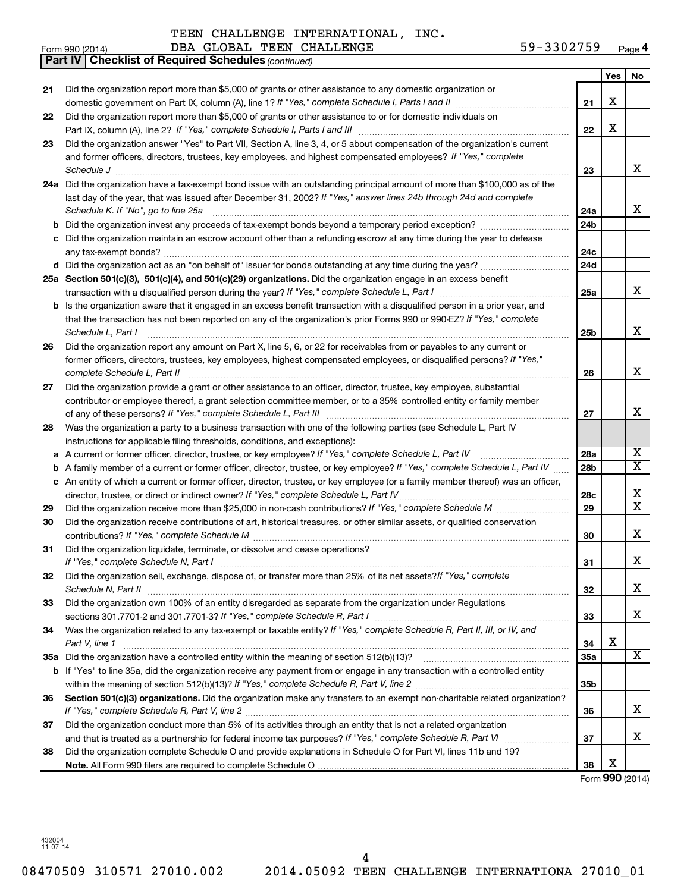|    | 59-3302759<br>DBA GLOBAL TEEN CHALLENGE<br>Form 990 (2014)                                                                          |                 |     | Page 4                  |
|----|-------------------------------------------------------------------------------------------------------------------------------------|-----------------|-----|-------------------------|
|    | <b>Part IV   Checklist of Required Schedules (continued)</b>                                                                        |                 |     |                         |
|    |                                                                                                                                     |                 | Yes | No                      |
| 21 | Did the organization report more than \$5,000 of grants or other assistance to any domestic organization or                         |                 |     |                         |
|    |                                                                                                                                     | 21              | х   |                         |
| 22 | Did the organization report more than \$5,000 of grants or other assistance to or for domestic individuals on                       |                 |     |                         |
|    |                                                                                                                                     | 22              | х   |                         |
| 23 | Did the organization answer "Yes" to Part VII, Section A, line 3, 4, or 5 about compensation of the organization's current          |                 |     |                         |
|    | and former officers, directors, trustees, key employees, and highest compensated employees? If "Yes," complete                      |                 |     |                         |
|    | Schedule J                                                                                                                          | 23              |     | x                       |
|    | 24a Did the organization have a tax-exempt bond issue with an outstanding principal amount of more than \$100,000 as of the         |                 |     |                         |
|    | last day of the year, that was issued after December 31, 2002? If "Yes," answer lines 24b through 24d and complete                  |                 |     |                         |
|    | Schedule K. If "No", go to line 25a                                                                                                 | 24a             |     | x                       |
|    |                                                                                                                                     | 24 <sub>b</sub> |     |                         |
|    | c Did the organization maintain an escrow account other than a refunding escrow at any time during the year to defease              |                 |     |                         |
|    |                                                                                                                                     | 24c             |     |                         |
|    |                                                                                                                                     | 24d             |     |                         |
|    |                                                                                                                                     |                 |     |                         |
|    | 25a Section 501(c)(3), 501(c)(4), and 501(c)(29) organizations. Did the organization engage in an excess benefit                    |                 |     | x                       |
|    |                                                                                                                                     | 25a             |     |                         |
|    | <b>b</b> Is the organization aware that it engaged in an excess benefit transaction with a disqualified person in a prior year, and |                 |     |                         |
|    | that the transaction has not been reported on any of the organization's prior Forms 990 or 990-EZ? If "Yes," complete               |                 |     |                         |
|    | Schedule L, Part I                                                                                                                  | 25 <sub>b</sub> |     | x                       |
| 26 | Did the organization report any amount on Part X, line 5, 6, or 22 for receivables from or payables to any current or               |                 |     |                         |
|    | former officers, directors, trustees, key employees, highest compensated employees, or disqualified persons? If "Yes,"              |                 |     |                         |
|    | complete Schedule L, Part II                                                                                                        | 26              |     | х                       |
| 27 | Did the organization provide a grant or other assistance to an officer, director, trustee, key employee, substantial                |                 |     |                         |
|    | contributor or employee thereof, a grant selection committee member, or to a 35% controlled entity or family member                 |                 |     |                         |
|    |                                                                                                                                     | 27              |     | х                       |
| 28 | Was the organization a party to a business transaction with one of the following parties (see Schedule L, Part IV                   |                 |     |                         |
|    | instructions for applicable filing thresholds, conditions, and exceptions):                                                         |                 |     |                         |
| а  | A current or former officer, director, trustee, or key employee? If "Yes," complete Schedule L, Part IV                             | 28a             |     | х                       |
| b  | A family member of a current or former officer, director, trustee, or key employee? If "Yes," complete Schedule L, Part IV          | 28 <sub>b</sub> |     | $\overline{\mathbf{X}}$ |
|    | c An entity of which a current or former officer, director, trustee, or key employee (or a family member thereof) was an officer,   |                 |     |                         |
|    | director, trustee, or direct or indirect owner? If "Yes," complete Schedule L, Part IV                                              | 28c             |     | х                       |
| 29 | Did the organization receive more than \$25,000 in non-cash contributions? If "Yes," complete Schedule M                            | 29              |     | $\overline{\mathtt{x}}$ |
| 30 | Did the organization receive contributions of art, historical treasures, or other similar assets, or qualified conservation         |                 |     |                         |
|    |                                                                                                                                     | 30              |     | х                       |
| 31 | Did the organization liquidate, terminate, or dissolve and cease operations?                                                        |                 |     |                         |
|    |                                                                                                                                     | 31              |     | х                       |
| 32 | Did the organization sell, exchange, dispose of, or transfer more than 25% of its net assets?If "Yes," complete                     |                 |     |                         |
|    | Schedule N, Part II                                                                                                                 | 32              |     | х                       |
| 33 | Did the organization own 100% of an entity disregarded as separate from the organization under Regulations                          |                 |     |                         |
|    |                                                                                                                                     | 33              |     | x                       |
| 34 | Was the organization related to any tax-exempt or taxable entity? If "Yes," complete Schedule R, Part II, III, or IV, and           |                 |     |                         |
|    | Part V, line 1                                                                                                                      | 34              | х   |                         |
|    |                                                                                                                                     | 35a             |     | x                       |
|    | b If "Yes" to line 35a, did the organization receive any payment from or engage in any transaction with a controlled entity         |                 |     |                         |
|    |                                                                                                                                     | 35 <sub>b</sub> |     |                         |
|    |                                                                                                                                     |                 |     |                         |
| 36 | Section 501(c)(3) organizations. Did the organization make any transfers to an exempt non-charitable related organization?          |                 |     | х                       |
|    |                                                                                                                                     | 36              |     |                         |
| 37 | Did the organization conduct more than 5% of its activities through an entity that is not a related organization                    |                 |     | х                       |
|    |                                                                                                                                     | 37              |     |                         |
| 38 | Did the organization complete Schedule O and provide explanations in Schedule O for Part VI, lines 11b and 19?                      |                 |     |                         |
|    |                                                                                                                                     | 38              | х   |                         |

Form (2014) **990**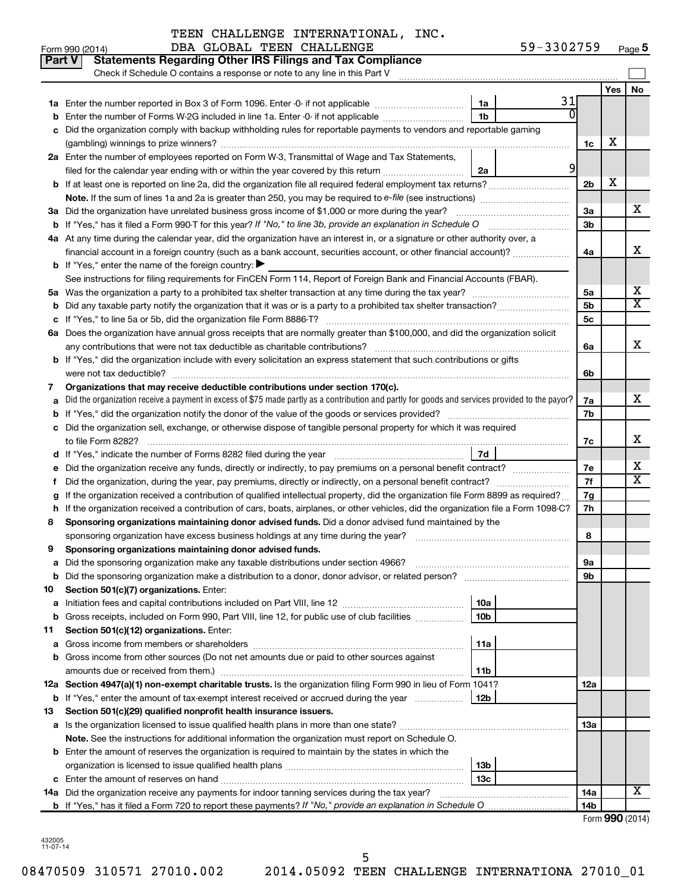| TEEN CHALLENGE INTERNATIONAL, INC. |  |  |  |  |
|------------------------------------|--|--|--|--|
|------------------------------------|--|--|--|--|

|    | <b>Statements Regarding Other IRS Filings and Tax Compliance</b><br><b>Part V</b>                                                               |                 |                |     |                         |
|----|-------------------------------------------------------------------------------------------------------------------------------------------------|-----------------|----------------|-----|-------------------------|
|    | Check if Schedule O contains a response or note to any line in this Part V                                                                      |                 |                |     |                         |
|    |                                                                                                                                                 |                 |                | Yes | No                      |
| 1a | Enter the number reported in Box 3 of Form 1096. Enter -0- if not applicable                                                                    | 31<br>1a        |                |     |                         |
| b  | Enter the number of Forms W-2G included in line 1a. Enter -0- if not applicable                                                                 | 1 <sub>b</sub>  |                |     |                         |
|    | Did the organization comply with backup withholding rules for reportable payments to vendors and reportable gaming                              |                 |                |     |                         |
|    |                                                                                                                                                 |                 | 1c             | х   |                         |
|    | 2a Enter the number of employees reported on Form W-3, Transmittal of Wage and Tax Statements,                                                  |                 |                |     |                         |
|    | filed for the calendar year ending with or within the year covered by this return <i>manumumumum</i>                                            | 9<br>2a         |                |     |                         |
|    |                                                                                                                                                 |                 | 2 <sub>b</sub> | х   |                         |
|    | Note. If the sum of lines 1a and 2a is greater than 250, you may be required to e-file (see instructions) <i>managereroum</i>                   |                 |                |     |                         |
|    | 3a Did the organization have unrelated business gross income of \$1,000 or more during the year?                                                |                 | За             |     | х                       |
|    |                                                                                                                                                 |                 | 3 <sub>b</sub> |     |                         |
|    | 4a At any time during the calendar year, did the organization have an interest in, or a signature or other authority over, a                    |                 |                |     |                         |
|    | financial account in a foreign country (such as a bank account, securities account, or other financial account)?                                |                 | 4a             |     | x                       |
|    | <b>b</b> If "Yes," enter the name of the foreign country: $\blacktriangleright$                                                                 |                 |                |     |                         |
|    | See instructions for filing requirements for FinCEN Form 114, Report of Foreign Bank and Financial Accounts (FBAR).                             |                 |                |     | х                       |
|    |                                                                                                                                                 |                 | 5a             |     | $\overline{\mathtt{x}}$ |
| b  |                                                                                                                                                 |                 | 5 <sub>b</sub> |     |                         |
| с  |                                                                                                                                                 |                 | 5c             |     |                         |
|    | 6a Does the organization have annual gross receipts that are normally greater than \$100,000, and did the organization solicit                  |                 |                |     | X                       |
|    |                                                                                                                                                 |                 | 6a             |     |                         |
|    | <b>b</b> If "Yes," did the organization include with every solicitation an express statement that such contributions or gifts                   |                 |                |     |                         |
|    | Organizations that may receive deductible contributions under section 170(c).                                                                   |                 | 6b             |     |                         |
| 7  | Did the organization receive a payment in excess of \$75 made partly as a contribution and partly for goods and services provided to the payor? |                 | 7a             |     | х                       |
| а  |                                                                                                                                                 |                 | 7b             |     |                         |
|    | c Did the organization sell, exchange, or otherwise dispose of tangible personal property for which it was required                             |                 |                |     |                         |
|    |                                                                                                                                                 |                 | 7c             |     | X                       |
|    |                                                                                                                                                 | 7d              |                |     |                         |
| е  |                                                                                                                                                 |                 | 7е             |     | х                       |
|    |                                                                                                                                                 |                 | 7f             |     | $\overline{\mathtt{x}}$ |
|    | If the organization received a contribution of qualified intellectual property, did the organization file Form 8899 as required?                |                 | 7g             |     |                         |
| h  | If the organization received a contribution of cars, boats, airplanes, or other vehicles, did the organization file a Form 1098-C?              |                 | 7h             |     |                         |
| 8  | Sponsoring organizations maintaining donor advised funds. Did a donor advised fund maintained by the                                            |                 |                |     |                         |
|    |                                                                                                                                                 |                 | 8              |     |                         |
| 9  | Sponsoring organizations maintaining donor advised funds.                                                                                       |                 |                |     |                         |
|    |                                                                                                                                                 |                 | эа             |     |                         |
|    |                                                                                                                                                 |                 | 9b             |     |                         |
| 10 | Section 501(c)(7) organizations. Enter:                                                                                                         |                 |                |     |                         |
| а  |                                                                                                                                                 | 10a             |                |     |                         |
| b  | Gross receipts, included on Form 990, Part VIII, line 12, for public use of club facilities                                                     | 10b             |                |     |                         |
| 11 | Section 501(c)(12) organizations. Enter:                                                                                                        |                 |                |     |                         |
| а  |                                                                                                                                                 | 11a             |                |     |                         |
| b  | Gross income from other sources (Do not net amounts due or paid to other sources against                                                        |                 |                |     |                         |
|    | amounts due or received from them.)                                                                                                             | 11b             |                |     |                         |
|    | 12a Section 4947(a)(1) non-exempt charitable trusts. Is the organization filing Form 990 in lieu of Form 1041?                                  |                 | 12a            |     |                         |
|    | <b>b</b> If "Yes," enter the amount of tax-exempt interest received or accrued during the year                                                  | 12b             |                |     |                         |
| 13 | Section 501(c)(29) qualified nonprofit health insurance issuers.                                                                                |                 |                |     |                         |
| а  | Is the organization licensed to issue qualified health plans in more than one state?                                                            |                 | 13a            |     |                         |
|    | Note. See the instructions for additional information the organization must report on Schedule O.                                               |                 |                |     |                         |
|    | <b>b</b> Enter the amount of reserves the organization is required to maintain by the states in which the                                       |                 |                |     |                         |
|    |                                                                                                                                                 | 13 <sub>b</sub> |                |     |                         |
|    |                                                                                                                                                 | 13c             |                |     |                         |
|    | 14a Did the organization receive any payments for indoor tanning services during the tax year?                                                  |                 | 14a            |     | X                       |
|    |                                                                                                                                                 |                 | 14b            |     |                         |

| Form 990 (2014) |  |  |
|-----------------|--|--|
|-----------------|--|--|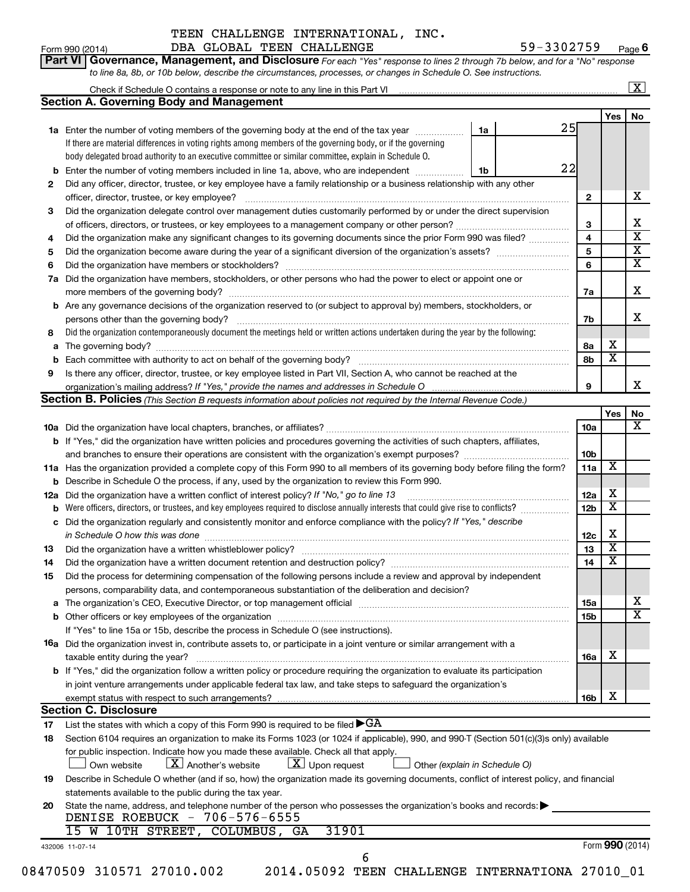**Part VI** Governance, Management, and Disclosure For each "Yes" response to lines 2 through 7b below, and for a "No" response Form 990 (2014) Page DBA GLOBAL TEEN CHALLENGE 59-3302759 **6**

|    |                                                                                                                                                                                                                                |    |    |                         |                         | $\boxed{\text{X}}$ |
|----|--------------------------------------------------------------------------------------------------------------------------------------------------------------------------------------------------------------------------------|----|----|-------------------------|-------------------------|--------------------|
|    | <b>Section A. Governing Body and Management</b>                                                                                                                                                                                |    |    |                         |                         |                    |
|    |                                                                                                                                                                                                                                |    |    |                         | Yes                     | No                 |
|    | 1a Enter the number of voting members of the governing body at the end of the tax year                                                                                                                                         | 1a | 25 |                         |                         |                    |
|    | If there are material differences in voting rights among members of the governing body, or if the governing                                                                                                                    |    |    |                         |                         |                    |
|    | body delegated broad authority to an executive committee or similar committee, explain in Schedule O.                                                                                                                          |    |    |                         |                         |                    |
|    | <b>b</b> Enter the number of voting members included in line 1a, above, who are independent <i>manumum</i>                                                                                                                     | 1b | 22 |                         |                         |                    |
| 2  | Did any officer, director, trustee, or key employee have a family relationship or a business relationship with any other                                                                                                       |    |    |                         |                         |                    |
|    | officer, director, trustee, or key employee?                                                                                                                                                                                   |    |    | $\mathbf{2}$            |                         |                    |
| 3  | Did the organization delegate control over management duties customarily performed by or under the direct supervision                                                                                                          |    |    |                         |                         |                    |
|    | of officers, directors, or trustees, or key employees to a management company or other person?                                                                                                                                 |    |    | 3                       |                         |                    |
| 4  | Did the organization make any significant changes to its governing documents since the prior Form 990 was filed?                                                                                                               |    |    | $\overline{\mathbf{4}}$ |                         |                    |
| 5  |                                                                                                                                                                                                                                |    |    | 5                       |                         |                    |
|    |                                                                                                                                                                                                                                |    |    | 6                       |                         |                    |
| 6  |                                                                                                                                                                                                                                |    |    |                         |                         |                    |
|    | 7a Did the organization have members, stockholders, or other persons who had the power to elect or appoint one or                                                                                                              |    |    |                         |                         |                    |
|    |                                                                                                                                                                                                                                |    |    | 7a                      |                         |                    |
|    | <b>b</b> Are any governance decisions of the organization reserved to (or subject to approval by) members, stockholders, or                                                                                                    |    |    |                         |                         |                    |
|    | persons other than the governing body?                                                                                                                                                                                         |    |    | 7b                      |                         |                    |
| 8  | Did the organization contemporaneously document the meetings held or written actions undertaken during the year by the following:                                                                                              |    |    |                         |                         |                    |
|    |                                                                                                                                                                                                                                |    |    | 8a                      | х                       |                    |
|    |                                                                                                                                                                                                                                |    |    | 8b                      | $\overline{\mathbf{X}}$ |                    |
| 9  | Is there any officer, director, trustee, or key employee listed in Part VII, Section A, who cannot be reached at the                                                                                                           |    |    |                         |                         |                    |
|    |                                                                                                                                                                                                                                |    |    | 9                       |                         |                    |
|    | Section B. Policies (This Section B requests information about policies not required by the Internal Revenue Code.)                                                                                                            |    |    |                         |                         |                    |
|    |                                                                                                                                                                                                                                |    |    |                         | Yes                     |                    |
|    |                                                                                                                                                                                                                                |    |    | 10a                     |                         |                    |
|    | <b>b</b> If "Yes," did the organization have written policies and procedures governing the activities of such chapters, affiliates,                                                                                            |    |    |                         |                         |                    |
|    |                                                                                                                                                                                                                                |    |    | 10 <sub>b</sub>         |                         |                    |
|    | 11a Has the organization provided a complete copy of this Form 990 to all members of its governing body before filing the form?                                                                                                |    |    | 11a                     | X                       |                    |
|    | <b>b</b> Describe in Schedule O the process, if any, used by the organization to review this Form 990.                                                                                                                         |    |    |                         |                         |                    |
|    | 12a Did the organization have a written conflict of interest policy? If "No," go to line 13                                                                                                                                    |    |    | 12a                     | х                       |                    |
|    |                                                                                                                                                                                                                                |    |    | 12 <sub>b</sub>         | $\overline{\mathbf{X}}$ |                    |
|    | c Did the organization regularly and consistently monitor and enforce compliance with the policy? If "Yes," describe                                                                                                           |    |    |                         |                         |                    |
|    | in Schedule O how this was done manufactured and continuum control of the state of the state of the state of t                                                                                                                 |    |    | 12c                     | х                       |                    |
| 13 |                                                                                                                                                                                                                                |    |    | 13                      | $\overline{\mathbf{X}}$ |                    |
| 14 | Did the organization have a written document retention and destruction policy? [11] manufaction manufaction in                                                                                                                 |    |    | 14                      | $\overline{\textbf{x}}$ |                    |
| 15 | Did the process for determining compensation of the following persons include a review and approval by independent                                                                                                             |    |    |                         |                         |                    |
|    | persons, comparability data, and contemporaneous substantiation of the deliberation and decision?                                                                                                                              |    |    |                         |                         |                    |
|    |                                                                                                                                                                                                                                |    |    |                         |                         |                    |
|    | a The organization's CEO, Executive Director, or top management official manufaction content content content content of the Theorem and The Theorem and The Theorem and The Theorem and The Theorem and The Theorem and The Th |    |    | <b>15a</b>              |                         |                    |
|    |                                                                                                                                                                                                                                |    |    | 15b                     |                         |                    |
|    | If "Yes" to line 15a or 15b, describe the process in Schedule O (see instructions).                                                                                                                                            |    |    |                         |                         |                    |
|    | 16a Did the organization invest in, contribute assets to, or participate in a joint venture or similar arrangement with a                                                                                                      |    |    |                         |                         |                    |
|    | taxable entity during the year?                                                                                                                                                                                                |    |    | 16a                     | х                       |                    |
|    | b If "Yes," did the organization follow a written policy or procedure requiring the organization to evaluate its participation                                                                                                 |    |    |                         |                         |                    |
|    | in joint venture arrangements under applicable federal tax law, and take steps to safeguard the organization's                                                                                                                 |    |    |                         |                         |                    |
|    |                                                                                                                                                                                                                                |    |    | 16 <sub>b</sub>         | х                       |                    |
|    | <b>Section C. Disclosure</b>                                                                                                                                                                                                   |    |    |                         |                         |                    |
| 17 | List the states with which a copy of this Form 990 is required to be filed $\blacktriangleright$ GA                                                                                                                            |    |    |                         |                         |                    |
| 18 | Section 6104 requires an organization to make its Forms 1023 (or 1024 if applicable), 990, and 990-T (Section 501(c)(3)s only) available                                                                                       |    |    |                         |                         |                    |
|    | for public inspection. Indicate how you made these available. Check all that apply.                                                                                                                                            |    |    |                         |                         |                    |
|    | $\lfloor x \rfloor$ Another's website<br>$\lfloor \underline{X} \rfloor$ Upon request<br>Own website<br>Other (explain in Schedule O)                                                                                          |    |    |                         |                         |                    |
| 19 | Describe in Schedule O whether (and if so, how) the organization made its governing documents, conflict of interest policy, and financial                                                                                      |    |    |                         |                         |                    |
|    | statements available to the public during the tax year.                                                                                                                                                                        |    |    |                         |                         |                    |
| 20 | State the name, address, and telephone number of the person who possesses the organization's books and records:                                                                                                                |    |    |                         |                         |                    |
|    | DENISE ROEBUCK - 706-576-6555                                                                                                                                                                                                  |    |    |                         |                         |                    |
|    | 31901<br>15 W 10TH STREET, COLUMBUS, GA                                                                                                                                                                                        |    |    |                         |                         |                    |
|    |                                                                                                                                                                                                                                |    |    |                         |                         |                    |
|    |                                                                                                                                                                                                                                |    |    |                         |                         |                    |
|    | 432006 11-07-14<br>6                                                                                                                                                                                                           |    |    | Form 990 (2014)         |                         |                    |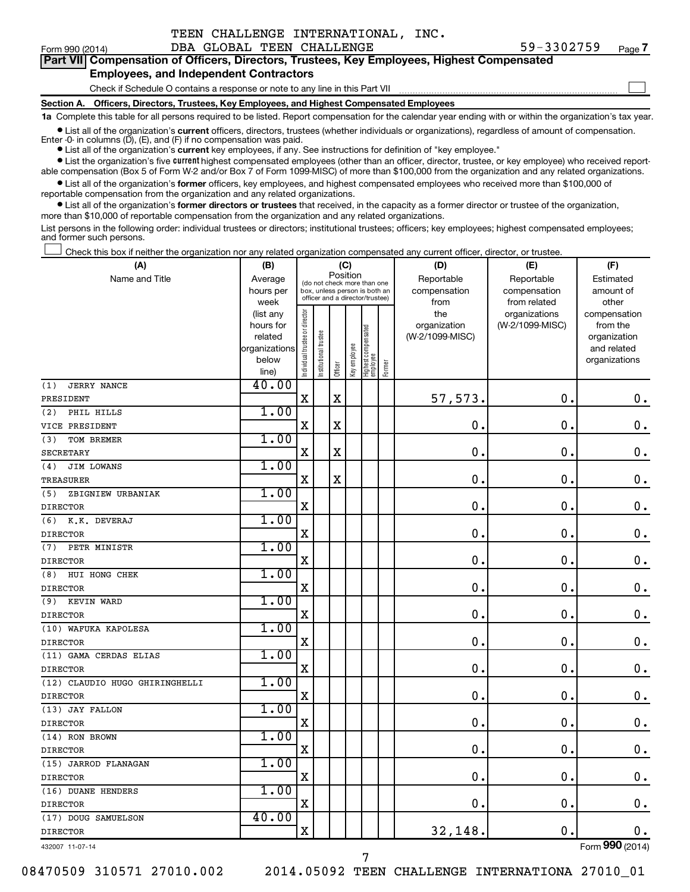$\Box$ 

| Part VII Compensation of Officers, Directors, Trustees, Key Employees, Highest Compensated |  |  |
|--------------------------------------------------------------------------------------------|--|--|
| <b>Employees, and Independent Contractors</b>                                              |  |  |

#### Check if Schedule O contains a response or note to any line in this Part VII

**Section A. Officers, Directors, Trustees, Key Employees, and Highest Compensated Employees**

**1a**  Complete this table for all persons required to be listed. Report compensation for the calendar year ending with or within the organization's tax year.

**•** List all of the organization's current officers, directors, trustees (whether individuals or organizations), regardless of amount of compensation.

**•** List all of the organization's **current** key employees, if any. See instructions for definition of "key employee." Enter -0- in columns  $(D)$ ,  $(E)$ , and  $(F)$  if no compensation was paid.

**•** List the organization's five current highest compensated employees (other than an officer, director, trustee, or key employee) who received reportable compensation (Box 5 of Form W-2 and/or Box 7 of Form 1099-MISC) of more than \$100,000 from the organization and any related organizations.

**•** List all of the organization's former officers, key employees, and highest compensated employees who received more than \$100,000 of reportable compensation from the organization and any related organizations.

**•** List all of the organization's former directors or trustees that received, in the capacity as a former director or trustee of the organization, more than \$10,000 of reportable compensation from the organization and any related organizations.

List persons in the following order: individual trustees or directors; institutional trustees; officers; key employees; highest compensated employees; and former such persons.

Check this box if neither the organization nor any related organization compensated any current officer, director, or trustee. †

| (A)                            | (B)                    |                                |                      | (C)         |              |                                                                  |        | (D)             | (E)                              | (F)                      |
|--------------------------------|------------------------|--------------------------------|----------------------|-------------|--------------|------------------------------------------------------------------|--------|-----------------|----------------------------------|--------------------------|
| Name and Title                 | Average                |                                |                      | Position    |              | (do not check more than one                                      |        | Reportable      | Reportable                       | Estimated                |
|                                | hours per              |                                |                      |             |              | box, unless person is both an<br>officer and a director/trustee) |        | compensation    | compensation                     | amount of                |
|                                | week                   |                                |                      |             |              |                                                                  |        | from<br>the     | from related                     | other                    |
|                                | (list any<br>hours for | Individual trustee or director |                      |             |              |                                                                  |        | organization    | organizations<br>(W-2/1099-MISC) | compensation<br>from the |
|                                | related                |                                |                      |             |              |                                                                  |        | (W-2/1099-MISC) |                                  | organization             |
|                                | organizations          |                                | nstitutional trustee |             |              | Highest compensated<br>employee                                  |        |                 |                                  | and related              |
|                                | below                  |                                |                      |             | Key employee |                                                                  |        |                 |                                  | organizations            |
|                                | line)                  |                                |                      | Officer     |              |                                                                  | Former |                 |                                  |                          |
| <b>JERRY NANCE</b><br>(1)      | 40.00                  |                                |                      |             |              |                                                                  |        |                 |                                  |                          |
| PRESIDENT                      |                        | $\mathbf X$                    |                      | $\mathbf X$ |              |                                                                  |        | 57,573.         | $\mathbf 0$ .                    | 0.                       |
| PHIL HILLS<br>(2)              | 1.00                   |                                |                      |             |              |                                                                  |        |                 |                                  |                          |
| VICE PRESIDENT                 |                        | $\mathbf X$                    |                      | $\mathbf X$ |              |                                                                  |        | $\mathbf 0$ .   | $\mathbf 0$ .                    | $\mathbf 0$ .            |
| TOM BREMER<br>(3)              | 1.00                   |                                |                      |             |              |                                                                  |        |                 |                                  |                          |
| <b>SECRETARY</b>               |                        | $\mathbf X$                    |                      | X           |              |                                                                  |        | 0               | $\mathbf 0$                      | 0.                       |
| <b>JIM LOWANS</b><br>(4)       | 1.00                   |                                |                      |             |              |                                                                  |        |                 |                                  |                          |
| TREASURER                      |                        | X                              |                      | $\mathbf X$ |              |                                                                  |        | 0               | $\mathbf 0$ .                    | $\mathbf 0$ .            |
| (5)<br>ZBIGNIEW URBANIAK       | 1.00                   |                                |                      |             |              |                                                                  |        |                 |                                  |                          |
| <b>DIRECTOR</b>                |                        | $\mathbf X$                    |                      |             |              |                                                                  |        | 0               | $\mathbf 0$ .                    | $\mathbf 0$ .            |
| (6)<br>K.K. DEVERAJ            | 1.00                   |                                |                      |             |              |                                                                  |        |                 |                                  |                          |
| <b>DIRECTOR</b>                |                        | X                              |                      |             |              |                                                                  |        | 0               | $\mathbf 0$ .                    | $\mathbf 0$ .            |
| (7)<br>PETR MINISTR            | 1.00                   |                                |                      |             |              |                                                                  |        |                 |                                  |                          |
| <b>DIRECTOR</b>                |                        | X                              |                      |             |              |                                                                  |        | 0               | $\mathbf 0$                      | $\mathbf 0$ .            |
| (8)<br>HUI HONG CHEK           | 1.00                   |                                |                      |             |              |                                                                  |        |                 |                                  |                          |
| <b>DIRECTOR</b>                |                        | X                              |                      |             |              |                                                                  |        | 0               | $\mathbf 0$ .                    | $\mathbf 0$ .            |
| (9)<br>KEVIN WARD              | 1.00                   |                                |                      |             |              |                                                                  |        |                 |                                  |                          |
| <b>DIRECTOR</b>                |                        | X                              |                      |             |              |                                                                  |        | $\mathbf 0$     | $\mathbf 0$                      | $0$ .                    |
| (10) WAFUKA KAPOLESA           | 1.00                   |                                |                      |             |              |                                                                  |        |                 |                                  |                          |
| <b>DIRECTOR</b>                |                        | $\mathbf X$                    |                      |             |              |                                                                  |        | 0               | $\mathbf 0$ .                    | $\mathbf 0$ .            |
| (11) GAMA CERDAS ELIAS         | 1.00                   |                                |                      |             |              |                                                                  |        |                 |                                  |                          |
| <b>DIRECTOR</b>                |                        | $\mathbf X$                    |                      |             |              |                                                                  |        | $\mathbf 0$     | $\mathbf 0$                      | $\mathbf 0$ .            |
| (12) CLAUDIO HUGO GHIRINGHELLI | 1.00                   |                                |                      |             |              |                                                                  |        |                 |                                  |                          |
| <b>DIRECTOR</b>                |                        | X                              |                      |             |              |                                                                  |        | 0               | $\mathbf 0$ .                    | 0.                       |
| (13) JAY FALLON                | 1.00                   |                                |                      |             |              |                                                                  |        |                 |                                  |                          |
| <b>DIRECTOR</b>                |                        | X                              |                      |             |              |                                                                  |        | 0               | $\mathbf 0$ .                    | $\mathbf 0$ .            |
| (14) RON BROWN                 | 1.00                   |                                |                      |             |              |                                                                  |        |                 |                                  |                          |
| <b>DIRECTOR</b>                |                        | $\mathbf X$                    |                      |             |              |                                                                  |        | $\mathbf 0$     | $\mathbf 0$ .                    | $\mathbf 0$ .            |
| (15) JARROD FLANAGAN           | 1.00                   |                                |                      |             |              |                                                                  |        |                 |                                  |                          |
| <b>DIRECTOR</b>                |                        | X                              |                      |             |              |                                                                  |        | 0               | $\mathbf 0$                      | $\mathbf 0$ .            |
| (16) DUANE HENDERS             | 1.00                   |                                |                      |             |              |                                                                  |        |                 |                                  |                          |
| <b>DIRECTOR</b>                |                        | X                              |                      |             |              |                                                                  |        | $\mathbf 0$     | $\mathbf 0$ .                    | $\mathbf 0$ .            |
| (17) DOUG SAMUELSON            | 40.00                  |                                |                      |             |              |                                                                  |        |                 |                                  |                          |
| <b>DIRECTOR</b>                |                        | X                              |                      |             |              |                                                                  |        | 32,148.         | $\mathbf 0$                      | $0$ .                    |
| 432007 11-07-14                |                        |                                |                      |             |              |                                                                  |        |                 |                                  | Form 990 (2014)          |

08470509 310571 27010.002 2014.05092 TEEN CHALLENGE INTERNATIONA 27010\_01

7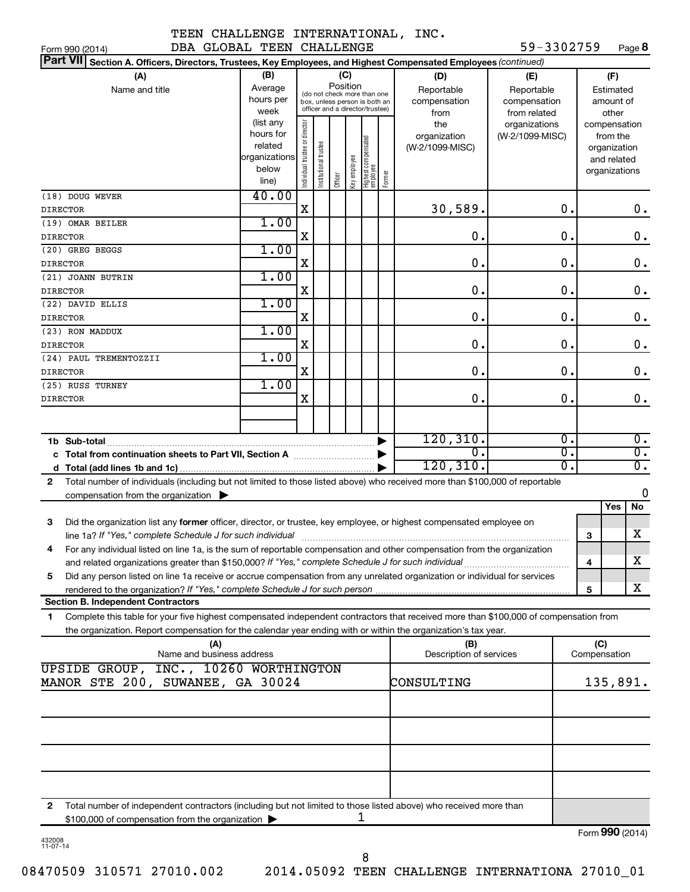|  | TEEN CHALLENGE INTERNATIONAL, INC. |  |
|--|------------------------------------|--|
|  | AI ODAI MEENI CUAII ENCE           |  |

Form 990 (2014) DBA GLOBAL TEEN CHALLENGE 59-3302759 Page 59-3302759 Page 8

| Part VII Section A. Officers, Directors, Trustees, Key Employees, and Highest Compensated Employees (continued)                              |                        |                                |                       |          |              |                                   |        |                                 |                                  |                     |                          |                             |
|----------------------------------------------------------------------------------------------------------------------------------------------|------------------------|--------------------------------|-----------------------|----------|--------------|-----------------------------------|--------|---------------------------------|----------------------------------|---------------------|--------------------------|-----------------------------|
| (A)                                                                                                                                          | (B)                    |                                |                       |          | (C)          |                                   |        | (D)                             | (E)                              |                     | (F)                      |                             |
| Name and title                                                                                                                               | Average                |                                |                       | Position |              | (do not check more than one       |        | Reportable                      | Reportable                       |                     | Estimated                |                             |
|                                                                                                                                              | hours per              |                                |                       |          |              | box, unless person is both an     |        | compensation                    | compensation                     |                     | amount of                |                             |
|                                                                                                                                              | week                   |                                |                       |          |              | officer and a director/trustee)   |        | from                            | from related                     |                     | other                    |                             |
|                                                                                                                                              | (list any<br>hours for | Individual trustee or director |                       |          |              |                                   |        | the                             | organizations<br>(W-2/1099-MISC) |                     | compensation             |                             |
|                                                                                                                                              | related                |                                |                       |          |              |                                   |        | organization<br>(W-2/1099-MISC) |                                  |                     | from the<br>organization |                             |
|                                                                                                                                              | organizations          |                                | Institutional trustee |          |              |                                   |        |                                 |                                  |                     | and related              |                             |
|                                                                                                                                              | below                  |                                |                       |          | Key employee |                                   |        |                                 |                                  |                     | organizations            |                             |
|                                                                                                                                              | line)                  |                                |                       | Officer  |              | Highest compensated<br>  employee | Former |                                 |                                  |                     |                          |                             |
| (18) DOUG WEVER                                                                                                                              | 40.00                  |                                |                       |          |              |                                   |        |                                 |                                  |                     |                          |                             |
| <b>DIRECTOR</b>                                                                                                                              |                        | X                              |                       |          |              |                                   |        | 30,589.                         | 0.                               |                     |                          | $0$ .                       |
| (19) OMAR BEILER                                                                                                                             | 1.00                   |                                |                       |          |              |                                   |        |                                 |                                  |                     |                          |                             |
| <b>DIRECTOR</b>                                                                                                                              |                        | X                              |                       |          |              |                                   |        | 0.                              | 0.                               |                     |                          | $0$ .                       |
| (20) GREG BEGGS                                                                                                                              | 1.00                   |                                |                       |          |              |                                   |        |                                 |                                  |                     |                          |                             |
| <b>DIRECTOR</b>                                                                                                                              |                        | X                              |                       |          |              |                                   |        | $\mathbf 0$ .                   | 0.                               |                     |                          | $0$ .                       |
| (21) JOANN BUTRIN                                                                                                                            | 1.00                   |                                |                       |          |              |                                   |        |                                 |                                  |                     |                          |                             |
| <b>DIRECTOR</b>                                                                                                                              |                        | X                              |                       |          |              |                                   |        | $\mathbf 0$ .                   | 0.                               |                     |                          | $0$ .                       |
| (22) DAVID ELLIS                                                                                                                             | 1.00                   |                                |                       |          |              |                                   |        |                                 |                                  |                     |                          |                             |
| <b>DIRECTOR</b>                                                                                                                              |                        | X                              |                       |          |              |                                   |        | $\mathbf 0$ .                   | 0.                               |                     |                          | $0$ .                       |
| (23) RON MADDUX                                                                                                                              | 1.00                   |                                |                       |          |              |                                   |        |                                 |                                  |                     |                          |                             |
| <b>DIRECTOR</b>                                                                                                                              |                        | X                              |                       |          |              |                                   |        | $\mathbf 0$ .                   | 0.                               |                     |                          | $0$ .                       |
| (24) PAUL TREMENTOZZII                                                                                                                       | 1.00                   |                                |                       |          |              |                                   |        |                                 |                                  |                     |                          |                             |
| <b>DIRECTOR</b>                                                                                                                              |                        | X                              |                       |          |              |                                   |        | $\mathbf 0$ .                   | 0.                               |                     |                          | $0$ .                       |
| (25) RUSS TURNEY                                                                                                                             | 1.00                   |                                |                       |          |              |                                   |        |                                 |                                  |                     |                          |                             |
| <b>DIRECTOR</b>                                                                                                                              |                        | X                              |                       |          |              |                                   |        | 0.                              | 0.                               |                     |                          | $0$ .                       |
|                                                                                                                                              |                        |                                |                       |          |              |                                   |        |                                 |                                  |                     |                          |                             |
|                                                                                                                                              |                        |                                |                       |          |              |                                   |        |                                 |                                  |                     |                          |                             |
|                                                                                                                                              |                        |                                |                       |          |              |                                   |        | 120, 310.                       | $\overline{0}$ .                 |                     |                          | $\overline{\mathfrak{o}}$ . |
| c Total from continuation sheets to Part VII, Section A manufactured by                                                                      |                        |                                |                       |          |              |                                   |        | $\Omega$ .                      | σ.                               |                     |                          | $\overline{\mathfrak{o}}$ . |
|                                                                                                                                              |                        |                                |                       |          |              |                                   |        | 120, 310.                       | $\overline{0}$ .                 |                     |                          | $\overline{0}$ .            |
| Total number of individuals (including but not limited to those listed above) who received more than \$100,000 of reportable<br>$\mathbf{2}$ |                        |                                |                       |          |              |                                   |        |                                 |                                  |                     |                          |                             |
| compensation from the organization                                                                                                           |                        |                                |                       |          |              |                                   |        |                                 |                                  |                     |                          | 0                           |
|                                                                                                                                              |                        |                                |                       |          |              |                                   |        |                                 |                                  |                     | Yes                      | No                          |
| Did the organization list any former officer, director, or trustee, key employee, or highest compensated employee on<br>3                    |                        |                                |                       |          |              |                                   |        |                                 |                                  |                     |                          |                             |
| line 1a? If "Yes," complete Schedule J for such individual                                                                                   |                        |                                |                       |          |              |                                   |        |                                 |                                  | 3                   |                          | х                           |
| For any individual listed on line 1a, is the sum of reportable compensation and other compensation from the organization<br>4                |                        |                                |                       |          |              |                                   |        |                                 |                                  |                     |                          |                             |
|                                                                                                                                              |                        |                                |                       |          |              |                                   |        |                                 |                                  | 4                   |                          | X                           |
| Did any person listed on line 1a receive or accrue compensation from any unrelated organization or individual for services<br>5              |                        |                                |                       |          |              |                                   |        |                                 |                                  |                     |                          |                             |
| rendered to the organization? If "Yes," complete Schedule J for such person                                                                  |                        |                                |                       |          |              |                                   |        |                                 |                                  | 5                   |                          | Χ                           |
| <b>Section B. Independent Contractors</b>                                                                                                    |                        |                                |                       |          |              |                                   |        |                                 |                                  |                     |                          |                             |
| Complete this table for your five highest compensated independent contractors that received more than \$100,000 of compensation from<br>1    |                        |                                |                       |          |              |                                   |        |                                 |                                  |                     |                          |                             |
| the organization. Report compensation for the calendar year ending with or within the organization's tax year.                               |                        |                                |                       |          |              |                                   |        |                                 |                                  |                     |                          |                             |
| (A)<br>Name and business address                                                                                                             |                        |                                |                       |          |              |                                   |        | (B)<br>Description of services  |                                  | (C)<br>Compensation |                          |                             |
| UPSIDE GROUP, INC., 10260 WORTHINGTON                                                                                                        |                        |                                |                       |          |              |                                   |        |                                 |                                  |                     |                          |                             |
| MANOR STE 200, SUWANEE, GA 30024                                                                                                             |                        |                                |                       |          |              |                                   |        | CONSULTING                      |                                  |                     | 135,891.                 |                             |
|                                                                                                                                              |                        |                                |                       |          |              |                                   |        |                                 |                                  |                     |                          |                             |
|                                                                                                                                              |                        |                                |                       |          |              |                                   |        |                                 |                                  |                     |                          |                             |
|                                                                                                                                              |                        |                                |                       |          |              |                                   |        |                                 |                                  |                     |                          |                             |
|                                                                                                                                              |                        |                                |                       |          |              |                                   |        |                                 |                                  |                     |                          |                             |
|                                                                                                                                              |                        |                                |                       |          |              |                                   |        |                                 |                                  |                     |                          |                             |
|                                                                                                                                              |                        |                                |                       |          |              |                                   |        |                                 |                                  |                     |                          |                             |
|                                                                                                                                              |                        |                                |                       |          |              |                                   |        |                                 |                                  |                     |                          |                             |
|                                                                                                                                              |                        |                                |                       |          |              |                                   |        |                                 |                                  |                     |                          |                             |
| Total number of independent contractors (including but not limited to those listed above) who received more than<br>2                        |                        |                                |                       |          |              |                                   |        |                                 |                                  |                     |                          |                             |
| \$100,000 of compensation from the organization                                                                                              |                        |                                |                       |          |              | ı                                 |        |                                 |                                  |                     |                          |                             |
|                                                                                                                                              |                        |                                |                       |          |              |                                   |        |                                 |                                  | Form 990 (2014)     |                          |                             |
| 432008<br>11-07-14                                                                                                                           |                        |                                |                       |          |              |                                   |        |                                 |                                  |                     |                          |                             |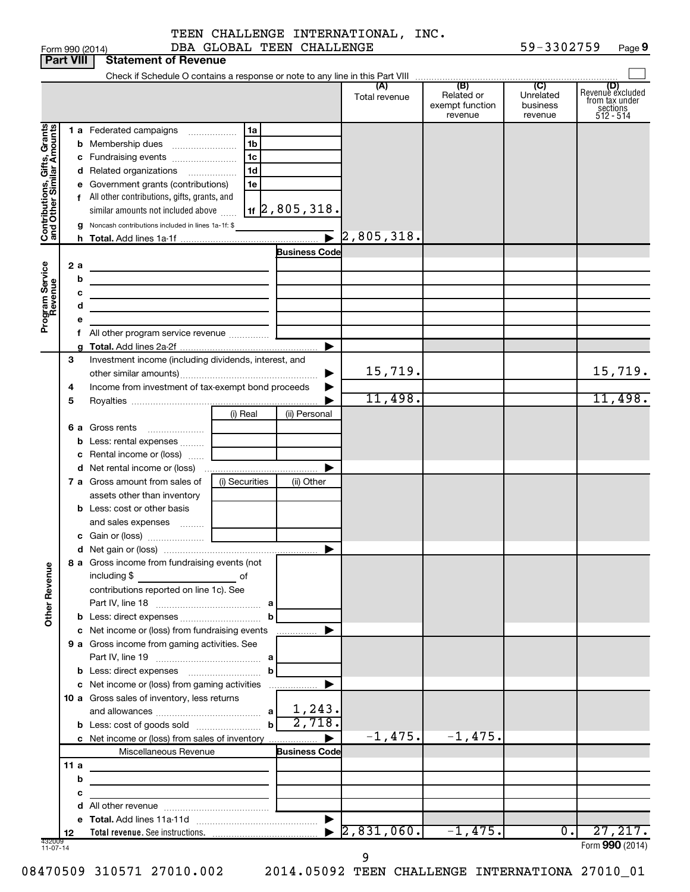|  | TEEN CHALLENGE INTERNATIONAL, INC.          |  |
|--|---------------------------------------------|--|
|  | <i>a</i> r anir   munic <i>au</i> itre muan |  |

|                                                           | <b>Part VIII</b> | <b>Statement of Revenue</b>                                                |                                         |                                 |                      |                                                 |                                         |                                                                    |
|-----------------------------------------------------------|------------------|----------------------------------------------------------------------------|-----------------------------------------|---------------------------------|----------------------|-------------------------------------------------|-----------------------------------------|--------------------------------------------------------------------|
|                                                           |                  |                                                                            |                                         |                                 |                      |                                                 |                                         |                                                                    |
|                                                           |                  |                                                                            |                                         |                                 | (A)<br>Total revenue | (B)<br>Related or<br>exempt function<br>revenue | (C)<br>Unrelated<br>business<br>revenue | (D)<br>Revenue excluded<br>from tax under<br>sections<br>512 - 514 |
|                                                           |                  | 1 a Federated campaigns                                                    | 1a                                      |                                 |                      |                                                 |                                         |                                                                    |
|                                                           |                  | <b>b</b> Membership dues                                                   | 1 <sub>b</sub>                          |                                 |                      |                                                 |                                         |                                                                    |
|                                                           |                  | c Fundraising events                                                       | 1 <sub>c</sub>                          |                                 |                      |                                                 |                                         |                                                                    |
|                                                           |                  | d Related organizations                                                    | 1 <sub>d</sub>                          |                                 |                      |                                                 |                                         |                                                                    |
|                                                           |                  | e Government grants (contributions)                                        | 1e                                      |                                 |                      |                                                 |                                         |                                                                    |
|                                                           |                  | f All other contributions, gifts, grants, and                              |                                         |                                 |                      |                                                 |                                         |                                                                    |
|                                                           |                  | similar amounts not included above                                         |                                         | $\vert$ 1f $\vert$ 2, 805, 318. |                      |                                                 |                                         |                                                                    |
| Contributions, Gifts, Grants<br>and Other Similar Amounts |                  | g Noncash contributions included in lines 1a-1f: \$                        |                                         |                                 |                      |                                                 |                                         |                                                                    |
|                                                           |                  |                                                                            |                                         |                                 |                      |                                                 |                                         |                                                                    |
|                                                           |                  |                                                                            |                                         | <b>Business Code</b>            |                      |                                                 |                                         |                                                                    |
|                                                           | 2a               |                                                                            |                                         |                                 |                      |                                                 |                                         |                                                                    |
| Program Service<br>Revenue                                | b                | the control of the control of the control of the control of the control of |                                         |                                 |                      |                                                 |                                         |                                                                    |
|                                                           | с                | <u> 1980 - Johann Barn, amerikansk politiker (d. 1980)</u>                 |                                         |                                 |                      |                                                 |                                         |                                                                    |
|                                                           | d                | the control of the control of the control of the control of                |                                         |                                 |                      |                                                 |                                         |                                                                    |
|                                                           |                  | All other program service revenue  [                                       |                                         |                                 |                      |                                                 |                                         |                                                                    |
|                                                           |                  |                                                                            |                                         | ▶                               |                      |                                                 |                                         |                                                                    |
|                                                           | 3                | Investment income (including dividends, interest, and                      |                                         |                                 |                      |                                                 |                                         |                                                                    |
|                                                           |                  |                                                                            |                                         |                                 | 15,719.              |                                                 |                                         | 15,719.                                                            |
|                                                           | 4                | Income from investment of tax-exempt bond proceeds                         |                                         |                                 |                      |                                                 |                                         |                                                                    |
|                                                           | 5                |                                                                            |                                         |                                 | 11,498.              |                                                 |                                         | 11,498.                                                            |
|                                                           |                  |                                                                            | (i) Real                                | (ii) Personal                   |                      |                                                 |                                         |                                                                    |
|                                                           |                  | 6 a Gross rents                                                            |                                         |                                 |                      |                                                 |                                         |                                                                    |
|                                                           |                  | Less: rental expenses                                                      |                                         |                                 |                      |                                                 |                                         |                                                                    |
|                                                           |                  | Rental income or (loss)                                                    |                                         |                                 |                      |                                                 |                                         |                                                                    |
|                                                           |                  |                                                                            |                                         |                                 |                      |                                                 |                                         |                                                                    |
|                                                           |                  | 7 a Gross amount from sales of                                             | (i) Securities                          | (ii) Other                      |                      |                                                 |                                         |                                                                    |
|                                                           |                  | assets other than inventory                                                |                                         |                                 |                      |                                                 |                                         |                                                                    |
|                                                           |                  | <b>b</b> Less: cost or other basis<br>and sales expenses                   |                                         |                                 |                      |                                                 |                                         |                                                                    |
|                                                           |                  |                                                                            |                                         |                                 |                      |                                                 |                                         |                                                                    |
|                                                           |                  |                                                                            |                                         |                                 |                      |                                                 |                                         |                                                                    |
|                                                           |                  | 8 a Gross income from fundraising events (not                              |                                         |                                 |                      |                                                 |                                         |                                                                    |
| <b>Other Revenue</b>                                      |                  | including \$                                                               | of                                      |                                 |                      |                                                 |                                         |                                                                    |
|                                                           |                  | contributions reported on line 1c). See                                    |                                         |                                 |                      |                                                 |                                         |                                                                    |
|                                                           |                  |                                                                            |                                         |                                 |                      |                                                 |                                         |                                                                    |
|                                                           |                  |                                                                            | $\mathbf b$                             |                                 |                      |                                                 |                                         |                                                                    |
|                                                           |                  | c Net income or (loss) from fundraising events                             |                                         | .                               |                      |                                                 |                                         |                                                                    |
|                                                           |                  | 9 a Gross income from gaming activities. See                               |                                         |                                 |                      |                                                 |                                         |                                                                    |
|                                                           |                  |                                                                            |                                         |                                 |                      |                                                 |                                         |                                                                    |
|                                                           |                  |                                                                            | $\mathbf{b}$                            |                                 |                      |                                                 |                                         |                                                                    |
|                                                           |                  | c Net income or (loss) from gaming activities                              |                                         |                                 |                      |                                                 |                                         |                                                                    |
|                                                           |                  | 10 a Gross sales of inventory, less returns                                |                                         | 1, 243.                         |                      |                                                 |                                         |                                                                    |
|                                                           |                  |                                                                            | $\mathbf{b}$                            | 2,718.                          |                      |                                                 |                                         |                                                                    |
|                                                           |                  | c Net income or (loss) from sales of inventory                             |                                         |                                 | $-1,475.$            | $-1,475.$                                       |                                         |                                                                    |
|                                                           |                  | Miscellaneous Revenue                                                      |                                         | <b>Business Code</b>            |                      |                                                 |                                         |                                                                    |
|                                                           | 11 a             |                                                                            |                                         |                                 |                      |                                                 |                                         |                                                                    |
|                                                           | b                |                                                                            |                                         |                                 |                      |                                                 |                                         |                                                                    |
|                                                           | с                |                                                                            | <u> 1980 - Johann Barbara, martin a</u> |                                 |                      |                                                 |                                         |                                                                    |
|                                                           |                  |                                                                            |                                         |                                 |                      |                                                 |                                         |                                                                    |
|                                                           |                  |                                                                            |                                         | $\blacktriangleright$           |                      |                                                 |                                         |                                                                    |
|                                                           | 12               |                                                                            |                                         |                                 | 2,831,060.           | $-1,475.$                                       | $\overline{0}$ .                        | 27,217.                                                            |
| 432009<br>$11-07-14$                                      |                  |                                                                            |                                         |                                 |                      |                                                 |                                         | Form 990 (2014)                                                    |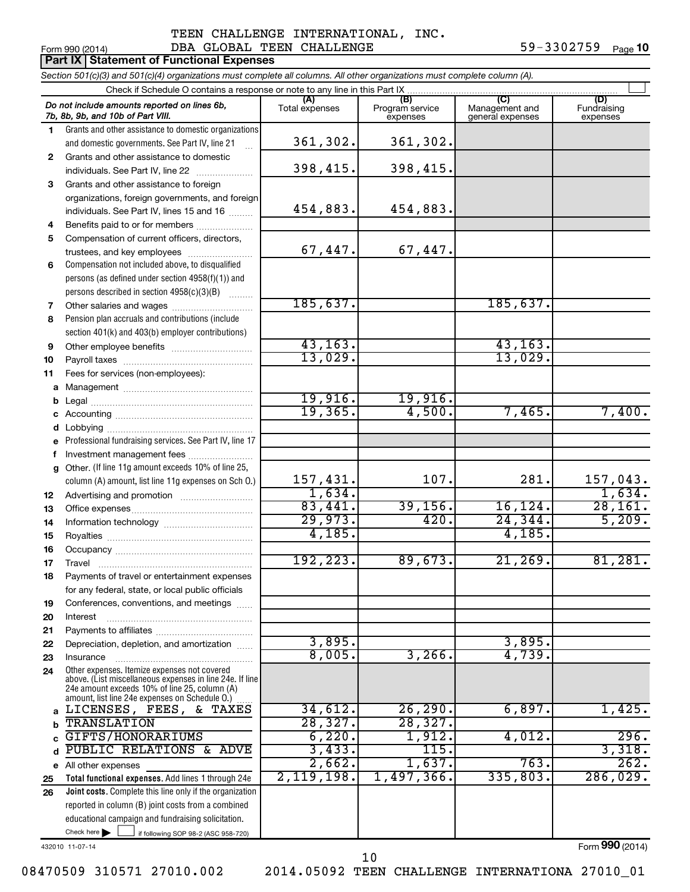#### Form 990 (2014) **DBA GLOBAL TEEN CHALLENGE** Form 990 (2014)  $59-3302759$  Page TEEN CHALLENGE INTERNATIONAL, INC.

|              | <b>Part IX Statement of Functional Expenses</b>                                                                                                                                                               |                       |                                    |                                           |                                |
|--------------|---------------------------------------------------------------------------------------------------------------------------------------------------------------------------------------------------------------|-----------------------|------------------------------------|-------------------------------------------|--------------------------------|
|              | Section 501(c)(3) and 501(c)(4) organizations must complete all columns. All other organizations must complete column (A).                                                                                    |                       |                                    |                                           |                                |
|              |                                                                                                                                                                                                               |                       |                                    |                                           |                                |
|              | Do not include amounts reported on lines 6b,<br>7b, 8b, 9b, and 10b of Part VIII.                                                                                                                             | (A)<br>Total expenses | (B)<br>Program service<br>expenses | (C)<br>Management and<br>general expenses | (D)<br>Fundraising<br>expenses |
| 1.           | Grants and other assistance to domestic organizations                                                                                                                                                         |                       |                                    |                                           |                                |
|              | and domestic governments. See Part IV, line 21                                                                                                                                                                | 361,302.              | 361,302.                           |                                           |                                |
| $\mathbf{2}$ | Grants and other assistance to domestic                                                                                                                                                                       |                       |                                    |                                           |                                |
|              |                                                                                                                                                                                                               | 398,415.              | 398,415.                           |                                           |                                |
| 3            | Grants and other assistance to foreign                                                                                                                                                                        |                       |                                    |                                           |                                |
|              | organizations, foreign governments, and foreign                                                                                                                                                               |                       |                                    |                                           |                                |
|              | individuals. See Part IV, lines 15 and 16                                                                                                                                                                     | 454,883.              | 454,883.                           |                                           |                                |
| 4            | Benefits paid to or for members                                                                                                                                                                               |                       |                                    |                                           |                                |
| 5            | Compensation of current officers, directors,                                                                                                                                                                  |                       |                                    |                                           |                                |
|              |                                                                                                                                                                                                               | 67,447.               | 67,447.                            |                                           |                                |
| 6            | Compensation not included above, to disqualified                                                                                                                                                              |                       |                                    |                                           |                                |
|              | persons (as defined under section 4958(f)(1)) and                                                                                                                                                             |                       |                                    |                                           |                                |
|              | persons described in section 4958(c)(3)(B)                                                                                                                                                                    | 185,637.              |                                    | 185,637.                                  |                                |
| 7            | Other salaries and wages                                                                                                                                                                                      |                       |                                    |                                           |                                |
| 8            | Pension plan accruals and contributions (include                                                                                                                                                              |                       |                                    |                                           |                                |
|              | section 401(k) and 403(b) employer contributions)                                                                                                                                                             | 43, 163.              |                                    | 43, 163.                                  |                                |
| 9<br>10      | Other employee benefits                                                                                                                                                                                       | 13,029.               |                                    | 13,029.                                   |                                |
| 11           |                                                                                                                                                                                                               |                       |                                    |                                           |                                |
| a            | Fees for services (non-employees):                                                                                                                                                                            |                       |                                    |                                           |                                |
| b            |                                                                                                                                                                                                               | 19,916.               | 19,916.                            |                                           |                                |
| c            |                                                                                                                                                                                                               | 19,365.               | 4,500.                             | 7,465.                                    | 7,400.                         |
| d            |                                                                                                                                                                                                               |                       |                                    |                                           |                                |
| е            | Professional fundraising services. See Part IV, line 17                                                                                                                                                       |                       |                                    |                                           |                                |
| f            | Investment management fees                                                                                                                                                                                    |                       |                                    |                                           |                                |
| g            | Other. (If line 11g amount exceeds 10% of line 25,                                                                                                                                                            |                       |                                    |                                           |                                |
|              | column (A) amount, list line 11g expenses on Sch O.)                                                                                                                                                          | 157,431.              | 107.                               | 281.                                      | 157,043.                       |
| 12           |                                                                                                                                                                                                               | 1,634.                |                                    |                                           | 1,634.                         |
| 13           |                                                                                                                                                                                                               | 83,441.               | 39,156.                            | 16, 124.                                  | 28,161.                        |
| 14           |                                                                                                                                                                                                               | 29,973.               | 420.                               | 24, 344.                                  | 5,209.                         |
| 15           |                                                                                                                                                                                                               | 4,185.                |                                    | 4,185.                                    |                                |
| 16           |                                                                                                                                                                                                               |                       |                                    |                                           |                                |
| 17           | Travel                                                                                                                                                                                                        | 192,223.              | 89,673.                            | 21,269.                                   | 81,281.                        |
| 18           | Payments of travel or entertainment expenses                                                                                                                                                                  |                       |                                    |                                           |                                |
|              | for any federal, state, or local public officials                                                                                                                                                             |                       |                                    |                                           |                                |
| 19           | Conferences, conventions, and meetings                                                                                                                                                                        |                       |                                    |                                           |                                |
| 20           | Interest                                                                                                                                                                                                      |                       |                                    |                                           |                                |
| 21           |                                                                                                                                                                                                               |                       |                                    |                                           |                                |
| 22           | Depreciation, depletion, and amortization                                                                                                                                                                     | 3,895.                |                                    | 3,895.                                    |                                |
| 23           | Insurance                                                                                                                                                                                                     | 8,005.                | 3,266.                             | 4,739.                                    |                                |
| 24           | Other expenses. Itemize expenses not covered<br>above. (List miscellaneous expenses in line 24e. If line<br>24e amount exceeds 10% of line 25, column (A)<br>amount, list line 24e expenses on Schedule O.) [ |                       |                                    |                                           |                                |
| a            | LICENSES, FEES, & TAXES                                                                                                                                                                                       | 34,612.               | 26, 290.                           | 6,897.                                    | 1,425.                         |
|              | <b>TRANSLATION</b>                                                                                                                                                                                            | 28,327.               | 28, 327.                           |                                           |                                |
|              | GIFTS/HONORARIUMS                                                                                                                                                                                             | 6,220.                | 1,912.                             | 4,012.                                    | 296.                           |
| d            | PUBLIC RELATIONS & ADVE                                                                                                                                                                                       | 3,433.                | 115.                               |                                           | 3,318.                         |
| е            | All other expenses                                                                                                                                                                                            | 2,662.                | 1,637.                             | 763.                                      | 262.                           |
| 25           | Total functional expenses. Add lines 1 through 24e                                                                                                                                                            | 2,119,198.            | 1,497,366.                         | 335,803.                                  | 286,029.                       |
| 26           | Joint costs. Complete this line only if the organization                                                                                                                                                      |                       |                                    |                                           |                                |
|              | reported in column (B) joint costs from a combined                                                                                                                                                            |                       |                                    |                                           |                                |
|              | educational campaign and fundraising solicitation.                                                                                                                                                            |                       |                                    |                                           |                                |
|              | Check here $\blacktriangleright$<br>if following SOP 98-2 (ASC 958-720)                                                                                                                                       |                       |                                    |                                           |                                |

432010 11-07-14

Form (2014) **990**

08470509 310571 27010.002 2014.05092 TEEN CHALLENGE INTERNATIONA 27010\_01

10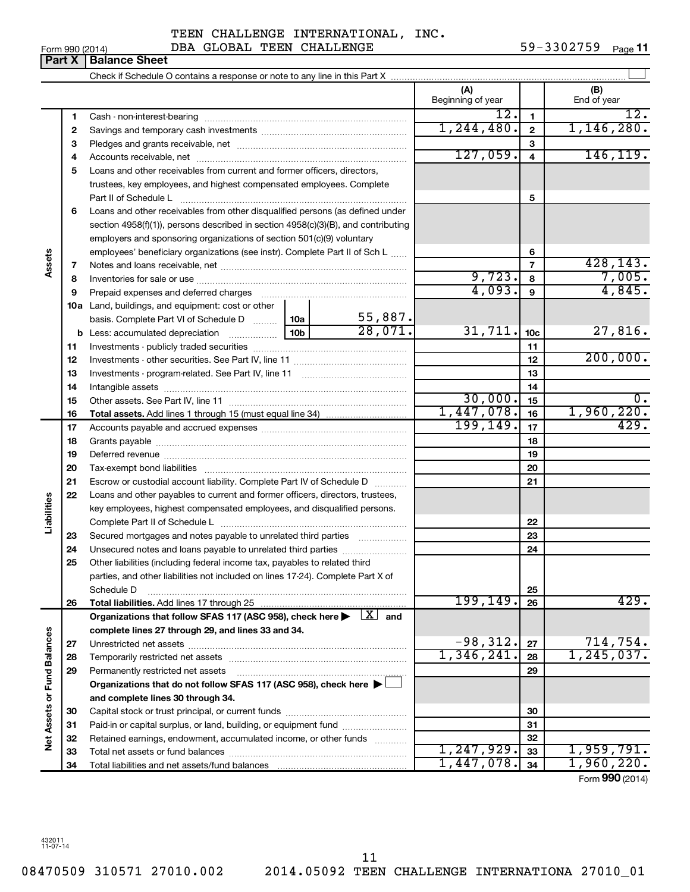| Form 990 (2014) |  |  |
|-----------------|--|--|
|-----------------|--|--|

Form 990 (2014) **DBA GLOBAL TEEN CHALLENGE** 59-3302759  $_{\text{Page}}$ 59-3302759 <sub>Page</sub> 11

**Part X** | Balance Sheet  $\perp$ Check if Schedule O contains a response or note to any line in this Part X **(A) (B)** Beginning of year  $\begin{vmatrix} 1 & 1 \end{vmatrix}$  End of year  $12.11$   $12.$ **1 1** Cash - non-interest-bearing ~~~~~~~~~~~~~~~~~~~~~~~~~ 1,244,480. 1,146,280. **2 2** Savings and temporary cash investments ~~~~~~~~~~~~~~~~~~ **3 3** Pledges and grants receivable, net ~~~~~~~~~~~~~~~~~~~~~  $127,059. |4| 146,119.$ **4 4** Accounts receivable, net ~~~~~~~~~~~~~~~~~~~~~~~~~~ **5** Loans and other receivables from current and former officers, directors, trustees, key employees, and highest compensated employees. Complete **5** Part II of Schedule L ~~~~~~~~~~~~~~~~~~~~~~~~~~~~ **6** Loans and other receivables from other disqualified persons (as defined under section 4958(f)(1)), persons described in section 4958(c)(3)(B), and contributing employers and sponsoring organizations of section 501(c)(9) voluntary employees' beneficiary organizations (see instr). Complete Part II of Sch L ...... **6 Assets** 428,143. **7 7** Notes and loans receivable, net ~~~~~~~~~~~~~~~~~~~~~~~  $9,723.$  8 7,005. **8 8** Inventories for sale or use ~~~~~~~~~~~~~~~~~~~~~~~~~~ 4,093. 4,845. **9 9** Prepaid expenses and deferred charges ~~~~~~~~~~~~~~~~~~ **10 a** Land, buildings, and equipment: cost or other 55,887. basis. Complete Part VI of Schedule D  $\frac{1}{10}$  10a  $28,071.$  31,  $711.$   $10c$  27, 816. **10c b** Less: accumulated depreciation  $\ldots$  [10b **11 11** Investments - publicly traded securities ~~~~~~~~~~~~~~~~~~~ 200,000. **12 12** Investments - other securities. See Part IV, line 11 ~~~~~~~~~~~~~~ **13 13** Investments - program-related. See Part IV, line 11 ~~~~~~~~~~~~~ **14 14** Intangible assets ~~~~~~~~~~~~~~~~~~~~~~~~~~~~~~  $30,000$ .  $15$  0. **15** Other assets. See Part IV, line 11 ~~~~~~~~~~~~~~~~~~~~~~ **15**  $1,447,078.$  16 1,960,220. **16 16 Total assets.**  Add lines 1 through 15 (must equal line 34) 199,149. 429. **17 17** Accounts payable and accrued expenses ~~~~~~~~~~~~~~~~~~ **18 18** Grants payable ~~~~~~~~~~~~~~~~~~~~~~~~~~~~~~~ **19 19** Deferred revenue ~~~~~~~~~~~~~~~~~~~~~~~~~~~~~~ **20 20** Tax-exempt bond liabilities ~~~~~~~~~~~~~~~~~~~~~~~~~ **21 21** Escrow or custodial account liability. Complete Part IV of Schedule D ........... **22** Loans and other payables to current and former officers, directors, trustees, **Liabilities** key employees, highest compensated employees, and disqualified persons. Complete Part II of Schedule L ~~~~~~~~~~~~~~~~~~~~~~~ **22** Secured mortgages and notes payable to unrelated third parties  $\ldots$  ................. **23 23 24** Unsecured notes and loans payable to unrelated third parties ~~~~~~~~ **24 25** Other liabilities (including federal income tax, payables to related third parties, and other liabilities not included on lines 17-24). Complete Part X of Schedule D ~~~~~~~~~~~~~~~~~~~~~~~~~~~~~~~~ **25** 199,149. 429. **26 26 Total liabilities.**  Add lines 17 through 25 Organizations that follow SFAS 117 (ASC 958), check here  $\blacktriangleright$   $\boxed{X}$  and **complete lines 27 through 29, and lines 33 and 34. Vet Assets or Fund Balances Net Assets or Fund Balances**  $-98,312.$   $27$   $714,754.$ **27 27** Unrestricted net assets ~~~~~~~~~~~~~~~~~~~~~~~~~~~  $1,346,241. |28 | 1,245,037.$ **28 28** Temporarily restricted net assets ~~~~~~~~~~~~~~~~~~~~~~ **29 29** Permanently restricted net assets ~~~~~~~~~~~~~~~~~~~~~ **Organizations that do not follow SFAS 117 (ASC 958), check here** | † **and complete lines 30 through 34. 30 30** Capital stock or trust principal, or current funds ~~~~~~~~~~~~~~~ **31 31** Paid-in or capital surplus, or land, building, or equipment fund ....................... **32 32** Retained earnings, endowment, accumulated income, or other funds ............  $1,247,929.$  33 1,959,791. **33** Total net assets or fund balances ~~~~~~~~~~~~~~~~~~~~~~ **33** 1,447,078. 1,960,220. **34 34** Total liabilities and net assets/fund balances

Form (2014) **990**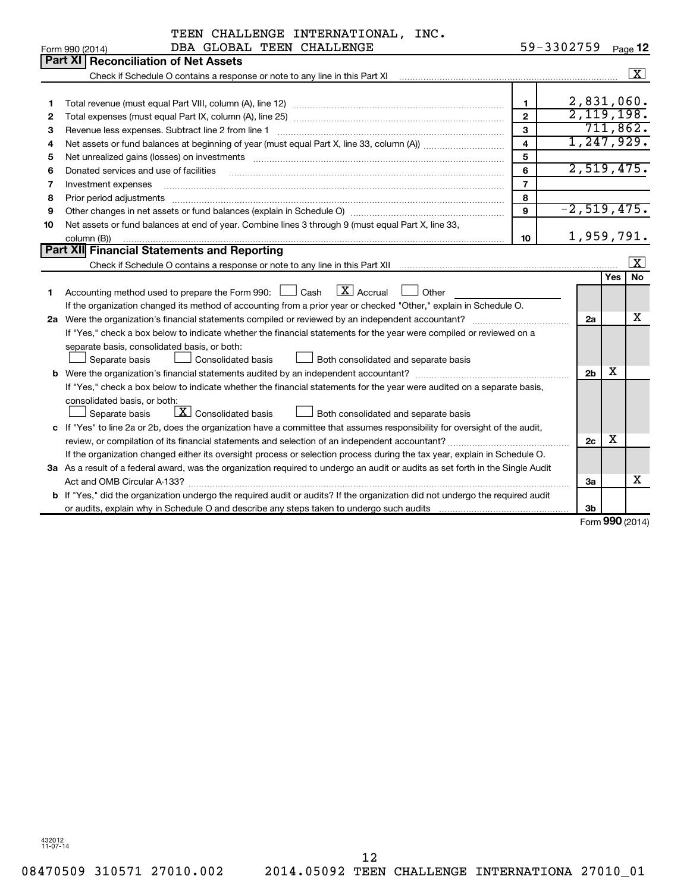|              | TEEN CHALLENGE INTERNATIONAL, INC.                                                                                                   |                         |                |     |                         |
|--------------|--------------------------------------------------------------------------------------------------------------------------------------|-------------------------|----------------|-----|-------------------------|
|              | DBA GLOBAL TEEN CHALLENGE<br>Form 990 (2014)                                                                                         | 59-3302759              |                |     | Page 12                 |
|              | Part XI<br><b>Reconciliation of Net Assets</b>                                                                                       |                         |                |     |                         |
|              | Check if Schedule O contains a response or note to any line in this Part XI                                                          |                         |                |     | $\overline{\mathbf{x}}$ |
|              |                                                                                                                                      |                         |                |     |                         |
| 1            |                                                                                                                                      | 1                       | $2,831,060$ .  |     |                         |
| $\mathbf{2}$ |                                                                                                                                      | $\overline{2}$          | 2,119,198.     |     |                         |
| 3            | Revenue less expenses. Subtract line 2 from line 1                                                                                   | 3                       |                |     | 711,862.                |
| 4            |                                                                                                                                      | $\overline{\mathbf{4}}$ | 1, 247, 929.   |     |                         |
| 5            | Net unrealized gains (losses) on investments                                                                                         | 5                       |                |     |                         |
| 6            | Donated services and use of facilities                                                                                               | 6                       | 2,519,475.     |     |                         |
| 7            | Investment expenses                                                                                                                  | $\overline{7}$          |                |     |                         |
| 8            | Prior period adjustments                                                                                                             | 8                       |                |     |                         |
| 9            |                                                                                                                                      | $\mathbf{Q}$            | $-2,519,475.$  |     |                         |
| 10           | Net assets or fund balances at end of year. Combine lines 3 through 9 (must equal Part X, line 33,                                   |                         |                |     |                         |
|              | column (B))                                                                                                                          | 10                      | 1,959,791.     |     |                         |
|              | Part XII Financial Statements and Reporting                                                                                          |                         |                |     |                         |
|              | Check if Schedule O contains a response or note to any line in this Part XII                                                         |                         |                |     | $\vert x \vert$         |
|              |                                                                                                                                      |                         |                | Yes | <b>No</b>               |
| 1            | $\lfloor \mathbf{X} \rfloor$ Accrual<br>Accounting method used to prepare the Form 990: [130] Cash<br>Other                          |                         |                |     |                         |
|              | If the organization changed its method of accounting from a prior year or checked "Other," explain in Schedule O.                    |                         |                |     |                         |
|              | 2a Were the organization's financial statements compiled or reviewed by an independent accountant?                                   |                         | 2a             |     | х                       |
|              | If "Yes," check a box below to indicate whether the financial statements for the year were compiled or reviewed on a                 |                         |                |     |                         |
|              | separate basis, consolidated basis, or both:                                                                                         |                         |                |     |                         |
|              | Separate basis<br>Consolidated basis<br>Both consolidated and separate basis                                                         |                         |                |     |                         |
|              |                                                                                                                                      |                         | 2 <sub>b</sub> | x   |                         |
|              | If "Yes," check a box below to indicate whether the financial statements for the year were audited on a separate basis,              |                         |                |     |                         |
|              | consolidated basis, or both:                                                                                                         |                         |                |     |                         |
|              | $\lfloor \underline{X} \rfloor$ Consolidated basis<br>Separate basis<br>Both consolidated and separate basis                         |                         |                |     |                         |
|              | c If "Yes" to line 2a or 2b, does the organization have a committee that assumes responsibility for oversight of the audit,          |                         |                |     |                         |
|              |                                                                                                                                      |                         | 2c             | х   |                         |
|              | If the organization changed either its oversight process or selection process during the tax year, explain in Schedule O.            |                         |                |     |                         |
|              | 3a As a result of a federal award, was the organization required to undergo an audit or audits as set forth in the Single Audit      |                         |                |     |                         |
|              |                                                                                                                                      |                         | 3a             |     | х                       |
|              | <b>b</b> If "Yes," did the organization undergo the required audit or audits? If the organization did not undergo the required audit |                         |                |     |                         |
|              |                                                                                                                                      |                         | 3b             |     |                         |
|              |                                                                                                                                      |                         |                |     | Form $990(2014)$        |

Form (2014) **990**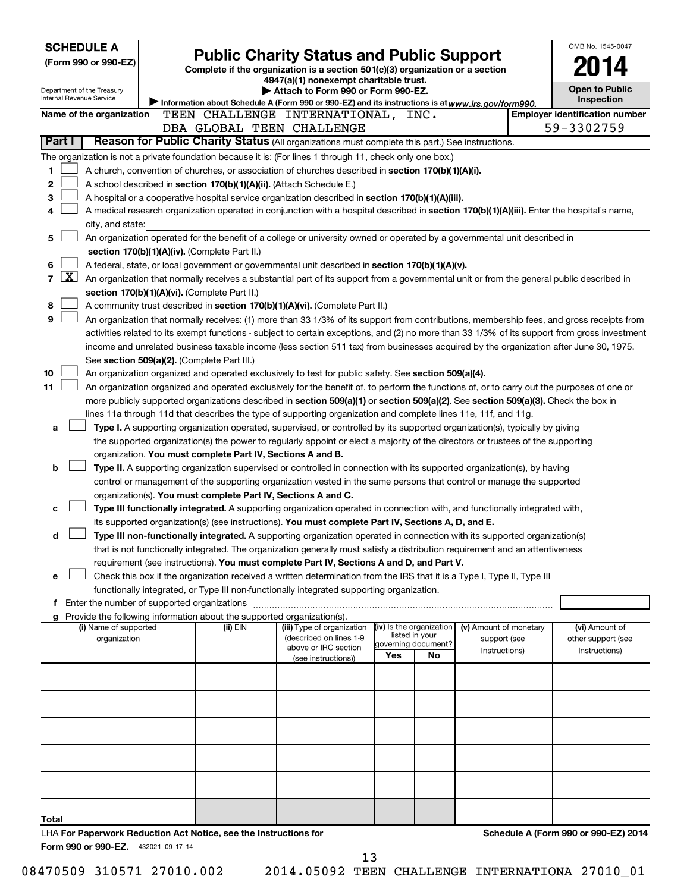| <b>SCHEDULE A</b> |                                               |  |                                                                        |                                                                                                                                                                                                                                                                                            |                          |                                       |                        |  | OMB No. 1545-0047                     |  |  |
|-------------------|-----------------------------------------------|--|------------------------------------------------------------------------|--------------------------------------------------------------------------------------------------------------------------------------------------------------------------------------------------------------------------------------------------------------------------------------------|--------------------------|---------------------------------------|------------------------|--|---------------------------------------|--|--|
|                   | (Form 990 or 990-EZ)                          |  |                                                                        | <b>Public Charity Status and Public Support</b>                                                                                                                                                                                                                                            |                          |                                       |                        |  |                                       |  |  |
|                   |                                               |  |                                                                        | Complete if the organization is a section 501(c)(3) organization or a section<br>4947(a)(1) nonexempt charitable trust.                                                                                                                                                                    |                          |                                       |                        |  |                                       |  |  |
|                   | Department of the Treasury                    |  |                                                                        | Attach to Form 990 or Form 990-EZ.                                                                                                                                                                                                                                                         |                          |                                       |                        |  | <b>Open to Public</b>                 |  |  |
|                   | Internal Revenue Service                      |  |                                                                        | Information about Schedule A (Form 990 or 990-EZ) and its instructions is at www.irs.gov/form990.                                                                                                                                                                                          |                          |                                       |                        |  | Inspection                            |  |  |
|                   | Name of the organization                      |  |                                                                        | TEEN CHALLENGE INTERNATIONAL, INC.                                                                                                                                                                                                                                                         |                          |                                       |                        |  | <b>Employer identification number</b> |  |  |
|                   | Part I                                        |  |                                                                        | DBA GLOBAL TEEN CHALLENGE<br>Reason for Public Charity Status (All organizations must complete this part.) See instructions.                                                                                                                                                               |                          |                                       |                        |  | 59-3302759                            |  |  |
|                   |                                               |  |                                                                        |                                                                                                                                                                                                                                                                                            |                          |                                       |                        |  |                                       |  |  |
| 1                 |                                               |  |                                                                        | The organization is not a private foundation because it is: (For lines 1 through 11, check only one box.)<br>A church, convention of churches, or association of churches described in section 170(b)(1)(A)(i).                                                                            |                          |                                       |                        |  |                                       |  |  |
| 2                 |                                               |  | A school described in section 170(b)(1)(A)(ii). (Attach Schedule E.)   |                                                                                                                                                                                                                                                                                            |                          |                                       |                        |  |                                       |  |  |
| 3                 |                                               |  |                                                                        | A hospital or a cooperative hospital service organization described in section 170(b)(1)(A)(iii).                                                                                                                                                                                          |                          |                                       |                        |  |                                       |  |  |
| 4                 |                                               |  |                                                                        | A medical research organization operated in conjunction with a hospital described in section 170(b)(1)(A)(iii). Enter the hospital's name,                                                                                                                                                 |                          |                                       |                        |  |                                       |  |  |
|                   | city, and state:                              |  |                                                                        |                                                                                                                                                                                                                                                                                            |                          |                                       |                        |  |                                       |  |  |
| 5                 |                                               |  |                                                                        | An organization operated for the benefit of a college or university owned or operated by a governmental unit described in                                                                                                                                                                  |                          |                                       |                        |  |                                       |  |  |
|                   |                                               |  | section 170(b)(1)(A)(iv). (Complete Part II.)                          |                                                                                                                                                                                                                                                                                            |                          |                                       |                        |  |                                       |  |  |
| 6                 |                                               |  |                                                                        | A federal, state, or local government or governmental unit described in section $170(b)(1)(A)(v)$ .                                                                                                                                                                                        |                          |                                       |                        |  |                                       |  |  |
| 7                 | <u>x  </u>                                    |  |                                                                        | An organization that normally receives a substantial part of its support from a governmental unit or from the general public described in                                                                                                                                                  |                          |                                       |                        |  |                                       |  |  |
|                   |                                               |  | section 170(b)(1)(A)(vi). (Complete Part II.)                          |                                                                                                                                                                                                                                                                                            |                          |                                       |                        |  |                                       |  |  |
| 8<br>9            |                                               |  |                                                                        | A community trust described in section 170(b)(1)(A)(vi). (Complete Part II.)                                                                                                                                                                                                               |                          |                                       |                        |  |                                       |  |  |
|                   |                                               |  |                                                                        | An organization that normally receives: (1) more than 33 1/3% of its support from contributions, membership fees, and gross receipts from<br>activities related to its exempt functions - subject to certain exceptions, and (2) no more than 33 1/3% of its support from gross investment |                          |                                       |                        |  |                                       |  |  |
|                   |                                               |  |                                                                        | income and unrelated business taxable income (less section 511 tax) from businesses acquired by the organization after June 30, 1975.                                                                                                                                                      |                          |                                       |                        |  |                                       |  |  |
|                   |                                               |  | See section 509(a)(2). (Complete Part III.)                            |                                                                                                                                                                                                                                                                                            |                          |                                       |                        |  |                                       |  |  |
| 10                |                                               |  |                                                                        | An organization organized and operated exclusively to test for public safety. See section 509(a)(4).                                                                                                                                                                                       |                          |                                       |                        |  |                                       |  |  |
| 11                |                                               |  |                                                                        | An organization organized and operated exclusively for the benefit of, to perform the functions of, or to carry out the purposes of one or                                                                                                                                                 |                          |                                       |                        |  |                                       |  |  |
|                   |                                               |  |                                                                        | more publicly supported organizations described in section 509(a)(1) or section 509(a)(2). See section 509(a)(3). Check the box in                                                                                                                                                         |                          |                                       |                        |  |                                       |  |  |
|                   |                                               |  |                                                                        | lines 11a through 11d that describes the type of supporting organization and complete lines 11e, 11f, and 11g.                                                                                                                                                                             |                          |                                       |                        |  |                                       |  |  |
| a                 |                                               |  |                                                                        | Type I. A supporting organization operated, supervised, or controlled by its supported organization(s), typically by giving                                                                                                                                                                |                          |                                       |                        |  |                                       |  |  |
|                   |                                               |  |                                                                        | the supported organization(s) the power to regularly appoint or elect a majority of the directors or trustees of the supporting                                                                                                                                                            |                          |                                       |                        |  |                                       |  |  |
| b                 |                                               |  | organization. You must complete Part IV, Sections A and B.             | Type II. A supporting organization supervised or controlled in connection with its supported organization(s), by having                                                                                                                                                                    |                          |                                       |                        |  |                                       |  |  |
|                   |                                               |  |                                                                        | control or management of the supporting organization vested in the same persons that control or manage the supported                                                                                                                                                                       |                          |                                       |                        |  |                                       |  |  |
|                   |                                               |  | organization(s). You must complete Part IV, Sections A and C.          |                                                                                                                                                                                                                                                                                            |                          |                                       |                        |  |                                       |  |  |
| с                 |                                               |  |                                                                        | Type III functionally integrated. A supporting organization operated in connection with, and functionally integrated with,                                                                                                                                                                 |                          |                                       |                        |  |                                       |  |  |
|                   |                                               |  |                                                                        | its supported organization(s) (see instructions). You must complete Part IV, Sections A, D, and E.                                                                                                                                                                                         |                          |                                       |                        |  |                                       |  |  |
| d                 |                                               |  |                                                                        | Type III non-functionally integrated. A supporting organization operated in connection with its supported organization(s)                                                                                                                                                                  |                          |                                       |                        |  |                                       |  |  |
|                   |                                               |  |                                                                        | that is not functionally integrated. The organization generally must satisfy a distribution requirement and an attentiveness                                                                                                                                                               |                          |                                       |                        |  |                                       |  |  |
|                   |                                               |  |                                                                        | requirement (see instructions). You must complete Part IV, Sections A and D, and Part V.                                                                                                                                                                                                   |                          |                                       |                        |  |                                       |  |  |
| е                 |                                               |  |                                                                        | Check this box if the organization received a written determination from the IRS that it is a Type I, Type II, Type III                                                                                                                                                                    |                          |                                       |                        |  |                                       |  |  |
|                   |                                               |  |                                                                        | functionally integrated, or Type III non-functionally integrated supporting organization.                                                                                                                                                                                                  |                          |                                       |                        |  |                                       |  |  |
| g                 | f Enter the number of supported organizations |  | Provide the following information about the supported organization(s). |                                                                                                                                                                                                                                                                                            |                          |                                       |                        |  |                                       |  |  |
|                   | (i) Name of supported                         |  | (ii) EIN                                                               | (iii) Type of organization                                                                                                                                                                                                                                                                 | (iv) Is the organization |                                       | (v) Amount of monetary |  | (vi) Amount of                        |  |  |
|                   | organization                                  |  |                                                                        | (described on lines 1-9<br>above or IRC section                                                                                                                                                                                                                                            |                          | listed in your<br>governing document? | support (see           |  | other support (see                    |  |  |
|                   |                                               |  |                                                                        | (see instructions))                                                                                                                                                                                                                                                                        | Yes                      | No                                    | Instructions)          |  | Instructions)                         |  |  |
|                   |                                               |  |                                                                        |                                                                                                                                                                                                                                                                                            |                          |                                       |                        |  |                                       |  |  |
|                   |                                               |  |                                                                        |                                                                                                                                                                                                                                                                                            |                          |                                       |                        |  |                                       |  |  |
|                   |                                               |  |                                                                        |                                                                                                                                                                                                                                                                                            |                          |                                       |                        |  |                                       |  |  |
|                   |                                               |  |                                                                        |                                                                                                                                                                                                                                                                                            |                          |                                       |                        |  |                                       |  |  |
|                   |                                               |  |                                                                        |                                                                                                                                                                                                                                                                                            |                          |                                       |                        |  |                                       |  |  |
|                   |                                               |  |                                                                        |                                                                                                                                                                                                                                                                                            |                          |                                       |                        |  |                                       |  |  |
|                   |                                               |  |                                                                        |                                                                                                                                                                                                                                                                                            |                          |                                       |                        |  |                                       |  |  |
|                   |                                               |  |                                                                        |                                                                                                                                                                                                                                                                                            |                          |                                       |                        |  |                                       |  |  |
|                   |                                               |  |                                                                        |                                                                                                                                                                                                                                                                                            |                          |                                       |                        |  |                                       |  |  |
|                   |                                               |  |                                                                        |                                                                                                                                                                                                                                                                                            |                          |                                       |                        |  |                                       |  |  |
| Total             |                                               |  |                                                                        |                                                                                                                                                                                                                                                                                            |                          |                                       |                        |  |                                       |  |  |
|                   | Form 990 or 990-EZ. 432021 09-17-14           |  | LHA For Paperwork Reduction Act Notice, see the Instructions for       |                                                                                                                                                                                                                                                                                            |                          |                                       |                        |  | Schedule A (Form 990 or 990-EZ) 2014  |  |  |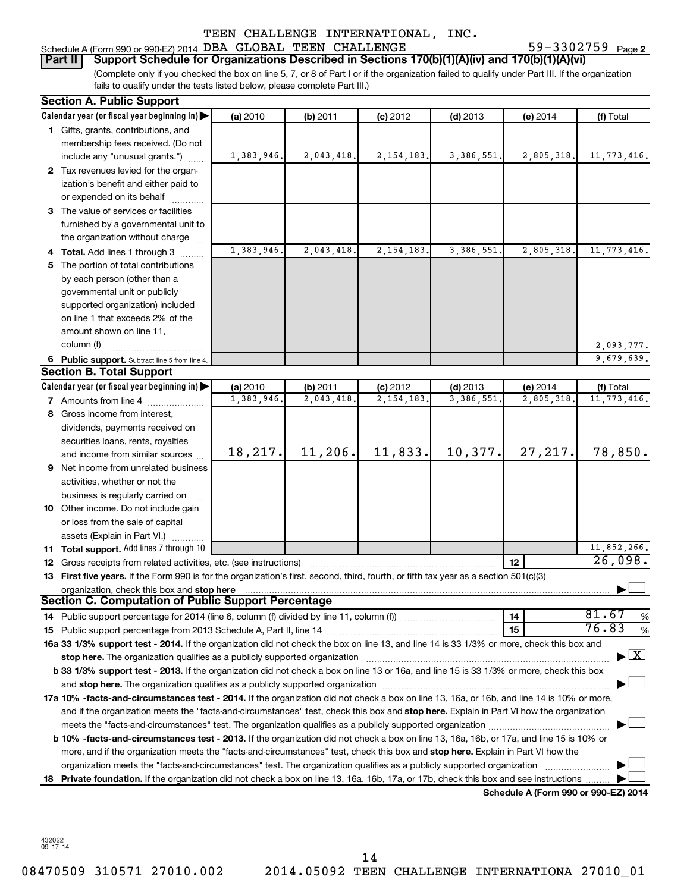59-3302759 Page 2 Schedule A (Form 990 or 990-EZ) 2014 DBA GLOBAL TEEN CHALLENGE  $59-3302759$  Page

## **Part II Support Schedule for Organizations Described in Sections 170(b)(1)(A)(iv) and 170(b)(1)(A)(vi)**

(Complete only if you checked the box on line 5, 7, or 8 of Part I or if the organization failed to qualify under Part III. If the organization fails to qualify under the tests listed below, please complete Part III.)

| <b>Section A. Public Support</b>                                                                                                                                                                                                                                                                                                                                           |            |            |              |              |                                      |                                          |
|----------------------------------------------------------------------------------------------------------------------------------------------------------------------------------------------------------------------------------------------------------------------------------------------------------------------------------------------------------------------------|------------|------------|--------------|--------------|--------------------------------------|------------------------------------------|
| Calendar year (or fiscal year beginning in)                                                                                                                                                                                                                                                                                                                                | (a) 2010   | (b) 2011   | $(c)$ 2012   | $(d)$ 2013   | (e) 2014                             | (f) Total                                |
| 1 Gifts, grants, contributions, and                                                                                                                                                                                                                                                                                                                                        |            |            |              |              |                                      |                                          |
| membership fees received. (Do not                                                                                                                                                                                                                                                                                                                                          |            |            |              |              |                                      |                                          |
| include any "unusual grants.")                                                                                                                                                                                                                                                                                                                                             | 1,383,946. | 2,043,418. | 2, 154, 183. | 3, 386, 551. | 2,805,318.                           | 11,773,416.                              |
| 2 Tax revenues levied for the organ-                                                                                                                                                                                                                                                                                                                                       |            |            |              |              |                                      |                                          |
| ization's benefit and either paid to                                                                                                                                                                                                                                                                                                                                       |            |            |              |              |                                      |                                          |
| or expended on its behalf                                                                                                                                                                                                                                                                                                                                                  |            |            |              |              |                                      |                                          |
| 3 The value of services or facilities                                                                                                                                                                                                                                                                                                                                      |            |            |              |              |                                      |                                          |
| furnished by a governmental unit to                                                                                                                                                                                                                                                                                                                                        |            |            |              |              |                                      |                                          |
| the organization without charge                                                                                                                                                                                                                                                                                                                                            |            |            |              |              |                                      |                                          |
| 4 Total. Add lines 1 through 3                                                                                                                                                                                                                                                                                                                                             | 1,383,946. | 2,043,418. | 2, 154, 183  | 3,386,551.   | 2,805,318.                           | 11,773,416.                              |
| 5 The portion of total contributions                                                                                                                                                                                                                                                                                                                                       |            |            |              |              |                                      |                                          |
| by each person (other than a                                                                                                                                                                                                                                                                                                                                               |            |            |              |              |                                      |                                          |
| governmental unit or publicly                                                                                                                                                                                                                                                                                                                                              |            |            |              |              |                                      |                                          |
| supported organization) included                                                                                                                                                                                                                                                                                                                                           |            |            |              |              |                                      |                                          |
| on line 1 that exceeds 2% of the                                                                                                                                                                                                                                                                                                                                           |            |            |              |              |                                      |                                          |
| amount shown on line 11,                                                                                                                                                                                                                                                                                                                                                   |            |            |              |              |                                      |                                          |
| column (f)                                                                                                                                                                                                                                                                                                                                                                 |            |            |              |              |                                      | 2,093,777.                               |
| 6 Public support. Subtract line 5 from line 4.                                                                                                                                                                                                                                                                                                                             |            |            |              |              |                                      | 9,679,639.                               |
| <b>Section B. Total Support</b>                                                                                                                                                                                                                                                                                                                                            |            |            |              |              |                                      |                                          |
| Calendar year (or fiscal year beginning in)                                                                                                                                                                                                                                                                                                                                | (a) 2010   | (b) 2011   | $(c)$ 2012   | $(d)$ 2013   | (e) 2014                             | (f) Total                                |
| <b>7</b> Amounts from line 4                                                                                                                                                                                                                                                                                                                                               | 1,383,946  | 2,043,418  | 2, 154, 183  | 3,386,551    | 2,805,318                            | 11,773,416.                              |
| 8 Gross income from interest,                                                                                                                                                                                                                                                                                                                                              |            |            |              |              |                                      |                                          |
| dividends, payments received on                                                                                                                                                                                                                                                                                                                                            |            |            |              |              |                                      |                                          |
| securities loans, rents, royalties                                                                                                                                                                                                                                                                                                                                         |            |            |              |              |                                      |                                          |
| and income from similar sources                                                                                                                                                                                                                                                                                                                                            | 18, 217.   | 11,206.    | 11,833.      | 10,377.      | 27, 217.                             | 78,850.                                  |
| 9 Net income from unrelated business                                                                                                                                                                                                                                                                                                                                       |            |            |              |              |                                      |                                          |
| activities, whether or not the                                                                                                                                                                                                                                                                                                                                             |            |            |              |              |                                      |                                          |
| business is regularly carried on                                                                                                                                                                                                                                                                                                                                           |            |            |              |              |                                      |                                          |
| 10 Other income. Do not include gain                                                                                                                                                                                                                                                                                                                                       |            |            |              |              |                                      |                                          |
| or loss from the sale of capital                                                                                                                                                                                                                                                                                                                                           |            |            |              |              |                                      |                                          |
| assets (Explain in Part VI.)                                                                                                                                                                                                                                                                                                                                               |            |            |              |              |                                      |                                          |
| 11 Total support. Add lines 7 through 10                                                                                                                                                                                                                                                                                                                                   |            |            |              |              |                                      | 11,852,266.                              |
| <b>12</b> Gross receipts from related activities, etc. (see instructions)                                                                                                                                                                                                                                                                                                  |            |            |              |              | 12                                   | 26,098.                                  |
| 13 First five years. If the Form 990 is for the organization's first, second, third, fourth, or fifth tax year as a section 501(c)(3)                                                                                                                                                                                                                                      |            |            |              |              |                                      |                                          |
| organization, check this box and stop here<br>Section C. Computation of Public Support Percentage                                                                                                                                                                                                                                                                          |            |            |              |              |                                      |                                          |
|                                                                                                                                                                                                                                                                                                                                                                            |            |            |              |              |                                      | 81.67                                    |
|                                                                                                                                                                                                                                                                                                                                                                            |            |            |              |              | 14<br>15                             | %<br>76.83                               |
| 16a 33 1/3% support test - 2014. If the organization did not check the box on line 13, and line 14 is 33 1/3% or more, check this box and                                                                                                                                                                                                                                  |            |            |              |              |                                      | $\%$                                     |
|                                                                                                                                                                                                                                                                                                                                                                            |            |            |              |              |                                      | $\blacktriangleright$ $\boxed{\text{X}}$ |
| stop here. The organization qualifies as a publicly supported organization manufaction manufacture content and the state of the state of the state of the state of the state of the state of the state of the state of the sta<br>b 33 1/3% support test - 2013. If the organization did not check a box on line 13 or 16a, and line 15 is 33 1/3% or more, check this box |            |            |              |              |                                      |                                          |
|                                                                                                                                                                                                                                                                                                                                                                            |            |            |              |              |                                      |                                          |
| 17a 10% -facts-and-circumstances test - 2014. If the organization did not check a box on line 13, 16a, or 16b, and line 14 is 10% or more,                                                                                                                                                                                                                                 |            |            |              |              |                                      |                                          |
| and if the organization meets the "facts-and-circumstances" test, check this box and stop here. Explain in Part VI how the organization                                                                                                                                                                                                                                    |            |            |              |              |                                      |                                          |
| meets the "facts-and-circumstances" test. The organization qualifies as a publicly supported organization                                                                                                                                                                                                                                                                  |            |            |              |              |                                      |                                          |
| b 10% -facts-and-circumstances test - 2013. If the organization did not check a box on line 13, 16a, 16b, or 17a, and line 15 is 10% or                                                                                                                                                                                                                                    |            |            |              |              |                                      |                                          |
| more, and if the organization meets the "facts-and-circumstances" test, check this box and stop here. Explain in Part VI how the                                                                                                                                                                                                                                           |            |            |              |              |                                      |                                          |
| organization meets the "facts-and-circumstances" test. The organization qualifies as a publicly supported organization                                                                                                                                                                                                                                                     |            |            |              |              |                                      |                                          |
| 18 Private foundation. If the organization did not check a box on line 13, 16a, 16b, 17a, or 17b, check this box and see instructions                                                                                                                                                                                                                                      |            |            |              |              |                                      |                                          |
|                                                                                                                                                                                                                                                                                                                                                                            |            |            |              |              | Schedule A (Form 990 or 990-EZ) 2014 |                                          |

432022 09-17-14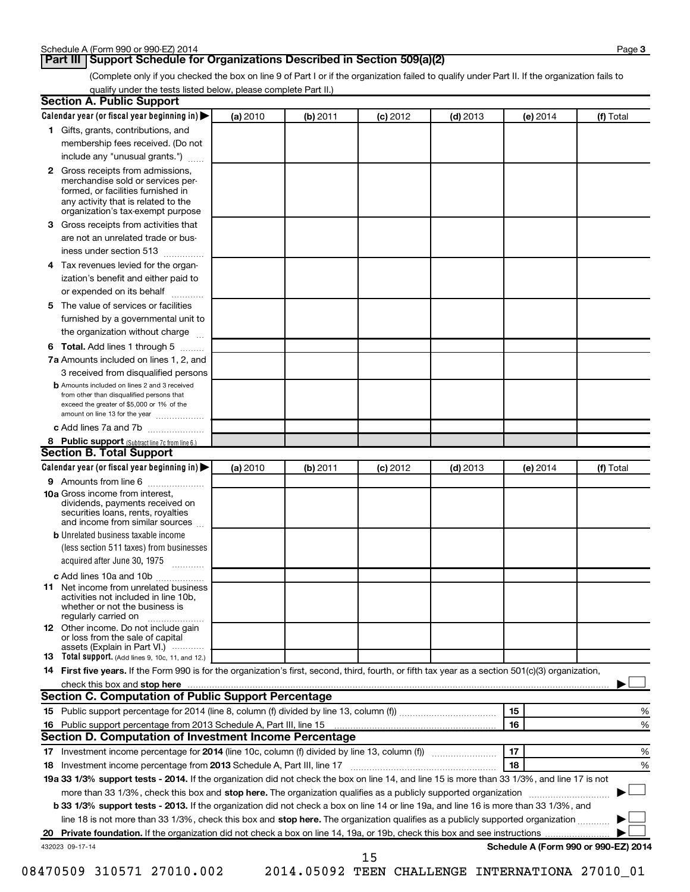#### **Part III Support Schedule for Organizations Described in Section 509(a)(2)**

(Complete only if you checked the box on line 9 of Part I or if the organization failed to qualify under Part II. If the organization fails to qualify under the tests listed below, please complete Part II.)

| <b>Section A. Public Support</b>                                                                                                                                                 |          |          |            |            |                                      |           |
|----------------------------------------------------------------------------------------------------------------------------------------------------------------------------------|----------|----------|------------|------------|--------------------------------------|-----------|
| Calendar year (or fiscal year beginning in)                                                                                                                                      | (a) 2010 | (b) 2011 | $(c)$ 2012 | $(d)$ 2013 | (e) 2014                             | (f) Total |
| 1 Gifts, grants, contributions, and                                                                                                                                              |          |          |            |            |                                      |           |
| membership fees received. (Do not                                                                                                                                                |          |          |            |            |                                      |           |
| include any "unusual grants.")                                                                                                                                                   |          |          |            |            |                                      |           |
| 2 Gross receipts from admissions,<br>merchandise sold or services per-<br>formed, or facilities furnished in<br>any activity that is related to the                              |          |          |            |            |                                      |           |
| organization's tax-exempt purpose<br>3 Gross receipts from activities that                                                                                                       |          |          |            |            |                                      |           |
| are not an unrelated trade or bus-                                                                                                                                               |          |          |            |            |                                      |           |
| iness under section 513                                                                                                                                                          |          |          |            |            |                                      |           |
|                                                                                                                                                                                  |          |          |            |            |                                      |           |
| 4 Tax revenues levied for the organ-                                                                                                                                             |          |          |            |            |                                      |           |
| ization's benefit and either paid to<br>or expended on its behalf                                                                                                                |          |          |            |            |                                      |           |
| .<br>5 The value of services or facilities                                                                                                                                       |          |          |            |            |                                      |           |
| furnished by a governmental unit to                                                                                                                                              |          |          |            |            |                                      |           |
| the organization without charge                                                                                                                                                  |          |          |            |            |                                      |           |
| 6 Total. Add lines 1 through 5                                                                                                                                                   |          |          |            |            |                                      |           |
| 7a Amounts included on lines 1, 2, and                                                                                                                                           |          |          |            |            |                                      |           |
| 3 received from disqualified persons                                                                                                                                             |          |          |            |            |                                      |           |
| <b>b</b> Amounts included on lines 2 and 3 received<br>from other than disqualified persons that<br>exceed the greater of \$5,000 or 1% of the<br>amount on line 13 for the year |          |          |            |            |                                      |           |
| c Add lines 7a and 7b                                                                                                                                                            |          |          |            |            |                                      |           |
| 8 Public support (Subtract line 7c from line 6.)                                                                                                                                 |          |          |            |            |                                      |           |
| <b>Section B. Total Support</b>                                                                                                                                                  |          |          |            |            |                                      |           |
| Calendar year (or fiscal year beginning in)                                                                                                                                      | (a) 2010 | (b) 2011 | $(c)$ 2012 | $(d)$ 2013 | (e) 2014                             | (f) Total |
| 9 Amounts from line 6                                                                                                                                                            |          |          |            |            |                                      |           |
| <b>10a</b> Gross income from interest,<br>dividends, payments received on<br>securities loans, rents, royalties<br>and income from similar sources                               |          |          |            |            |                                      |           |
| <b>b</b> Unrelated business taxable income                                                                                                                                       |          |          |            |            |                                      |           |
| (less section 511 taxes) from businesses                                                                                                                                         |          |          |            |            |                                      |           |
| acquired after June 30, 1975<br>$\overline{\phantom{a}}$                                                                                                                         |          |          |            |            |                                      |           |
| c Add lines 10a and 10b                                                                                                                                                          |          |          |            |            |                                      |           |
| <b>11</b> Net income from unrelated business<br>activities not included in line 10b.<br>whether or not the business is<br>regularly carried on                                   |          |          |            |            |                                      |           |
| 12 Other income. Do not include gain<br>or loss from the sale of capital<br>assets (Explain in Part VI.)                                                                         |          |          |            |            |                                      |           |
| <b>13</b> Total support. (Add lines 9, 10c, 11, and 12.)                                                                                                                         |          |          |            |            |                                      |           |
| 14 First five years. If the Form 990 is for the organization's first, second, third, fourth, or fifth tax year as a section 501(c)(3) organization,                              |          |          |            |            |                                      |           |
| check this box and stop here                                                                                                                                                     |          |          |            |            |                                      |           |
| <b>Section C. Computation of Public Support Percentage</b>                                                                                                                       |          |          |            |            |                                      |           |
|                                                                                                                                                                                  |          |          |            |            | 15                                   | %         |
|                                                                                                                                                                                  |          |          |            |            | 16                                   | %         |
| Section D. Computation of Investment Income Percentage                                                                                                                           |          |          |            |            |                                      |           |
|                                                                                                                                                                                  |          |          |            |            | 17                                   | %         |
| 18 Investment income percentage from 2013 Schedule A, Part III, line 17                                                                                                          |          |          |            |            | 18                                   | %         |
| 19a 33 1/3% support tests - 2014. If the organization did not check the box on line 14, and line 15 is more than 33 1/3%, and line 17 is not                                     |          |          |            |            |                                      |           |
| more than 33 1/3%, check this box and stop here. The organization qualifies as a publicly supported organization                                                                 |          |          |            |            |                                      |           |
| b 33 1/3% support tests - 2013. If the organization did not check a box on line 14 or line 19a, and line 16 is more than 33 1/3%, and                                            |          |          |            |            |                                      |           |
| line 18 is not more than 33 1/3%, check this box and stop here. The organization qualifies as a publicly supported organization <i></i>                                          |          |          |            |            |                                      |           |
|                                                                                                                                                                                  |          |          |            |            |                                      |           |
| 432023 09-17-14                                                                                                                                                                  |          |          | 15         |            | Schedule A (Form 990 or 990-EZ) 2014 |           |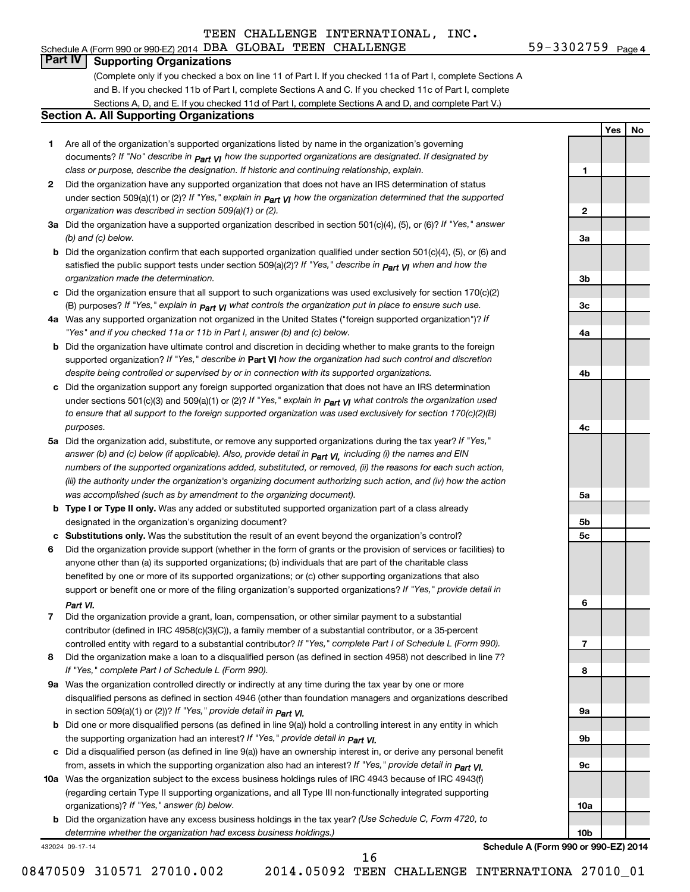#### Schedule A (Form 990 or 990-EZ) 2014 DBA GLOBAL TEEN CHALLENGE  $59-3302759$  Page

**1**

**2**

**3a**

**3b**

**3c**

**4a**

**4b**

**4c**

**5a**

**5b 5c**

**6**

**7**

**8**

**9a**

**9b**

**9c**

**10a**

**10b**

**Yes No**

#### **Part IV Supporting Organizations**

(Complete only if you checked a box on line 11 of Part I. If you checked 11a of Part I, complete Sections A and B. If you checked 11b of Part I, complete Sections A and C. If you checked 11c of Part I, complete Sections A, D, and E. If you checked 11d of Part I, complete Sections A and D, and complete Part V.)

#### **Section A. All Supporting Organizations**

- **1** Are all of the organization's supported organizations listed by name in the organization's governing documents? If "No" describe in  $_{\mathsf{Part}}$   $_{\mathsf{V}}$  how the supported organizations are designated. If designated by *class or purpose, describe the designation. If historic and continuing relationship, explain.*
- **2** Did the organization have any supported organization that does not have an IRS determination of status under section 509(a)(1) or (2)? If "Yes," explain in  $_{\sf Part}$   $_{\sf VI}$  how the organization determined that the supported *organization was described in section 509(a)(1) or (2).*
- **3a** Did the organization have a supported organization described in section 501(c)(4), (5), or (6)? If "Yes," answer *(b) and (c) below.*
- **b** Did the organization confirm that each supported organization qualified under section 501(c)(4), (5), or (6) and satisfied the public support tests under section 509(a)(2)? If "Yes," describe in  $_{\rm Part}$   $_{\rm VI}$  when and how the *organization made the determination.*
- **c** Did the organization ensure that all support to such organizations was used exclusively for section 170(c)(2) (B) purposes? If "Yes," explain in  $_{\mathsf{Part}}$   $_{\mathsf{V}}$  what controls the organization put in place to ensure such use.
- **4 a** *If* Was any supported organization not organized in the United States ("foreign supported organization")? *"Yes" and if you checked 11a or 11b in Part I, answer (b) and (c) below.*
- **b** Did the organization have ultimate control and discretion in deciding whether to make grants to the foreign supported organization? If "Yes," describe in Part VI how the organization had such control and discretion *despite being controlled or supervised by or in connection with its supported organizations.*
- **c** Did the organization support any foreign supported organization that does not have an IRS determination under sections 501(c)(3) and 509(a)(1) or (2)? If "Yes," ex*plain in*  $_{\sf Part}$  *v*J what controls the organization used *to ensure that all support to the foreign supported organization was used exclusively for section 170(c)(2)(B) purposes.*
- **5a** Did the organization add, substitute, or remove any supported organizations during the tax year? If "Yes," answer (b) and (c) below (if applicable). Also, provide detail in  $_{\mathsf{Part}}$   $_{\mathsf{V{\mathsf{I}}}}$ , including (i) the names and EIN *numbers of the supported organizations added, substituted, or removed, (ii) the reasons for each such action, (iii) the authority under the organization's organizing document authorizing such action, and (iv) how the action was accomplished (such as by amendment to the organizing document).*
- **b** Type I or Type II only. Was any added or substituted supported organization part of a class already designated in the organization's organizing document?
- **c Substitutions only.**  Was the substitution the result of an event beyond the organization's control?
- **6** Did the organization provide support (whether in the form of grants or the provision of services or facilities) to support or benefit one or more of the filing organization's supported organizations? If "Yes," provide detail in anyone other than (a) its supported organizations; (b) individuals that are part of the charitable class benefited by one or more of its supported organizations; or (c) other supporting organizations that also *Part VI.*
- **7** Did the organization provide a grant, loan, compensation, or other similar payment to a substantial controlled entity with regard to a substantial contributor? If "Yes," complete Part I of Schedule L (Form 990). contributor (defined in IRC 4958(c)(3)(C)), a family member of a substantial contributor, or a 35-percent
- **8** Did the organization make a loan to a disqualified person (as defined in section 4958) not described in line 7? *If "Yes," complete Part I of Schedule L (Form 990).*
- **9 a** Was the organization controlled directly or indirectly at any time during the tax year by one or more *If "Yes," provide detail in*  in section 509(a)(1) or (2))? *Part VI.* disqualified persons as defined in section 4946 (other than foundation managers and organizations described
- **b** Did one or more disqualified persons (as defined in line 9(a)) hold a controlling interest in any entity in which  *If "Yes," provide detail in*  the supporting organization had an interest? *Part VI.*
- **c** Did a disqualified person (as defined in line 9(a)) have an ownership interest in, or derive any personal benefit from, assets in which the supporting organization also had an interest? If "Yes," *provide detail in Part VI.*
- **10 a** Was the organization subject to the excess business holdings rules of IRC 4943 because of IRC 4943(f)  *If "Yes," answer (b) below.* organizations)? (regarding certain Type II supporting organizations, and all Type III non-functionally integrated supporting
- **b** Did the organization have any excess business holdings in the tax year? (Use Schedule C, Form 4720, to *determine whether the organization had excess business holdings.)*

432024 09-17-14

**Schedule A (Form 990 or 990-EZ) 2014**

08470509 310571 27010.002 2014.05092 TEEN CHALLENGE INTERNATIONA 27010\_01

16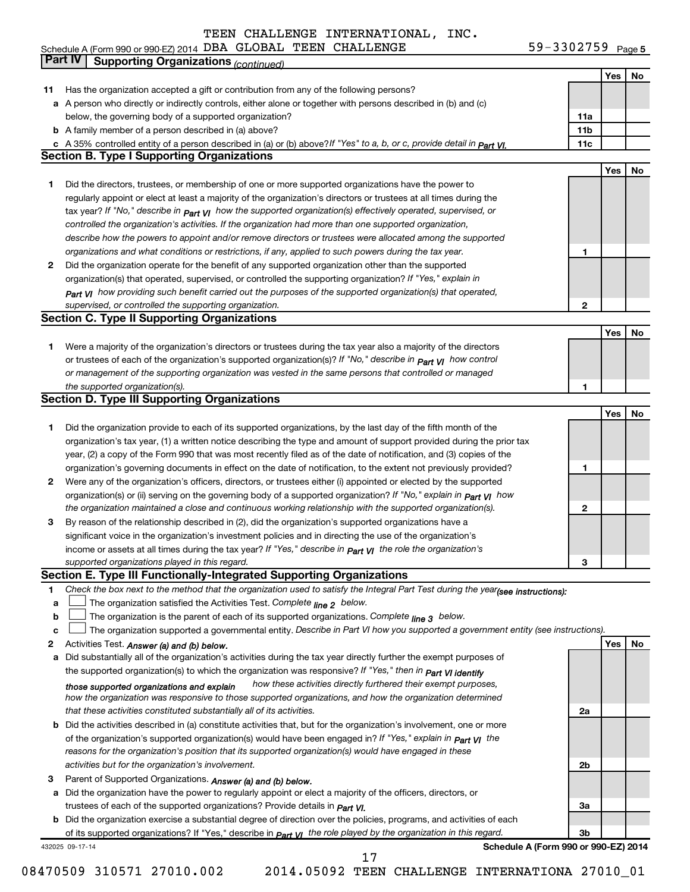59-3302759 Page 5 Schedule A (Form 990 or 990-EZ) 2014 DBA GLOBAL TEEN CHALLENGE  $59-3302759$  Page

|    | Part IV<br><b>Supporting Organizations (continued)</b>                                                                           |                 |     |    |
|----|----------------------------------------------------------------------------------------------------------------------------------|-----------------|-----|----|
|    |                                                                                                                                  |                 | Yes | No |
| 11 | Has the organization accepted a gift or contribution from any of the following persons?                                          |                 |     |    |
|    | a A person who directly or indirectly controls, either alone or together with persons described in (b) and (c)                   |                 |     |    |
|    | below, the governing body of a supported organization?                                                                           | 11a             |     |    |
|    | <b>b</b> A family member of a person described in (a) above?                                                                     | 11 <sub>b</sub> |     |    |
|    | c A 35% controlled entity of a person described in (a) or (b) above?If "Yes" to a, b, or c, provide detail in Part VI.           | 11c             |     |    |
|    | <b>Section B. Type I Supporting Organizations</b>                                                                                |                 |     |    |
|    |                                                                                                                                  |                 | Yes | No |
|    |                                                                                                                                  |                 |     |    |
| 1  | Did the directors, trustees, or membership of one or more supported organizations have the power to                              |                 |     |    |
|    | regularly appoint or elect at least a majority of the organization's directors or trustees at all times during the               |                 |     |    |
|    | tax year? If "No," describe in $_{Part}$ $_{VI}$ how the supported organization(s) effectively operated, supervised, or          |                 |     |    |
|    | controlled the organization's activities. If the organization had more than one supported organization,                          |                 |     |    |
|    | describe how the powers to appoint and/or remove directors or trustees were allocated among the supported                        |                 |     |    |
|    | organizations and what conditions or restrictions, if any, applied to such powers during the tax year.                           | 1               |     |    |
| 2  | Did the organization operate for the benefit of any supported organization other than the supported                              |                 |     |    |
|    | organization(s) that operated, supervised, or controlled the supporting organization? If "Yes," explain in                       |                 |     |    |
|    | $_{Part}$ v <sub>I</sub> how providing such benefit carried out the purposes of the supported organization(s) that operated,     |                 |     |    |
|    | supervised, or controlled the supporting organization.                                                                           | $\mathbf{2}$    |     |    |
|    | <b>Section C. Type II Supporting Organizations</b>                                                                               |                 |     |    |
|    |                                                                                                                                  |                 | Yes | No |
| 1  | Were a majority of the organization's directors or trustees during the tax year also a majority of the directors                 |                 |     |    |
|    | or trustees of each of the organization's supported organization(s)? If "No," describe in <b>Part VI</b> how control             |                 |     |    |
|    | or management of the supporting organization was vested in the same persons that controlled or managed                           |                 |     |    |
|    | the supported organization(s).                                                                                                   | 1               |     |    |
|    | <b>Section D. Type III Supporting Organizations</b>                                                                              |                 |     |    |
|    |                                                                                                                                  |                 | Yes | No |
| 1  | Did the organization provide to each of its supported organizations, by the last day of the fifth month of the                   |                 |     |    |
|    | organization's tax year, (1) a written notice describing the type and amount of support provided during the prior tax            |                 |     |    |
|    |                                                                                                                                  |                 |     |    |
|    | year, (2) a copy of the Form 990 that was most recently filed as of the date of notification, and (3) copies of the              |                 |     |    |
|    | organization's governing documents in effect on the date of notification, to the extent not previously provided?                 | 1               |     |    |
| 2  | Were any of the organization's officers, directors, or trustees either (i) appointed or elected by the supported                 |                 |     |    |
|    | organization(s) or (ii) serving on the governing body of a supported organization? If "No," explain in part VI how               |                 |     |    |
|    | the organization maintained a close and continuous working relationship with the supported organization(s).                      | 2               |     |    |
| 3  | By reason of the relationship described in (2), did the organization's supported organizations have a                            |                 |     |    |
|    | significant voice in the organization's investment policies and in directing the use of the organization's                       |                 |     |    |
|    | income or assets at all times during the tax year? If "Yes," describe in $P_{\text{art } VI}$ the role the organization's        |                 |     |    |
|    | supported organizations played in this regard.                                                                                   | з               |     |    |
|    | Section E. Type III Functionally-Integrated Supporting Organizations                                                             |                 |     |    |
| 1  | Check the box next to the method that the organization used to satisfy the Integral Part Test during the year(see instructions): |                 |     |    |
| a  | The organization satisfied the Activities Test. Complete line 2 below.                                                           |                 |     |    |
| b  | The organization is the parent of each of its supported organizations. Complete $_{\text{line 3}}$ below.                        |                 |     |    |
| c  | The organization supported a governmental entity. Describe in Part VI how you supported a government entity (see instructions).  |                 |     |    |
| 2  | Activities Test. Answer (a) and (b) below.                                                                                       |                 | Yes | No |
| a  | Did substantially all of the organization's activities during the tax year directly further the exempt purposes of               |                 |     |    |
|    | the supported organization(s) to which the organization was responsive? If "Yes," then in Part VI identify                       |                 |     |    |
|    | how these activities directly furthered their exempt purposes,<br>those supported organizations and explain                      |                 |     |    |
|    | how the organization was responsive to those supported organizations, and how the organization determined                        |                 |     |    |
|    | that these activities constituted substantially all of its activities.                                                           | 2a              |     |    |
|    | <b>b</b> Did the activities described in (a) constitute activities that, but for the organization's involvement, one or more     |                 |     |    |
|    | of the organization's supported organization(s) would have been engaged in? If "Yes," explain in <b>Part VI</b> the              |                 |     |    |
|    | reasons for the organization's position that its supported organization(s) would have engaged in these                           |                 |     |    |
|    | activities but for the organization's involvement.                                                                               | 2b              |     |    |
| З  | Parent of Supported Organizations. Answer (a) and (b) below.                                                                     |                 |     |    |
|    |                                                                                                                                  |                 |     |    |
|    | a Did the organization have the power to regularly appoint or elect a majority of the officers, directors, or                    |                 |     |    |
|    | trustees of each of the supported organizations? Provide details in <i>Part VI.</i>                                              | За              |     |    |
|    | <b>b</b> Did the organization exercise a substantial degree of direction over the policies, programs, and activities of each     |                 |     |    |
|    | of its supported organizations? If "Yes," describe in $P_{\text{art}}$ VI the role played by the organization in this regard.    | Зb              |     |    |
|    | Schedule A (Form 990 or 990-EZ) 2014<br>432025 09-17-14<br>17                                                                    |                 |     |    |
|    |                                                                                                                                  |                 |     |    |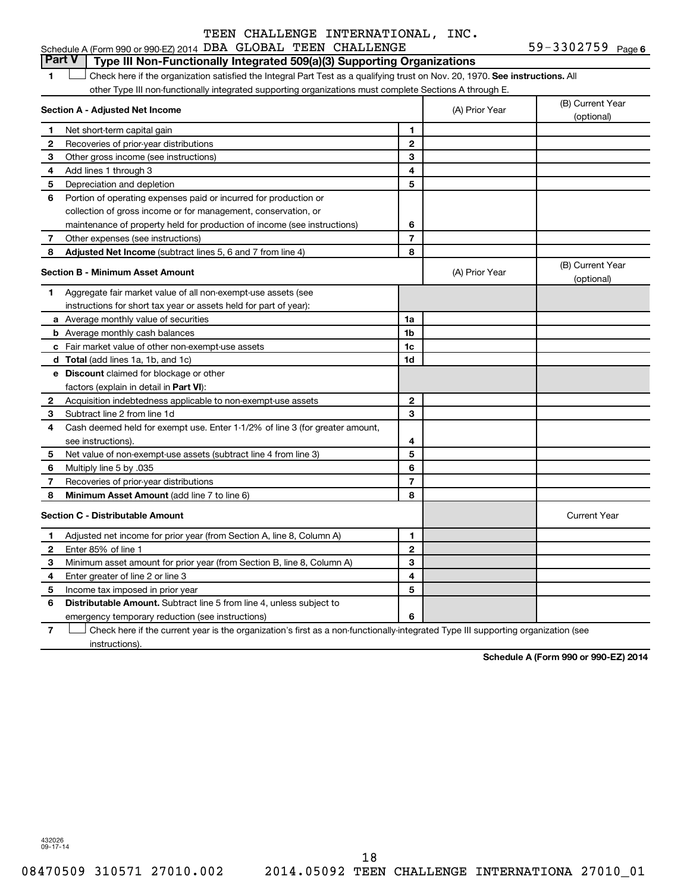#### 59-3302759 <sub>Page 6</sub>

#### 1  $\Box$  Check here if the organization satisfied the Integral Part Test as a qualifying trust on Nov. 20, 1970. See instructions. All **Section A - Adjusted Net Income 1 2 3 4 5 6 7 8 1 2 3 4 5 6 7 Adjusted Net Income** (subtract lines 5, 6 and 7 from line 4) **8 8 Section B - Minimum Asset Amount 1** Aggregate fair market value of all non-exempt-use assets (see **2 3 4 5 6 7 8 a** Average monthly value of securities **b** Average monthly cash balances **c** Fair market value of other non-exempt-use assets **d Total**  (add lines 1a, 1b, and 1c) **e Discount** claimed for blockage or other **1a 1b 1c 1d 2 3 4 5 6 7 8** factors (explain in detail in Part VI): **Minimum Asset Amount**  (add line 7 to line 6) **Section C - Distributable Amount 1 2 3 4 5 6 1 2 3 4 5** Distributable Amount. Subtract line 5 from line 4, unless subject to Schedule A (Form 990 or 990-EZ) 2014 DBA GLOBAL TEEN CHALLENGE  $59-3302759$  Page other Type III non-functionally integrated supporting organizations must complete Sections A through E. (B) Current Year (A) Prior Year  $\left\vert \right\rangle$  (b) Current in Net short-term capital gain Recoveries of prior-year distributions Other gross income (see instructions) Add lines 1 through 3 Depreciation and depletion Portion of operating expenses paid or incurred for production or collection of gross income or for management, conservation, or maintenance of property held for production of income (see instructions) Other expenses (see instructions) (B) Current Year (A) Prior Year (b) Current 1 instructions for short tax year or assets held for part of year): Acquisition indebtedness applicable to non-exempt-use assets Subtract line 2 from line 1d Cash deemed held for exempt use. Enter 1-1/2% of line 3 (for greater amount, see instructions). Net value of non-exempt-use assets (subtract line 4 from line 3) Multiply line 5 by .035 Recoveries of prior-year distributions Current Year Adjusted net income for prior year (from Section A, line 8, Column A) Enter 85% of line 1 Minimum asset amount for prior year (from Section B, line 8, Column A) Enter greater of line 2 or line 3 Income tax imposed in prior year **Part V Type III Non-Functionally Integrated 509(a)(3) Supporting Organizations**   $\Box$

emergency temporary reduction (see instructions)

**7** Check here if the current year is the organization's first as a non-functionally-integrated Type III supporting organization (see † instructions).

**Schedule A (Form 990 or 990-EZ) 2014**

432026 09-17-14

**6**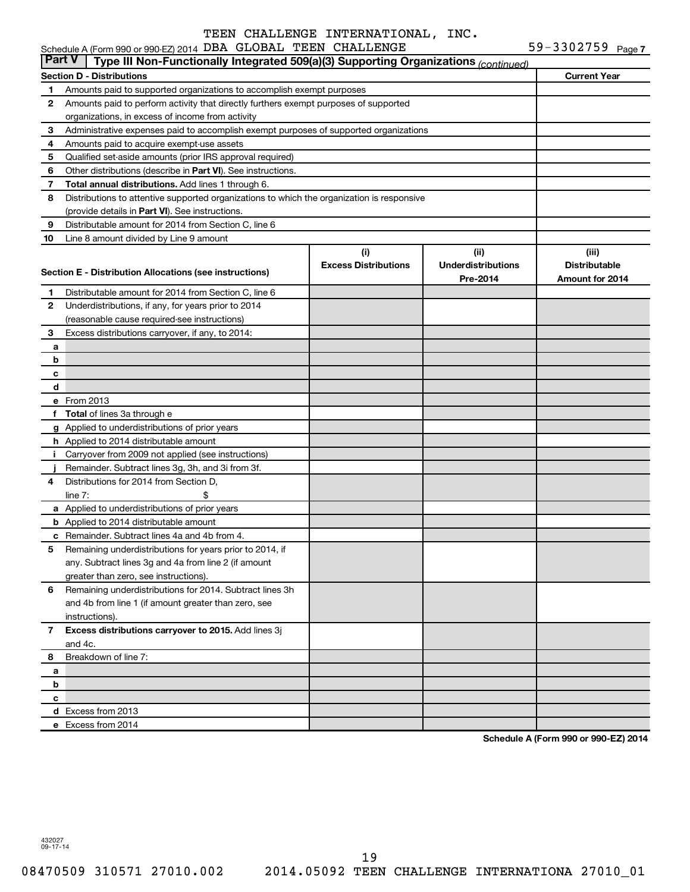| <b>Part V</b> | Type III Non-Functionally Integrated 509(a)(3) Supporting Organizations (continued)               |                             |                           |                      |
|---------------|---------------------------------------------------------------------------------------------------|-----------------------------|---------------------------|----------------------|
|               | Section D - Distributions                                                                         |                             |                           | <b>Current Year</b>  |
| 1             | Amounts paid to supported organizations to accomplish exempt purposes                             |                             |                           |                      |
| 2             | Amounts paid to perform activity that directly furthers exempt purposes of supported              |                             |                           |                      |
|               | organizations, in excess of income from activity                                                  |                             |                           |                      |
| 3             | Administrative expenses paid to accomplish exempt purposes of supported organizations             |                             |                           |                      |
| 4             | Amounts paid to acquire exempt-use assets                                                         |                             |                           |                      |
| 5             | Qualified set-aside amounts (prior IRS approval required)                                         |                             |                           |                      |
| 6             | Other distributions (describe in Part VI). See instructions.                                      |                             |                           |                      |
| 7             | Total annual distributions. Add lines 1 through 6.                                                |                             |                           |                      |
| 8             | Distributions to attentive supported organizations to which the organization is responsive        |                             |                           |                      |
|               | (provide details in Part VI). See instructions.                                                   |                             |                           |                      |
| 9             | Distributable amount for 2014 from Section C, line 6                                              |                             |                           |                      |
| 10            | Line 8 amount divided by Line 9 amount                                                            |                             |                           |                      |
|               |                                                                                                   | (i)                         | (ii)                      | (iii)                |
|               | Section E - Distribution Allocations (see instructions)                                           | <b>Excess Distributions</b> | <b>Underdistributions</b> | <b>Distributable</b> |
|               |                                                                                                   |                             | Pre-2014                  | Amount for 2014      |
| 1             | Distributable amount for 2014 from Section C, line 6                                              |                             |                           |                      |
| 2             | Underdistributions, if any, for years prior to 2014                                               |                             |                           |                      |
|               | (reasonable cause required-see instructions)                                                      |                             |                           |                      |
| 3             | Excess distributions carryover, if any, to 2014:                                                  |                             |                           |                      |
| а             |                                                                                                   |                             |                           |                      |
| b             |                                                                                                   |                             |                           |                      |
| с             |                                                                                                   |                             |                           |                      |
| d             |                                                                                                   |                             |                           |                      |
|               | e From 2013                                                                                       |                             |                           |                      |
|               | f Total of lines 3a through e                                                                     |                             |                           |                      |
|               | g Applied to underdistributions of prior years                                                    |                             |                           |                      |
|               | <b>h</b> Applied to 2014 distributable amount                                                     |                             |                           |                      |
| i.            | Carryover from 2009 not applied (see instructions)                                                |                             |                           |                      |
|               | Remainder. Subtract lines 3g, 3h, and 3i from 3f.                                                 |                             |                           |                      |
| 4             | Distributions for 2014 from Section D,                                                            |                             |                           |                      |
|               | \$<br>line $7:$                                                                                   |                             |                           |                      |
|               | a Applied to underdistributions of prior years                                                    |                             |                           |                      |
|               | <b>b</b> Applied to 2014 distributable amount                                                     |                             |                           |                      |
|               | c Remainder. Subtract lines 4a and 4b from 4.                                                     |                             |                           |                      |
| 5             | Remaining underdistributions for years prior to 2014, if                                          |                             |                           |                      |
|               | any. Subtract lines 3g and 4a from line 2 (if amount                                              |                             |                           |                      |
| 6             | greater than zero, see instructions).<br>Remaining underdistributions for 2014. Subtract lines 3h |                             |                           |                      |
|               |                                                                                                   |                             |                           |                      |
|               | and 4b from line 1 (if amount greater than zero, see                                              |                             |                           |                      |
|               | instructions).<br>Excess distributions carryover to 2015. Add lines 3j                            |                             |                           |                      |
| 7             | and 4c.                                                                                           |                             |                           |                      |
| 8             | Breakdown of line 7:                                                                              |                             |                           |                      |
| а             |                                                                                                   |                             |                           |                      |
| b             |                                                                                                   |                             |                           |                      |
| c             |                                                                                                   |                             |                           |                      |
|               | d Excess from 2013                                                                                |                             |                           |                      |
|               | e Excess from 2014                                                                                |                             |                           |                      |
|               |                                                                                                   |                             |                           |                      |

**Schedule A (Form 990 or 990-EZ) 2014**

432027 09-17-14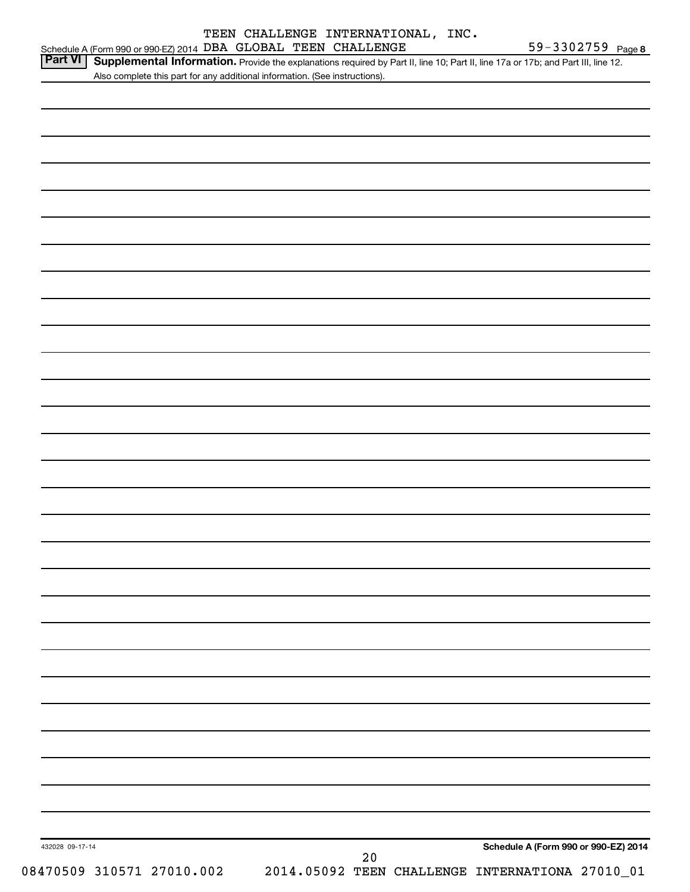|  | Part VI   Supplemental Information. Provide the explanations required by Part II, line 10; Part II, line 17a or 17b; and Part III, line 12 |  |
|--|--------------------------------------------------------------------------------------------------------------------------------------------|--|
|  | Also complete this part for any additional information. (See instructions).                                                                |  |

| 432028 09-17-14<br>08470509 310571 27010.002 |  |  | $2\,0$ | Schedule A (Form 990 or 990-EZ) 2014<br>2014.05092 TEEN CHALLENGE INTERNATIONA 27010_01 |  |
|----------------------------------------------|--|--|--------|-----------------------------------------------------------------------------------------|--|
|                                              |  |  |        |                                                                                         |  |
|                                              |  |  |        |                                                                                         |  |
|                                              |  |  |        |                                                                                         |  |
|                                              |  |  |        |                                                                                         |  |
|                                              |  |  |        |                                                                                         |  |
|                                              |  |  |        |                                                                                         |  |
|                                              |  |  |        |                                                                                         |  |
|                                              |  |  |        |                                                                                         |  |
|                                              |  |  |        |                                                                                         |  |
|                                              |  |  |        |                                                                                         |  |
|                                              |  |  |        |                                                                                         |  |
|                                              |  |  |        |                                                                                         |  |
|                                              |  |  |        |                                                                                         |  |
|                                              |  |  |        |                                                                                         |  |
|                                              |  |  |        |                                                                                         |  |
|                                              |  |  |        |                                                                                         |  |
|                                              |  |  |        |                                                                                         |  |
|                                              |  |  |        |                                                                                         |  |
|                                              |  |  |        |                                                                                         |  |
|                                              |  |  |        |                                                                                         |  |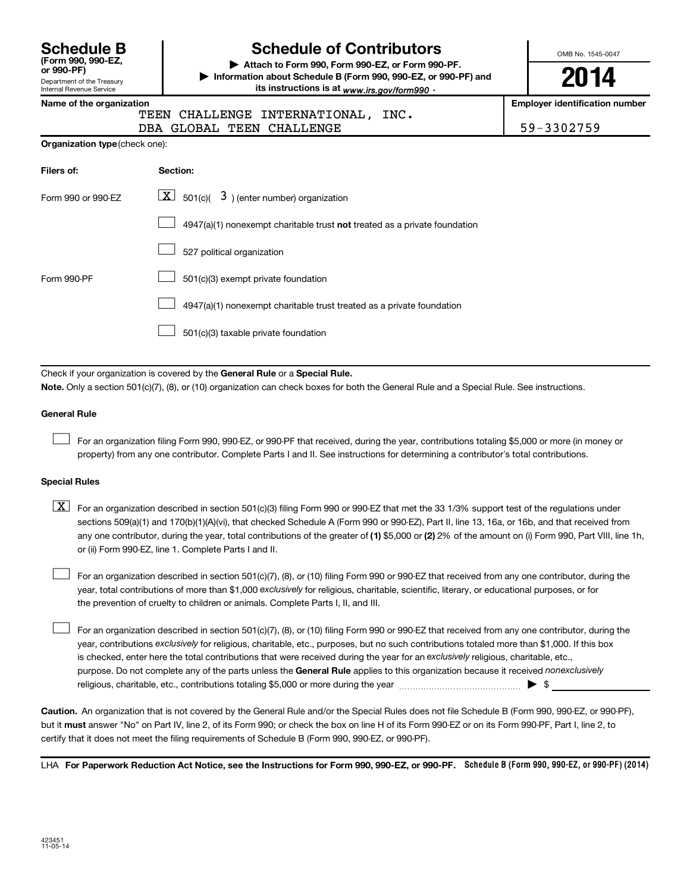| <b>Schedule B</b>                |
|----------------------------------|
| (Form 990, 990-EZ,<br>or 990-PF) |
| Department of the Treasury       |

Internal Revenue Service

# **Schedule of Contributors**

**or 990-PF) | Attach to Form 990, Form 990-EZ, or Form 990-PF. | Information about Schedule B (Form 990, 990-EZ, or 990-PF) and** its instructions is at <sub>www.irs.gov/form990  $\cdot$ </sub>

OMB No. 1545-0047

**2014**

**Name of the organization Employer identification number**

|  | TEEN CHALLENGE INTERNATIONAL, INC. |  |
|--|------------------------------------|--|
|  |                                    |  |

DBA GLOBAL TEEN CHALLENGE **199-3302759** 

| Organization type (check one): |  |  |
|--------------------------------|--|--|
|--------------------------------|--|--|

| Filers of:         | Section:                                                                           |
|--------------------|------------------------------------------------------------------------------------|
| Form 990 or 990-EZ | $ \underline{X} $ 501(c)( 3) (enter number) organization                           |
|                    | $4947(a)(1)$ nonexempt charitable trust <b>not</b> treated as a private foundation |
|                    | 527 political organization                                                         |
| Form 990-PF        | 501(c)(3) exempt private foundation                                                |
|                    | 4947(a)(1) nonexempt charitable trust treated as a private foundation              |
|                    | 501(c)(3) taxable private foundation                                               |

Check if your organization is covered by the General Rule or a Special Rule.

**Note.**  Only a section 501(c)(7), (8), or (10) organization can check boxes for both the General Rule and a Special Rule. See instructions.

#### **General Rule**

 $\Box$ 

For an organization filing Form 990, 990-EZ, or 990-PF that received, during the year, contributions totaling \$5,000 or more (in money or property) from any one contributor. Complete Parts I and II. See instructions for determining a contributor's total contributions.

#### **Special Rules**

any one contributor, during the year, total contributions of the greater of **(1)** \$5,000 or **(2)** 2% of the amount on (i) Form 990, Part VIII, line 1h,  $\boxed{\text{X}}$  For an organization described in section 501(c)(3) filing Form 990 or 990-EZ that met the 33 1/3% support test of the regulations under sections 509(a)(1) and 170(b)(1)(A)(vi), that checked Schedule A (Form 990 or 990-EZ), Part II, line 13, 16a, or 16b, and that received from or (ii) Form 990-EZ, line 1. Complete Parts I and II.

year, total contributions of more than \$1,000 *exclusively* for religious, charitable, scientific, literary, or educational purposes, or for For an organization described in section 501(c)(7), (8), or (10) filing Form 990 or 990-EZ that received from any one contributor, during the the prevention of cruelty to children or animals. Complete Parts I, II, and III.  $\Box$ 

purpose. Do not complete any of the parts unless the General Rule applies to this organization because it received nonexclusively year, contributions exclusively for religious, charitable, etc., purposes, but no such contributions totaled more than \$1,000. If this box is checked, enter here the total contributions that were received during the year for an exclusively religious, charitable, etc., For an organization described in section 501(c)(7), (8), or (10) filing Form 990 or 990-EZ that received from any one contributor, during the religious, charitable, etc., contributions totaling \$5,000 or more during the year  $\ldots$  $\ldots$  $\ldots$  $\ldots$  $\ldots$  $\ldots$  $\Box$ 

**Caution.** An organization that is not covered by the General Rule and/or the Special Rules does not file Schedule B (Form 990, 990-EZ, or 990-PF),  **must** but it answer "No" on Part IV, line 2, of its Form 990; or check the box on line H of its Form 990-EZ or on its Form 990-PF, Part I, line 2, to certify that it does not meet the filing requirements of Schedule B (Form 990, 990-EZ, or 990-PF).

LHA For Paperwork Reduction Act Notice, see the Instructions for Form 990, 990-EZ, or 990-PF. Schedule B (Form 990, 990-EZ, or 990-PF) (2014)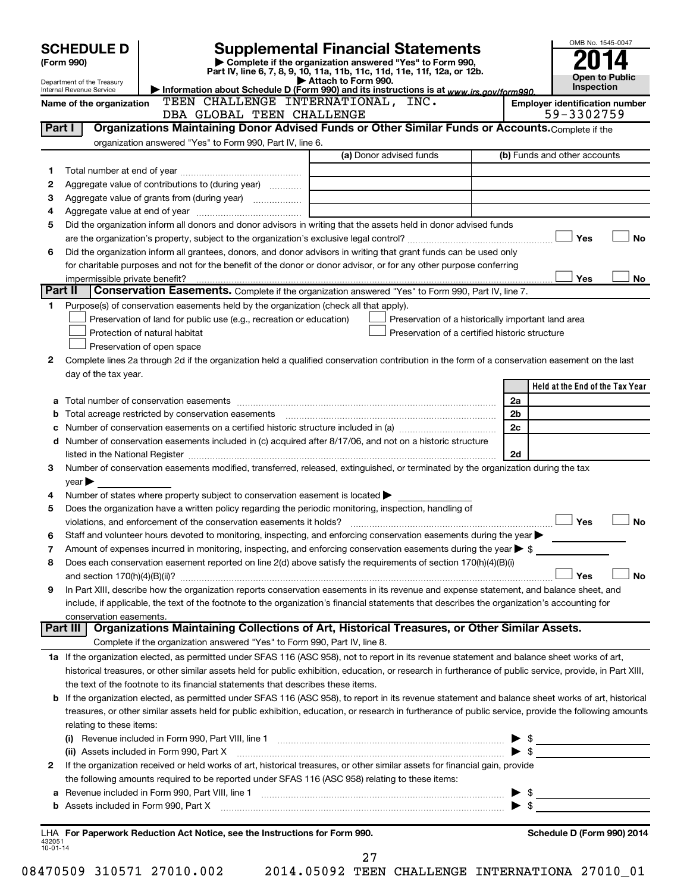|                          | <b>SCHEDULE D</b><br>(Form 990) |                                                                                                        | <b>Supplemental Financial Statements</b><br>Complete if the organization answered "Yes" to Form 990,<br>Part IV, line 6, 7, 8, 9, 10, 11a, 11b, 11c, 11d, 11e, 11f, 12a, or 12b.                                               |                         | OMB No. 1545-0047                     |
|--------------------------|---------------------------------|--------------------------------------------------------------------------------------------------------|--------------------------------------------------------------------------------------------------------------------------------------------------------------------------------------------------------------------------------|-------------------------|---------------------------------------|
|                          | Department of the Treasury      |                                                                                                        | Attach to Form 990.                                                                                                                                                                                                            |                         | <b>Open to Public</b>                 |
|                          | Internal Revenue Service        |                                                                                                        | Information about Schedule D (Form 990) and its instructions is at www.irs.gov/form990.                                                                                                                                        |                         | Inspection                            |
|                          | Name of the organization        | TEEN CHALLENGE INTERNATIONAL, INC.                                                                     |                                                                                                                                                                                                                                |                         | <b>Employer identification number</b> |
|                          |                                 | DBA GLOBAL TEEN CHALLENGE                                                                              | Organizations Maintaining Donor Advised Funds or Other Similar Funds or Accounts. Complete if the                                                                                                                              |                         | 59-3302759                            |
| Part I                   |                                 |                                                                                                        |                                                                                                                                                                                                                                |                         |                                       |
|                          |                                 | organization answered "Yes" to Form 990, Part IV, line 6.                                              | (a) Donor advised funds                                                                                                                                                                                                        |                         | (b) Funds and other accounts          |
|                          |                                 |                                                                                                        |                                                                                                                                                                                                                                |                         |                                       |
| 1                        |                                 |                                                                                                        |                                                                                                                                                                                                                                |                         |                                       |
| 2                        |                                 | Aggregate value of contributions to (during year)                                                      |                                                                                                                                                                                                                                |                         |                                       |
| З                        |                                 | Aggregate value of grants from (during year)                                                           |                                                                                                                                                                                                                                |                         |                                       |
| 4                        |                                 |                                                                                                        |                                                                                                                                                                                                                                |                         |                                       |
| 5                        |                                 |                                                                                                        | Did the organization inform all donors and donor advisors in writing that the assets held in donor advised funds                                                                                                               |                         |                                       |
|                          |                                 |                                                                                                        |                                                                                                                                                                                                                                |                         | Yes<br><b>No</b>                      |
| 6                        |                                 |                                                                                                        | Did the organization inform all grantees, donors, and donor advisors in writing that grant funds can be used only                                                                                                              |                         |                                       |
|                          |                                 |                                                                                                        | for charitable purposes and not for the benefit of the donor or donor advisor, or for any other purpose conferring                                                                                                             |                         |                                       |
| Part II                  | impermissible private benefit?  |                                                                                                        |                                                                                                                                                                                                                                |                         | Yes<br>No                             |
|                          |                                 |                                                                                                        | Conservation Easements. Complete if the organization answered "Yes" to Form 990, Part IV, line 7.                                                                                                                              |                         |                                       |
| 1                        |                                 | Purpose(s) of conservation easements held by the organization (check all that apply).                  |                                                                                                                                                                                                                                |                         |                                       |
|                          |                                 | Preservation of land for public use (e.g., recreation or education)                                    | Preservation of a historically important land area                                                                                                                                                                             |                         |                                       |
|                          |                                 | Protection of natural habitat                                                                          | Preservation of a certified historic structure                                                                                                                                                                                 |                         |                                       |
|                          |                                 | Preservation of open space                                                                             |                                                                                                                                                                                                                                |                         |                                       |
| 2                        |                                 |                                                                                                        | Complete lines 2a through 2d if the organization held a qualified conservation contribution in the form of a conservation easement on the last                                                                                 |                         |                                       |
|                          | day of the tax year.            |                                                                                                        |                                                                                                                                                                                                                                |                         |                                       |
|                          |                                 |                                                                                                        |                                                                                                                                                                                                                                |                         | Held at the End of the Tax Year       |
| а                        |                                 |                                                                                                        |                                                                                                                                                                                                                                | 2a                      |                                       |
| b                        |                                 |                                                                                                        |                                                                                                                                                                                                                                | 2b                      |                                       |
| с                        |                                 |                                                                                                        |                                                                                                                                                                                                                                | 2c                      |                                       |
| d                        |                                 |                                                                                                        | Number of conservation easements included in (c) acquired after 8/17/06, and not on a historic structure                                                                                                                       |                         |                                       |
|                          |                                 |                                                                                                        |                                                                                                                                                                                                                                | 2d                      |                                       |
| 3                        |                                 |                                                                                                        | Number of conservation easements modified, transferred, released, extinguished, or terminated by the organization during the tax                                                                                               |                         |                                       |
|                          | $year \triangleright$           |                                                                                                        |                                                                                                                                                                                                                                |                         |                                       |
| 4                        |                                 | Number of states where property subject to conservation easement is located $\blacktriangleright$      |                                                                                                                                                                                                                                |                         |                                       |
| 5                        |                                 | Does the organization have a written policy regarding the periodic monitoring, inspection, handling of |                                                                                                                                                                                                                                |                         | <b>No</b>                             |
|                          |                                 |                                                                                                        |                                                                                                                                                                                                                                |                         | Yes                                   |
|                          |                                 |                                                                                                        | Staff and volunteer hours devoted to monitoring, inspecting, and enforcing conservation easements during the year                                                                                                              |                         |                                       |
| 7                        |                                 |                                                                                                        | Amount of expenses incurred in monitoring, inspecting, and enforcing conservation easements during the year $\triangleright$ \$                                                                                                |                         |                                       |
| 8                        |                                 |                                                                                                        | Does each conservation easement reported on line 2(d) above satisfy the requirements of section 170(h)(4)(B)(i)                                                                                                                |                         | No                                    |
|                          |                                 |                                                                                                        | In Part XIII, describe how the organization reports conservation easements in its revenue and expense statement, and balance sheet, and                                                                                        |                         | Yes                                   |
| 9                        |                                 |                                                                                                        |                                                                                                                                                                                                                                |                         |                                       |
|                          | conservation easements.         |                                                                                                        | include, if applicable, the text of the footnote to the organization's financial statements that describes the organization's accounting for                                                                                   |                         |                                       |
|                          | Part III                        |                                                                                                        | Organizations Maintaining Collections of Art, Historical Treasures, or Other Similar Assets.                                                                                                                                   |                         |                                       |
|                          |                                 | Complete if the organization answered "Yes" to Form 990, Part IV, line 8.                              |                                                                                                                                                                                                                                |                         |                                       |
|                          |                                 |                                                                                                        | 1a If the organization elected, as permitted under SFAS 116 (ASC 958), not to report in its revenue statement and balance sheet works of art,                                                                                  |                         |                                       |
|                          |                                 |                                                                                                        | historical treasures, or other similar assets held for public exhibition, education, or research in furtherance of public service, provide, in Part XIII,                                                                      |                         |                                       |
|                          |                                 | the text of the footnote to its financial statements that describes these items.                       |                                                                                                                                                                                                                                |                         |                                       |
| b                        |                                 |                                                                                                        | If the organization elected, as permitted under SFAS 116 (ASC 958), to report in its revenue statement and balance sheet works of art, historical                                                                              |                         |                                       |
|                          |                                 |                                                                                                        | treasures, or other similar assets held for public exhibition, education, or research in furtherance of public service, provide the following amounts                                                                          |                         |                                       |
|                          | relating to these items:        |                                                                                                        |                                                                                                                                                                                                                                |                         |                                       |
|                          |                                 |                                                                                                        | (i) Revenue included in Form 990, Part VIII, line 1 [2000] [2010] CHERRY MEDIA THE MEDIA CONTROLLER SERVICE SERVICE SERVICE SERVICE SERVICE SERVICE SERVICE SERVICE SERVICE SERVICE SERVICE SERVICE SERVICE SERVICE SERVICE SE |                         |                                       |
|                          |                                 | (ii) Assets included in Form 990, Part X                                                               |                                                                                                                                                                                                                                |                         | $\frac{1}{2}$<br>$\bullet$ \$         |
| 2                        |                                 |                                                                                                        | If the organization received or held works of art, historical treasures, or other similar assets for financial gain, provide                                                                                                   |                         |                                       |
|                          |                                 | the following amounts required to be reported under SFAS 116 (ASC 958) relating to these items:        |                                                                                                                                                                                                                                |                         |                                       |
| а                        |                                 |                                                                                                        | Revenue included in Form 990, Part VIII, line 1 [11] [12] [20] [20] [20] [20] [20] [20] [30] [30] [30] [30] [                                                                                                                  |                         |                                       |
| b                        |                                 |                                                                                                        |                                                                                                                                                                                                                                | $\blacktriangleright$ s |                                       |
|                          |                                 |                                                                                                        |                                                                                                                                                                                                                                |                         |                                       |
|                          |                                 | LHA For Paperwork Reduction Act Notice, see the Instructions for Form 990.                             |                                                                                                                                                                                                                                |                         | Schedule D (Form 990) 2014            |
| 432051<br>$10 - 01 - 14$ |                                 |                                                                                                        |                                                                                                                                                                                                                                |                         |                                       |
|                          |                                 |                                                                                                        | 27                                                                                                                                                                                                                             |                         |                                       |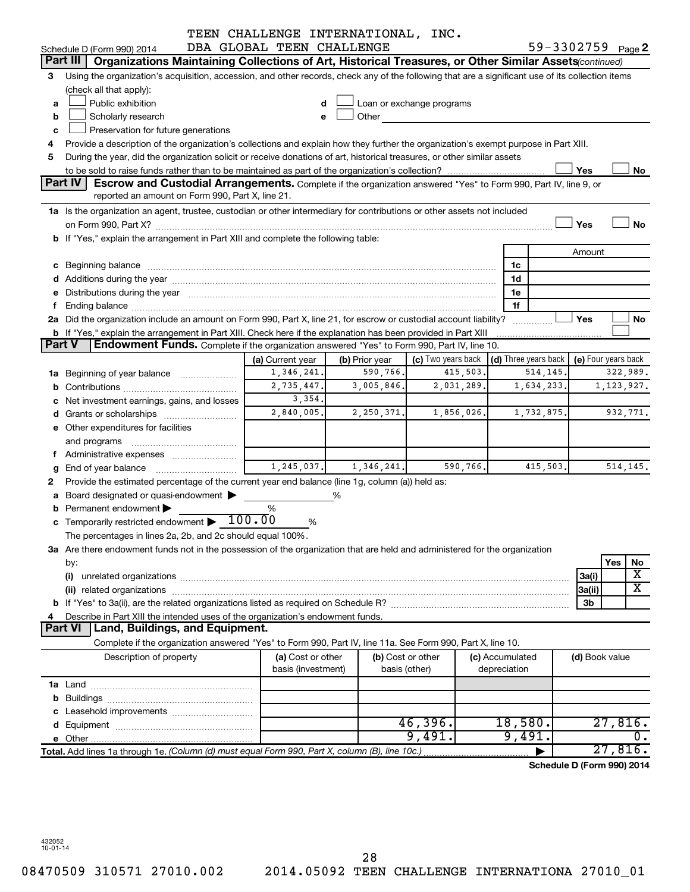| 59-3302759 Page 2<br>DBA GLOBAL TEEN CHALLENGE<br>Schedule D (Form 990) 2014<br>Part III   Organizations Maintaining Collections of Art, Historical Treasures, or Other Similar Assets (continued)<br>Using the organization's acquisition, accession, and other records, check any of the following that are a significant use of its collection items<br>3<br>(check all that apply):<br>Public exhibition<br>Loan or exchange programs<br>a<br>d<br>Other<br>Scholarly research<br>b<br>e<br>Preservation for future generations<br>c<br>Provide a description of the organization's collections and explain how they further the organization's exempt purpose in Part XIII.<br>During the year, did the organization solicit or receive donations of art, historical treasures, or other similar assets<br>5<br>Yes<br>No<br><b>Part IV</b><br><b>Escrow and Custodial Arrangements.</b> Complete if the organization answered "Yes" to Form 990, Part IV, line 9, or<br>reported an amount on Form 990, Part X, line 21.<br>1a Is the organization an agent, trustee, custodian or other intermediary for contributions or other assets not included<br>Yes<br>No<br>b If "Yes," explain the arrangement in Part XIII and complete the following table:<br>Amount<br>c Beginning balance measurements and the contract of the contract of the contract of the contract of the contract of the contract of the contract of the contract of the contract of the contract of the contract of the contr<br>1c<br>1d<br>e Distributions during the year manufactured and continuum and contract the year manufactured and contract the<br>1e<br>1f<br>2a Did the organization include an amount on Form 990, Part X, line 21, for escrow or custodial account liability?<br>Yes<br>No<br><b>b</b> If "Yes," explain the arrangement in Part XIII. Check here if the explanation has been provided in Part XIII<br>Endowment Funds. Complete if the organization answered "Yes" to Form 990, Part IV, line 10.<br>Part V<br>(c) Two years back<br>(d) Three years back<br>(a) Current year<br>(b) Prior year<br>(e) Four years back<br>590,766.<br>415,503<br>514,145.<br>322,989.<br>1,346,241.<br>1a Beginning of year balance<br>2,735,447.<br>3,005,846.<br>2,031,289.<br>1,634,233.<br>1, 123, 927.<br>3,354.<br>c Net investment earnings, gains, and losses<br>2, 250, 371.<br>1,732,875.<br>2,840,005.<br>1,856,026.<br>932,771.<br>e Other expenditures for facilities<br>and programs<br>f Administrative expenses<br>1,245,037.<br>1,346,241.<br>590,766.<br>514, 145.<br>415,503.<br>End of year balance<br>g<br>Provide the estimated percentage of the current year end balance (line 1g, column (a)) held as:<br>a Board designated or quasi-endowment ><br>%<br>Permanent endowment<br>%<br><b>c</b> Temporarily restricted endowment $\blacktriangleright$ 100.00<br>%<br>The percentages in lines 2a, 2b, and 2c should equal 100%.<br>3a Are there endowment funds not in the possession of the organization that are held and administered for the organization<br>Yes<br>No<br>by:<br>$\overline{\mathbf{X}}$<br>3a(i)<br>(i)<br>$\overline{\text{X}}$<br>3a(ii)<br>3b<br>Describe in Part XIII the intended uses of the organization's endowment funds.<br>Land, Buildings, and Equipment.<br><b>Part VI</b><br>Complete if the organization answered "Yes" to Form 990, Part IV, line 11a. See Form 990, Part X, line 10.<br>Description of property<br>(a) Cost or other<br>(b) Cost or other<br>(c) Accumulated<br>(d) Book value<br>basis (investment)<br>basis (other)<br>depreciation<br>46,396.<br>18,580.<br>27,816.<br>9,491.<br>9,491.<br>Ο.<br>27,816.<br>Total. Add lines 1a through 1e. (Column (d) must equal Form 990, Part X, column (B), line 10c.) |  | TEEN CHALLENGE INTERNATIONAL, INC. |  |  |  |  |  |
|--------------------------------------------------------------------------------------------------------------------------------------------------------------------------------------------------------------------------------------------------------------------------------------------------------------------------------------------------------------------------------------------------------------------------------------------------------------------------------------------------------------------------------------------------------------------------------------------------------------------------------------------------------------------------------------------------------------------------------------------------------------------------------------------------------------------------------------------------------------------------------------------------------------------------------------------------------------------------------------------------------------------------------------------------------------------------------------------------------------------------------------------------------------------------------------------------------------------------------------------------------------------------------------------------------------------------------------------------------------------------------------------------------------------------------------------------------------------------------------------------------------------------------------------------------------------------------------------------------------------------------------------------------------------------------------------------------------------------------------------------------------------------------------------------------------------------------------------------------------------------------------------------------------------------------------------------------------------------------------------------------------------------------------------------------------------------------------------------------------------------------------------------------------------------------------------------------------------------------------------------------------------------------------------------------------------------------------------------------------------------------------------------------------------------------------------------------------------------------------------------------------------------------------------------------------------------------------------------------------------------------------------------------------------------------------------------------------------------------------------------------------------------------------------------------------------------------------------------------------------------------------------------------------------------------------------------------------------------------------------------------------------------------------------------------------------------------------------------------------------------------------------------------------------------------------------------------------------------------------------------------------------------------------------------------------------------------------------------------------------------------------------------------------------------------------------------------------------------------------------------------------------------------------------------------------------------------------------------------------------------------------------------------------------------------------------------------------------------------------------------------------------------------------------|--|------------------------------------|--|--|--|--|--|
|                                                                                                                                                                                                                                                                                                                                                                                                                                                                                                                                                                                                                                                                                                                                                                                                                                                                                                                                                                                                                                                                                                                                                                                                                                                                                                                                                                                                                                                                                                                                                                                                                                                                                                                                                                                                                                                                                                                                                                                                                                                                                                                                                                                                                                                                                                                                                                                                                                                                                                                                                                                                                                                                                                                                                                                                                                                                                                                                                                                                                                                                                                                                                                                                                                                                                                                                                                                                                                                                                                                                                                                                                                                                                                                                                                                            |  |                                    |  |  |  |  |  |
|                                                                                                                                                                                                                                                                                                                                                                                                                                                                                                                                                                                                                                                                                                                                                                                                                                                                                                                                                                                                                                                                                                                                                                                                                                                                                                                                                                                                                                                                                                                                                                                                                                                                                                                                                                                                                                                                                                                                                                                                                                                                                                                                                                                                                                                                                                                                                                                                                                                                                                                                                                                                                                                                                                                                                                                                                                                                                                                                                                                                                                                                                                                                                                                                                                                                                                                                                                                                                                                                                                                                                                                                                                                                                                                                                                                            |  |                                    |  |  |  |  |  |
|                                                                                                                                                                                                                                                                                                                                                                                                                                                                                                                                                                                                                                                                                                                                                                                                                                                                                                                                                                                                                                                                                                                                                                                                                                                                                                                                                                                                                                                                                                                                                                                                                                                                                                                                                                                                                                                                                                                                                                                                                                                                                                                                                                                                                                                                                                                                                                                                                                                                                                                                                                                                                                                                                                                                                                                                                                                                                                                                                                                                                                                                                                                                                                                                                                                                                                                                                                                                                                                                                                                                                                                                                                                                                                                                                                                            |  |                                    |  |  |  |  |  |
|                                                                                                                                                                                                                                                                                                                                                                                                                                                                                                                                                                                                                                                                                                                                                                                                                                                                                                                                                                                                                                                                                                                                                                                                                                                                                                                                                                                                                                                                                                                                                                                                                                                                                                                                                                                                                                                                                                                                                                                                                                                                                                                                                                                                                                                                                                                                                                                                                                                                                                                                                                                                                                                                                                                                                                                                                                                                                                                                                                                                                                                                                                                                                                                                                                                                                                                                                                                                                                                                                                                                                                                                                                                                                                                                                                                            |  |                                    |  |  |  |  |  |
|                                                                                                                                                                                                                                                                                                                                                                                                                                                                                                                                                                                                                                                                                                                                                                                                                                                                                                                                                                                                                                                                                                                                                                                                                                                                                                                                                                                                                                                                                                                                                                                                                                                                                                                                                                                                                                                                                                                                                                                                                                                                                                                                                                                                                                                                                                                                                                                                                                                                                                                                                                                                                                                                                                                                                                                                                                                                                                                                                                                                                                                                                                                                                                                                                                                                                                                                                                                                                                                                                                                                                                                                                                                                                                                                                                                            |  |                                    |  |  |  |  |  |
|                                                                                                                                                                                                                                                                                                                                                                                                                                                                                                                                                                                                                                                                                                                                                                                                                                                                                                                                                                                                                                                                                                                                                                                                                                                                                                                                                                                                                                                                                                                                                                                                                                                                                                                                                                                                                                                                                                                                                                                                                                                                                                                                                                                                                                                                                                                                                                                                                                                                                                                                                                                                                                                                                                                                                                                                                                                                                                                                                                                                                                                                                                                                                                                                                                                                                                                                                                                                                                                                                                                                                                                                                                                                                                                                                                                            |  |                                    |  |  |  |  |  |
|                                                                                                                                                                                                                                                                                                                                                                                                                                                                                                                                                                                                                                                                                                                                                                                                                                                                                                                                                                                                                                                                                                                                                                                                                                                                                                                                                                                                                                                                                                                                                                                                                                                                                                                                                                                                                                                                                                                                                                                                                                                                                                                                                                                                                                                                                                                                                                                                                                                                                                                                                                                                                                                                                                                                                                                                                                                                                                                                                                                                                                                                                                                                                                                                                                                                                                                                                                                                                                                                                                                                                                                                                                                                                                                                                                                            |  |                                    |  |  |  |  |  |
|                                                                                                                                                                                                                                                                                                                                                                                                                                                                                                                                                                                                                                                                                                                                                                                                                                                                                                                                                                                                                                                                                                                                                                                                                                                                                                                                                                                                                                                                                                                                                                                                                                                                                                                                                                                                                                                                                                                                                                                                                                                                                                                                                                                                                                                                                                                                                                                                                                                                                                                                                                                                                                                                                                                                                                                                                                                                                                                                                                                                                                                                                                                                                                                                                                                                                                                                                                                                                                                                                                                                                                                                                                                                                                                                                                                            |  |                                    |  |  |  |  |  |
|                                                                                                                                                                                                                                                                                                                                                                                                                                                                                                                                                                                                                                                                                                                                                                                                                                                                                                                                                                                                                                                                                                                                                                                                                                                                                                                                                                                                                                                                                                                                                                                                                                                                                                                                                                                                                                                                                                                                                                                                                                                                                                                                                                                                                                                                                                                                                                                                                                                                                                                                                                                                                                                                                                                                                                                                                                                                                                                                                                                                                                                                                                                                                                                                                                                                                                                                                                                                                                                                                                                                                                                                                                                                                                                                                                                            |  |                                    |  |  |  |  |  |
|                                                                                                                                                                                                                                                                                                                                                                                                                                                                                                                                                                                                                                                                                                                                                                                                                                                                                                                                                                                                                                                                                                                                                                                                                                                                                                                                                                                                                                                                                                                                                                                                                                                                                                                                                                                                                                                                                                                                                                                                                                                                                                                                                                                                                                                                                                                                                                                                                                                                                                                                                                                                                                                                                                                                                                                                                                                                                                                                                                                                                                                                                                                                                                                                                                                                                                                                                                                                                                                                                                                                                                                                                                                                                                                                                                                            |  |                                    |  |  |  |  |  |
|                                                                                                                                                                                                                                                                                                                                                                                                                                                                                                                                                                                                                                                                                                                                                                                                                                                                                                                                                                                                                                                                                                                                                                                                                                                                                                                                                                                                                                                                                                                                                                                                                                                                                                                                                                                                                                                                                                                                                                                                                                                                                                                                                                                                                                                                                                                                                                                                                                                                                                                                                                                                                                                                                                                                                                                                                                                                                                                                                                                                                                                                                                                                                                                                                                                                                                                                                                                                                                                                                                                                                                                                                                                                                                                                                                                            |  |                                    |  |  |  |  |  |
|                                                                                                                                                                                                                                                                                                                                                                                                                                                                                                                                                                                                                                                                                                                                                                                                                                                                                                                                                                                                                                                                                                                                                                                                                                                                                                                                                                                                                                                                                                                                                                                                                                                                                                                                                                                                                                                                                                                                                                                                                                                                                                                                                                                                                                                                                                                                                                                                                                                                                                                                                                                                                                                                                                                                                                                                                                                                                                                                                                                                                                                                                                                                                                                                                                                                                                                                                                                                                                                                                                                                                                                                                                                                                                                                                                                            |  |                                    |  |  |  |  |  |
|                                                                                                                                                                                                                                                                                                                                                                                                                                                                                                                                                                                                                                                                                                                                                                                                                                                                                                                                                                                                                                                                                                                                                                                                                                                                                                                                                                                                                                                                                                                                                                                                                                                                                                                                                                                                                                                                                                                                                                                                                                                                                                                                                                                                                                                                                                                                                                                                                                                                                                                                                                                                                                                                                                                                                                                                                                                                                                                                                                                                                                                                                                                                                                                                                                                                                                                                                                                                                                                                                                                                                                                                                                                                                                                                                                                            |  |                                    |  |  |  |  |  |
|                                                                                                                                                                                                                                                                                                                                                                                                                                                                                                                                                                                                                                                                                                                                                                                                                                                                                                                                                                                                                                                                                                                                                                                                                                                                                                                                                                                                                                                                                                                                                                                                                                                                                                                                                                                                                                                                                                                                                                                                                                                                                                                                                                                                                                                                                                                                                                                                                                                                                                                                                                                                                                                                                                                                                                                                                                                                                                                                                                                                                                                                                                                                                                                                                                                                                                                                                                                                                                                                                                                                                                                                                                                                                                                                                                                            |  |                                    |  |  |  |  |  |
|                                                                                                                                                                                                                                                                                                                                                                                                                                                                                                                                                                                                                                                                                                                                                                                                                                                                                                                                                                                                                                                                                                                                                                                                                                                                                                                                                                                                                                                                                                                                                                                                                                                                                                                                                                                                                                                                                                                                                                                                                                                                                                                                                                                                                                                                                                                                                                                                                                                                                                                                                                                                                                                                                                                                                                                                                                                                                                                                                                                                                                                                                                                                                                                                                                                                                                                                                                                                                                                                                                                                                                                                                                                                                                                                                                                            |  |                                    |  |  |  |  |  |
|                                                                                                                                                                                                                                                                                                                                                                                                                                                                                                                                                                                                                                                                                                                                                                                                                                                                                                                                                                                                                                                                                                                                                                                                                                                                                                                                                                                                                                                                                                                                                                                                                                                                                                                                                                                                                                                                                                                                                                                                                                                                                                                                                                                                                                                                                                                                                                                                                                                                                                                                                                                                                                                                                                                                                                                                                                                                                                                                                                                                                                                                                                                                                                                                                                                                                                                                                                                                                                                                                                                                                                                                                                                                                                                                                                                            |  |                                    |  |  |  |  |  |
|                                                                                                                                                                                                                                                                                                                                                                                                                                                                                                                                                                                                                                                                                                                                                                                                                                                                                                                                                                                                                                                                                                                                                                                                                                                                                                                                                                                                                                                                                                                                                                                                                                                                                                                                                                                                                                                                                                                                                                                                                                                                                                                                                                                                                                                                                                                                                                                                                                                                                                                                                                                                                                                                                                                                                                                                                                                                                                                                                                                                                                                                                                                                                                                                                                                                                                                                                                                                                                                                                                                                                                                                                                                                                                                                                                                            |  |                                    |  |  |  |  |  |
|                                                                                                                                                                                                                                                                                                                                                                                                                                                                                                                                                                                                                                                                                                                                                                                                                                                                                                                                                                                                                                                                                                                                                                                                                                                                                                                                                                                                                                                                                                                                                                                                                                                                                                                                                                                                                                                                                                                                                                                                                                                                                                                                                                                                                                                                                                                                                                                                                                                                                                                                                                                                                                                                                                                                                                                                                                                                                                                                                                                                                                                                                                                                                                                                                                                                                                                                                                                                                                                                                                                                                                                                                                                                                                                                                                                            |  |                                    |  |  |  |  |  |
|                                                                                                                                                                                                                                                                                                                                                                                                                                                                                                                                                                                                                                                                                                                                                                                                                                                                                                                                                                                                                                                                                                                                                                                                                                                                                                                                                                                                                                                                                                                                                                                                                                                                                                                                                                                                                                                                                                                                                                                                                                                                                                                                                                                                                                                                                                                                                                                                                                                                                                                                                                                                                                                                                                                                                                                                                                                                                                                                                                                                                                                                                                                                                                                                                                                                                                                                                                                                                                                                                                                                                                                                                                                                                                                                                                                            |  |                                    |  |  |  |  |  |
|                                                                                                                                                                                                                                                                                                                                                                                                                                                                                                                                                                                                                                                                                                                                                                                                                                                                                                                                                                                                                                                                                                                                                                                                                                                                                                                                                                                                                                                                                                                                                                                                                                                                                                                                                                                                                                                                                                                                                                                                                                                                                                                                                                                                                                                                                                                                                                                                                                                                                                                                                                                                                                                                                                                                                                                                                                                                                                                                                                                                                                                                                                                                                                                                                                                                                                                                                                                                                                                                                                                                                                                                                                                                                                                                                                                            |  |                                    |  |  |  |  |  |
|                                                                                                                                                                                                                                                                                                                                                                                                                                                                                                                                                                                                                                                                                                                                                                                                                                                                                                                                                                                                                                                                                                                                                                                                                                                                                                                                                                                                                                                                                                                                                                                                                                                                                                                                                                                                                                                                                                                                                                                                                                                                                                                                                                                                                                                                                                                                                                                                                                                                                                                                                                                                                                                                                                                                                                                                                                                                                                                                                                                                                                                                                                                                                                                                                                                                                                                                                                                                                                                                                                                                                                                                                                                                                                                                                                                            |  |                                    |  |  |  |  |  |
|                                                                                                                                                                                                                                                                                                                                                                                                                                                                                                                                                                                                                                                                                                                                                                                                                                                                                                                                                                                                                                                                                                                                                                                                                                                                                                                                                                                                                                                                                                                                                                                                                                                                                                                                                                                                                                                                                                                                                                                                                                                                                                                                                                                                                                                                                                                                                                                                                                                                                                                                                                                                                                                                                                                                                                                                                                                                                                                                                                                                                                                                                                                                                                                                                                                                                                                                                                                                                                                                                                                                                                                                                                                                                                                                                                                            |  |                                    |  |  |  |  |  |
|                                                                                                                                                                                                                                                                                                                                                                                                                                                                                                                                                                                                                                                                                                                                                                                                                                                                                                                                                                                                                                                                                                                                                                                                                                                                                                                                                                                                                                                                                                                                                                                                                                                                                                                                                                                                                                                                                                                                                                                                                                                                                                                                                                                                                                                                                                                                                                                                                                                                                                                                                                                                                                                                                                                                                                                                                                                                                                                                                                                                                                                                                                                                                                                                                                                                                                                                                                                                                                                                                                                                                                                                                                                                                                                                                                                            |  |                                    |  |  |  |  |  |
|                                                                                                                                                                                                                                                                                                                                                                                                                                                                                                                                                                                                                                                                                                                                                                                                                                                                                                                                                                                                                                                                                                                                                                                                                                                                                                                                                                                                                                                                                                                                                                                                                                                                                                                                                                                                                                                                                                                                                                                                                                                                                                                                                                                                                                                                                                                                                                                                                                                                                                                                                                                                                                                                                                                                                                                                                                                                                                                                                                                                                                                                                                                                                                                                                                                                                                                                                                                                                                                                                                                                                                                                                                                                                                                                                                                            |  |                                    |  |  |  |  |  |
|                                                                                                                                                                                                                                                                                                                                                                                                                                                                                                                                                                                                                                                                                                                                                                                                                                                                                                                                                                                                                                                                                                                                                                                                                                                                                                                                                                                                                                                                                                                                                                                                                                                                                                                                                                                                                                                                                                                                                                                                                                                                                                                                                                                                                                                                                                                                                                                                                                                                                                                                                                                                                                                                                                                                                                                                                                                                                                                                                                                                                                                                                                                                                                                                                                                                                                                                                                                                                                                                                                                                                                                                                                                                                                                                                                                            |  |                                    |  |  |  |  |  |
|                                                                                                                                                                                                                                                                                                                                                                                                                                                                                                                                                                                                                                                                                                                                                                                                                                                                                                                                                                                                                                                                                                                                                                                                                                                                                                                                                                                                                                                                                                                                                                                                                                                                                                                                                                                                                                                                                                                                                                                                                                                                                                                                                                                                                                                                                                                                                                                                                                                                                                                                                                                                                                                                                                                                                                                                                                                                                                                                                                                                                                                                                                                                                                                                                                                                                                                                                                                                                                                                                                                                                                                                                                                                                                                                                                                            |  |                                    |  |  |  |  |  |
|                                                                                                                                                                                                                                                                                                                                                                                                                                                                                                                                                                                                                                                                                                                                                                                                                                                                                                                                                                                                                                                                                                                                                                                                                                                                                                                                                                                                                                                                                                                                                                                                                                                                                                                                                                                                                                                                                                                                                                                                                                                                                                                                                                                                                                                                                                                                                                                                                                                                                                                                                                                                                                                                                                                                                                                                                                                                                                                                                                                                                                                                                                                                                                                                                                                                                                                                                                                                                                                                                                                                                                                                                                                                                                                                                                                            |  |                                    |  |  |  |  |  |
|                                                                                                                                                                                                                                                                                                                                                                                                                                                                                                                                                                                                                                                                                                                                                                                                                                                                                                                                                                                                                                                                                                                                                                                                                                                                                                                                                                                                                                                                                                                                                                                                                                                                                                                                                                                                                                                                                                                                                                                                                                                                                                                                                                                                                                                                                                                                                                                                                                                                                                                                                                                                                                                                                                                                                                                                                                                                                                                                                                                                                                                                                                                                                                                                                                                                                                                                                                                                                                                                                                                                                                                                                                                                                                                                                                                            |  |                                    |  |  |  |  |  |
|                                                                                                                                                                                                                                                                                                                                                                                                                                                                                                                                                                                                                                                                                                                                                                                                                                                                                                                                                                                                                                                                                                                                                                                                                                                                                                                                                                                                                                                                                                                                                                                                                                                                                                                                                                                                                                                                                                                                                                                                                                                                                                                                                                                                                                                                                                                                                                                                                                                                                                                                                                                                                                                                                                                                                                                                                                                                                                                                                                                                                                                                                                                                                                                                                                                                                                                                                                                                                                                                                                                                                                                                                                                                                                                                                                                            |  |                                    |  |  |  |  |  |
|                                                                                                                                                                                                                                                                                                                                                                                                                                                                                                                                                                                                                                                                                                                                                                                                                                                                                                                                                                                                                                                                                                                                                                                                                                                                                                                                                                                                                                                                                                                                                                                                                                                                                                                                                                                                                                                                                                                                                                                                                                                                                                                                                                                                                                                                                                                                                                                                                                                                                                                                                                                                                                                                                                                                                                                                                                                                                                                                                                                                                                                                                                                                                                                                                                                                                                                                                                                                                                                                                                                                                                                                                                                                                                                                                                                            |  |                                    |  |  |  |  |  |
|                                                                                                                                                                                                                                                                                                                                                                                                                                                                                                                                                                                                                                                                                                                                                                                                                                                                                                                                                                                                                                                                                                                                                                                                                                                                                                                                                                                                                                                                                                                                                                                                                                                                                                                                                                                                                                                                                                                                                                                                                                                                                                                                                                                                                                                                                                                                                                                                                                                                                                                                                                                                                                                                                                                                                                                                                                                                                                                                                                                                                                                                                                                                                                                                                                                                                                                                                                                                                                                                                                                                                                                                                                                                                                                                                                                            |  |                                    |  |  |  |  |  |
|                                                                                                                                                                                                                                                                                                                                                                                                                                                                                                                                                                                                                                                                                                                                                                                                                                                                                                                                                                                                                                                                                                                                                                                                                                                                                                                                                                                                                                                                                                                                                                                                                                                                                                                                                                                                                                                                                                                                                                                                                                                                                                                                                                                                                                                                                                                                                                                                                                                                                                                                                                                                                                                                                                                                                                                                                                                                                                                                                                                                                                                                                                                                                                                                                                                                                                                                                                                                                                                                                                                                                                                                                                                                                                                                                                                            |  |                                    |  |  |  |  |  |
|                                                                                                                                                                                                                                                                                                                                                                                                                                                                                                                                                                                                                                                                                                                                                                                                                                                                                                                                                                                                                                                                                                                                                                                                                                                                                                                                                                                                                                                                                                                                                                                                                                                                                                                                                                                                                                                                                                                                                                                                                                                                                                                                                                                                                                                                                                                                                                                                                                                                                                                                                                                                                                                                                                                                                                                                                                                                                                                                                                                                                                                                                                                                                                                                                                                                                                                                                                                                                                                                                                                                                                                                                                                                                                                                                                                            |  |                                    |  |  |  |  |  |
|                                                                                                                                                                                                                                                                                                                                                                                                                                                                                                                                                                                                                                                                                                                                                                                                                                                                                                                                                                                                                                                                                                                                                                                                                                                                                                                                                                                                                                                                                                                                                                                                                                                                                                                                                                                                                                                                                                                                                                                                                                                                                                                                                                                                                                                                                                                                                                                                                                                                                                                                                                                                                                                                                                                                                                                                                                                                                                                                                                                                                                                                                                                                                                                                                                                                                                                                                                                                                                                                                                                                                                                                                                                                                                                                                                                            |  |                                    |  |  |  |  |  |
| Schedule D (Form 990) 2014                                                                                                                                                                                                                                                                                                                                                                                                                                                                                                                                                                                                                                                                                                                                                                                                                                                                                                                                                                                                                                                                                                                                                                                                                                                                                                                                                                                                                                                                                                                                                                                                                                                                                                                                                                                                                                                                                                                                                                                                                                                                                                                                                                                                                                                                                                                                                                                                                                                                                                                                                                                                                                                                                                                                                                                                                                                                                                                                                                                                                                                                                                                                                                                                                                                                                                                                                                                                                                                                                                                                                                                                                                                                                                                                                                 |  |                                    |  |  |  |  |  |
|                                                                                                                                                                                                                                                                                                                                                                                                                                                                                                                                                                                                                                                                                                                                                                                                                                                                                                                                                                                                                                                                                                                                                                                                                                                                                                                                                                                                                                                                                                                                                                                                                                                                                                                                                                                                                                                                                                                                                                                                                                                                                                                                                                                                                                                                                                                                                                                                                                                                                                                                                                                                                                                                                                                                                                                                                                                                                                                                                                                                                                                                                                                                                                                                                                                                                                                                                                                                                                                                                                                                                                                                                                                                                                                                                                                            |  |                                    |  |  |  |  |  |
|                                                                                                                                                                                                                                                                                                                                                                                                                                                                                                                                                                                                                                                                                                                                                                                                                                                                                                                                                                                                                                                                                                                                                                                                                                                                                                                                                                                                                                                                                                                                                                                                                                                                                                                                                                                                                                                                                                                                                                                                                                                                                                                                                                                                                                                                                                                                                                                                                                                                                                                                                                                                                                                                                                                                                                                                                                                                                                                                                                                                                                                                                                                                                                                                                                                                                                                                                                                                                                                                                                                                                                                                                                                                                                                                                                                            |  |                                    |  |  |  |  |  |
|                                                                                                                                                                                                                                                                                                                                                                                                                                                                                                                                                                                                                                                                                                                                                                                                                                                                                                                                                                                                                                                                                                                                                                                                                                                                                                                                                                                                                                                                                                                                                                                                                                                                                                                                                                                                                                                                                                                                                                                                                                                                                                                                                                                                                                                                                                                                                                                                                                                                                                                                                                                                                                                                                                                                                                                                                                                                                                                                                                                                                                                                                                                                                                                                                                                                                                                                                                                                                                                                                                                                                                                                                                                                                                                                                                                            |  |                                    |  |  |  |  |  |
|                                                                                                                                                                                                                                                                                                                                                                                                                                                                                                                                                                                                                                                                                                                                                                                                                                                                                                                                                                                                                                                                                                                                                                                                                                                                                                                                                                                                                                                                                                                                                                                                                                                                                                                                                                                                                                                                                                                                                                                                                                                                                                                                                                                                                                                                                                                                                                                                                                                                                                                                                                                                                                                                                                                                                                                                                                                                                                                                                                                                                                                                                                                                                                                                                                                                                                                                                                                                                                                                                                                                                                                                                                                                                                                                                                                            |  |                                    |  |  |  |  |  |
|                                                                                                                                                                                                                                                                                                                                                                                                                                                                                                                                                                                                                                                                                                                                                                                                                                                                                                                                                                                                                                                                                                                                                                                                                                                                                                                                                                                                                                                                                                                                                                                                                                                                                                                                                                                                                                                                                                                                                                                                                                                                                                                                                                                                                                                                                                                                                                                                                                                                                                                                                                                                                                                                                                                                                                                                                                                                                                                                                                                                                                                                                                                                                                                                                                                                                                                                                                                                                                                                                                                                                                                                                                                                                                                                                                                            |  |                                    |  |  |  |  |  |
|                                                                                                                                                                                                                                                                                                                                                                                                                                                                                                                                                                                                                                                                                                                                                                                                                                                                                                                                                                                                                                                                                                                                                                                                                                                                                                                                                                                                                                                                                                                                                                                                                                                                                                                                                                                                                                                                                                                                                                                                                                                                                                                                                                                                                                                                                                                                                                                                                                                                                                                                                                                                                                                                                                                                                                                                                                                                                                                                                                                                                                                                                                                                                                                                                                                                                                                                                                                                                                                                                                                                                                                                                                                                                                                                                                                            |  |                                    |  |  |  |  |  |
|                                                                                                                                                                                                                                                                                                                                                                                                                                                                                                                                                                                                                                                                                                                                                                                                                                                                                                                                                                                                                                                                                                                                                                                                                                                                                                                                                                                                                                                                                                                                                                                                                                                                                                                                                                                                                                                                                                                                                                                                                                                                                                                                                                                                                                                                                                                                                                                                                                                                                                                                                                                                                                                                                                                                                                                                                                                                                                                                                                                                                                                                                                                                                                                                                                                                                                                                                                                                                                                                                                                                                                                                                                                                                                                                                                                            |  |                                    |  |  |  |  |  |
|                                                                                                                                                                                                                                                                                                                                                                                                                                                                                                                                                                                                                                                                                                                                                                                                                                                                                                                                                                                                                                                                                                                                                                                                                                                                                                                                                                                                                                                                                                                                                                                                                                                                                                                                                                                                                                                                                                                                                                                                                                                                                                                                                                                                                                                                                                                                                                                                                                                                                                                                                                                                                                                                                                                                                                                                                                                                                                                                                                                                                                                                                                                                                                                                                                                                                                                                                                                                                                                                                                                                                                                                                                                                                                                                                                                            |  |                                    |  |  |  |  |  |
|                                                                                                                                                                                                                                                                                                                                                                                                                                                                                                                                                                                                                                                                                                                                                                                                                                                                                                                                                                                                                                                                                                                                                                                                                                                                                                                                                                                                                                                                                                                                                                                                                                                                                                                                                                                                                                                                                                                                                                                                                                                                                                                                                                                                                                                                                                                                                                                                                                                                                                                                                                                                                                                                                                                                                                                                                                                                                                                                                                                                                                                                                                                                                                                                                                                                                                                                                                                                                                                                                                                                                                                                                                                                                                                                                                                            |  |                                    |  |  |  |  |  |
|                                                                                                                                                                                                                                                                                                                                                                                                                                                                                                                                                                                                                                                                                                                                                                                                                                                                                                                                                                                                                                                                                                                                                                                                                                                                                                                                                                                                                                                                                                                                                                                                                                                                                                                                                                                                                                                                                                                                                                                                                                                                                                                                                                                                                                                                                                                                                                                                                                                                                                                                                                                                                                                                                                                                                                                                                                                                                                                                                                                                                                                                                                                                                                                                                                                                                                                                                                                                                                                                                                                                                                                                                                                                                                                                                                                            |  |                                    |  |  |  |  |  |
|                                                                                                                                                                                                                                                                                                                                                                                                                                                                                                                                                                                                                                                                                                                                                                                                                                                                                                                                                                                                                                                                                                                                                                                                                                                                                                                                                                                                                                                                                                                                                                                                                                                                                                                                                                                                                                                                                                                                                                                                                                                                                                                                                                                                                                                                                                                                                                                                                                                                                                                                                                                                                                                                                                                                                                                                                                                                                                                                                                                                                                                                                                                                                                                                                                                                                                                                                                                                                                                                                                                                                                                                                                                                                                                                                                                            |  |                                    |  |  |  |  |  |
|                                                                                                                                                                                                                                                                                                                                                                                                                                                                                                                                                                                                                                                                                                                                                                                                                                                                                                                                                                                                                                                                                                                                                                                                                                                                                                                                                                                                                                                                                                                                                                                                                                                                                                                                                                                                                                                                                                                                                                                                                                                                                                                                                                                                                                                                                                                                                                                                                                                                                                                                                                                                                                                                                                                                                                                                                                                                                                                                                                                                                                                                                                                                                                                                                                                                                                                                                                                                                                                                                                                                                                                                                                                                                                                                                                                            |  |                                    |  |  |  |  |  |
|                                                                                                                                                                                                                                                                                                                                                                                                                                                                                                                                                                                                                                                                                                                                                                                                                                                                                                                                                                                                                                                                                                                                                                                                                                                                                                                                                                                                                                                                                                                                                                                                                                                                                                                                                                                                                                                                                                                                                                                                                                                                                                                                                                                                                                                                                                                                                                                                                                                                                                                                                                                                                                                                                                                                                                                                                                                                                                                                                                                                                                                                                                                                                                                                                                                                                                                                                                                                                                                                                                                                                                                                                                                                                                                                                                                            |  |                                    |  |  |  |  |  |
|                                                                                                                                                                                                                                                                                                                                                                                                                                                                                                                                                                                                                                                                                                                                                                                                                                                                                                                                                                                                                                                                                                                                                                                                                                                                                                                                                                                                                                                                                                                                                                                                                                                                                                                                                                                                                                                                                                                                                                                                                                                                                                                                                                                                                                                                                                                                                                                                                                                                                                                                                                                                                                                                                                                                                                                                                                                                                                                                                                                                                                                                                                                                                                                                                                                                                                                                                                                                                                                                                                                                                                                                                                                                                                                                                                                            |  |                                    |  |  |  |  |  |
|                                                                                                                                                                                                                                                                                                                                                                                                                                                                                                                                                                                                                                                                                                                                                                                                                                                                                                                                                                                                                                                                                                                                                                                                                                                                                                                                                                                                                                                                                                                                                                                                                                                                                                                                                                                                                                                                                                                                                                                                                                                                                                                                                                                                                                                                                                                                                                                                                                                                                                                                                                                                                                                                                                                                                                                                                                                                                                                                                                                                                                                                                                                                                                                                                                                                                                                                                                                                                                                                                                                                                                                                                                                                                                                                                                                            |  |                                    |  |  |  |  |  |
|                                                                                                                                                                                                                                                                                                                                                                                                                                                                                                                                                                                                                                                                                                                                                                                                                                                                                                                                                                                                                                                                                                                                                                                                                                                                                                                                                                                                                                                                                                                                                                                                                                                                                                                                                                                                                                                                                                                                                                                                                                                                                                                                                                                                                                                                                                                                                                                                                                                                                                                                                                                                                                                                                                                                                                                                                                                                                                                                                                                                                                                                                                                                                                                                                                                                                                                                                                                                                                                                                                                                                                                                                                                                                                                                                                                            |  |                                    |  |  |  |  |  |
|                                                                                                                                                                                                                                                                                                                                                                                                                                                                                                                                                                                                                                                                                                                                                                                                                                                                                                                                                                                                                                                                                                                                                                                                                                                                                                                                                                                                                                                                                                                                                                                                                                                                                                                                                                                                                                                                                                                                                                                                                                                                                                                                                                                                                                                                                                                                                                                                                                                                                                                                                                                                                                                                                                                                                                                                                                                                                                                                                                                                                                                                                                                                                                                                                                                                                                                                                                                                                                                                                                                                                                                                                                                                                                                                                                                            |  |                                    |  |  |  |  |  |
|                                                                                                                                                                                                                                                                                                                                                                                                                                                                                                                                                                                                                                                                                                                                                                                                                                                                                                                                                                                                                                                                                                                                                                                                                                                                                                                                                                                                                                                                                                                                                                                                                                                                                                                                                                                                                                                                                                                                                                                                                                                                                                                                                                                                                                                                                                                                                                                                                                                                                                                                                                                                                                                                                                                                                                                                                                                                                                                                                                                                                                                                                                                                                                                                                                                                                                                                                                                                                                                                                                                                                                                                                                                                                                                                                                                            |  |                                    |  |  |  |  |  |
|                                                                                                                                                                                                                                                                                                                                                                                                                                                                                                                                                                                                                                                                                                                                                                                                                                                                                                                                                                                                                                                                                                                                                                                                                                                                                                                                                                                                                                                                                                                                                                                                                                                                                                                                                                                                                                                                                                                                                                                                                                                                                                                                                                                                                                                                                                                                                                                                                                                                                                                                                                                                                                                                                                                                                                                                                                                                                                                                                                                                                                                                                                                                                                                                                                                                                                                                                                                                                                                                                                                                                                                                                                                                                                                                                                                            |  |                                    |  |  |  |  |  |
|                                                                                                                                                                                                                                                                                                                                                                                                                                                                                                                                                                                                                                                                                                                                                                                                                                                                                                                                                                                                                                                                                                                                                                                                                                                                                                                                                                                                                                                                                                                                                                                                                                                                                                                                                                                                                                                                                                                                                                                                                                                                                                                                                                                                                                                                                                                                                                                                                                                                                                                                                                                                                                                                                                                                                                                                                                                                                                                                                                                                                                                                                                                                                                                                                                                                                                                                                                                                                                                                                                                                                                                                                                                                                                                                                                                            |  |                                    |  |  |  |  |  |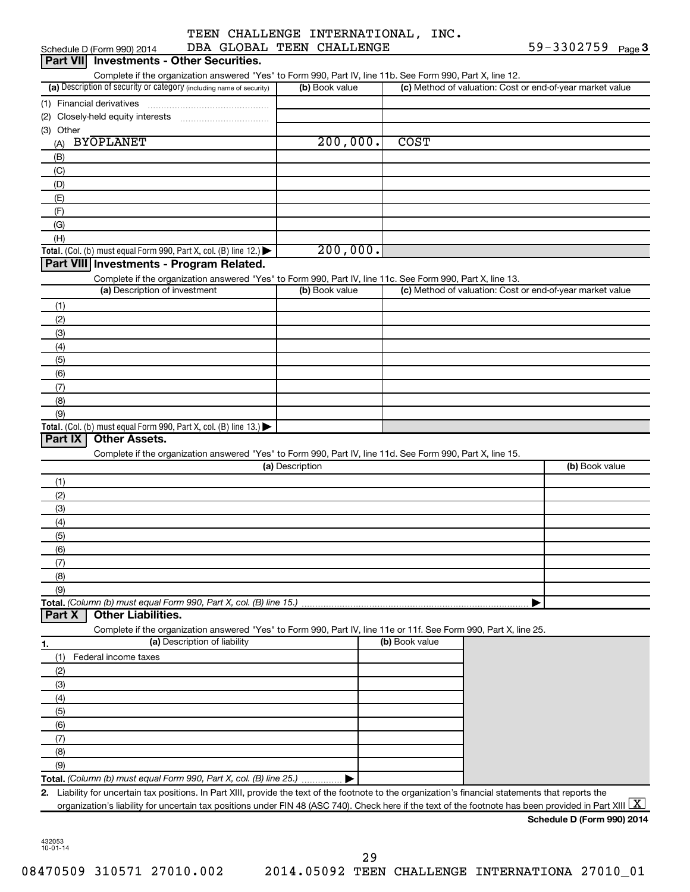| Schedule D (Form 990) 2014                                                                                                                               | DBA GLOBAL TEEN CHALLENGE |                |                                                           | 59-3302759<br>Page 3       |
|----------------------------------------------------------------------------------------------------------------------------------------------------------|---------------------------|----------------|-----------------------------------------------------------|----------------------------|
| <b>Part VIII</b><br><b>Investments - Other Securities.</b>                                                                                               |                           |                |                                                           |                            |
| Complete if the organization answered "Yes" to Form 990, Part IV, line 11b. See Form 990, Part X, line 12.                                               |                           |                |                                                           |                            |
| (a) Description of security or category (including name of security)                                                                                     | (b) Book value            |                | (c) Method of valuation: Cost or end-of-year market value |                            |
| (1) Financial derivatives                                                                                                                                |                           |                |                                                           |                            |
| (2) Closely-held equity interests<br>(3) Other                                                                                                           |                           |                |                                                           |                            |
| <b>BYOPLANET</b><br>(A)                                                                                                                                  | 200,000.                  | <b>COST</b>    |                                                           |                            |
| (B)                                                                                                                                                      |                           |                |                                                           |                            |
| (C)                                                                                                                                                      |                           |                |                                                           |                            |
| (D)                                                                                                                                                      |                           |                |                                                           |                            |
| (E)                                                                                                                                                      |                           |                |                                                           |                            |
| (F)                                                                                                                                                      |                           |                |                                                           |                            |
| (G)                                                                                                                                                      |                           |                |                                                           |                            |
| (H)                                                                                                                                                      |                           |                |                                                           |                            |
| Total. (Col. (b) must equal Form 990, Part X, col. (B) line 12.)                                                                                         | 200,000.                  |                |                                                           |                            |
| Part VIII Investments - Program Related.                                                                                                                 |                           |                |                                                           |                            |
| Complete if the organization answered "Yes" to Form 990, Part IV, line 11c. See Form 990, Part X, line 13.                                               |                           |                |                                                           |                            |
| (a) Description of investment                                                                                                                            | (b) Book value            |                | (c) Method of valuation: Cost or end-of-year market value |                            |
| (1)                                                                                                                                                      |                           |                |                                                           |                            |
| (2)                                                                                                                                                      |                           |                |                                                           |                            |
| (3)                                                                                                                                                      |                           |                |                                                           |                            |
| (4)                                                                                                                                                      |                           |                |                                                           |                            |
| (5)                                                                                                                                                      |                           |                |                                                           |                            |
| (6)                                                                                                                                                      |                           |                |                                                           |                            |
| (7)                                                                                                                                                      |                           |                |                                                           |                            |
| (8)                                                                                                                                                      |                           |                |                                                           |                            |
| (9)<br>Total. (Col. (b) must equal Form 990, Part X, col. (B) line $13.$ )                                                                               |                           |                |                                                           |                            |
| Part IX<br><b>Other Assets.</b><br>Complete if the organization answered "Yes" to Form 990, Part IV, line 11d. See Form 990, Part X, line 15.            | (a) Description           |                |                                                           | (b) Book value             |
| (1)                                                                                                                                                      |                           |                |                                                           |                            |
| (2)                                                                                                                                                      |                           |                |                                                           |                            |
| (3)                                                                                                                                                      |                           |                |                                                           |                            |
| (4)                                                                                                                                                      |                           |                |                                                           |                            |
| (5)                                                                                                                                                      |                           |                |                                                           |                            |
| (6)                                                                                                                                                      |                           |                |                                                           |                            |
| (7)                                                                                                                                                      |                           |                |                                                           |                            |
| (8)                                                                                                                                                      |                           |                |                                                           |                            |
| (9)<br>Total. (Column (b) must equal Form 990, Part X, col. (B) line 15.)                                                                                |                           |                |                                                           |                            |
| <b>Other Liabilities.</b><br>Part X                                                                                                                      |                           |                |                                                           |                            |
| Complete if the organization answered "Yes" to Form 990, Part IV, line 11e or 11f. See Form 990, Part X, line 25.                                        |                           |                |                                                           |                            |
| (a) Description of liability<br>1.                                                                                                                       |                           | (b) Book value |                                                           |                            |
| (1)<br>Federal income taxes                                                                                                                              |                           |                |                                                           |                            |
| (2)                                                                                                                                                      |                           |                |                                                           |                            |
| (3)                                                                                                                                                      |                           |                |                                                           |                            |
| (4)                                                                                                                                                      |                           |                |                                                           |                            |
| (5)                                                                                                                                                      |                           |                |                                                           |                            |
| (6)                                                                                                                                                      |                           |                |                                                           |                            |
| (7)                                                                                                                                                      |                           |                |                                                           |                            |
| (8)                                                                                                                                                      |                           |                |                                                           |                            |
| (9)                                                                                                                                                      |                           |                |                                                           |                            |
| Total. (Column (b) must equal Form 990, Part X, col. (B) line 25.)                                                                                       |                           |                |                                                           |                            |
| 2. Liability for uncertain tax positions. In Part XIII, provide the text of the footnote to the organization's financial statements that reports the     |                           |                |                                                           |                            |
| organization's liability for uncertain tax positions under FIN 48 (ASC 740). Check here if the text of the footnote has been provided in Part XIII $ X $ |                           |                |                                                           |                            |
|                                                                                                                                                          |                           |                |                                                           | Schedule D (Form 990) 2014 |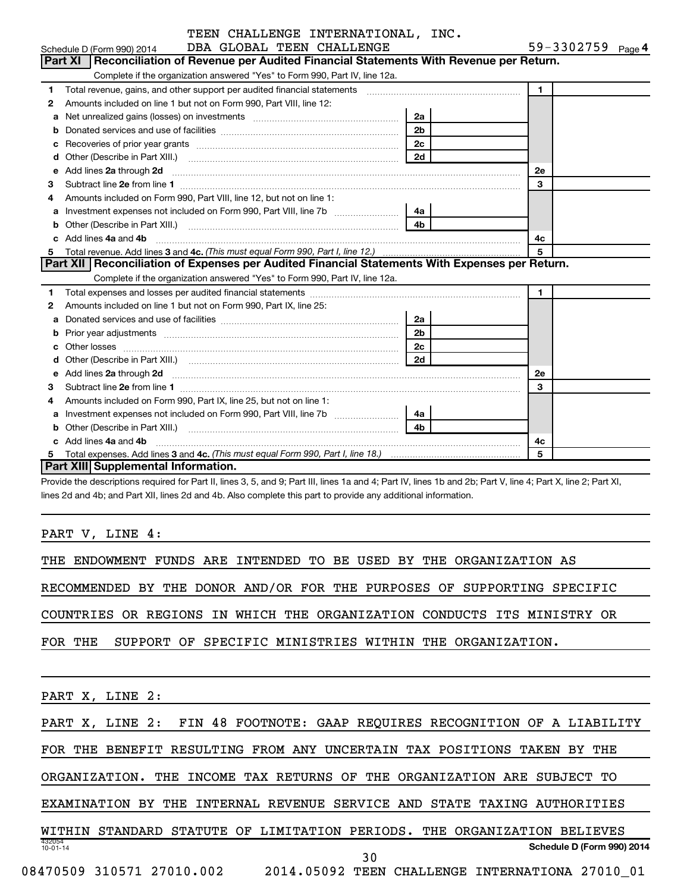|                                                                                                                                                                   | TEEN CHALLENGE INTERNATIONAL, INC. |                   |
|-------------------------------------------------------------------------------------------------------------------------------------------------------------------|------------------------------------|-------------------|
| DBA GLOBAL TEEN CHALLENGE<br>Schedule D (Form 990) 2014                                                                                                           |                                    | 59-3302759 Page 4 |
| <b>Part XI</b><br>Reconciliation of Revenue per Audited Financial Statements With Revenue per Return.                                                             |                                    |                   |
| Complete if the organization answered "Yes" to Form 990, Part IV, line 12a.                                                                                       |                                    |                   |
| Total revenue, gains, and other support per audited financial statements [111] [11] Total revenue, gains, and other support per audited financial statements<br>1 |                                    | $\mathbf{1}$      |
| Amounts included on line 1 but not on Form 990, Part VIII, line 12:<br>2                                                                                          |                                    |                   |
| Net unrealized gains (losses) on investments [11] matter contains the unrealized gains (losses) on investments<br>a                                               | 2a                                 |                   |
|                                                                                                                                                                   | 2 <sub>b</sub>                     |                   |
| c                                                                                                                                                                 | 2c                                 |                   |
| d                                                                                                                                                                 | 2d                                 |                   |
| Add lines 2a through 2d<br>е                                                                                                                                      |                                    | <b>2e</b>         |
| Subtract line 2e from line 1 <b>manufacture 1</b> and 20 from line 1<br>3                                                                                         |                                    | 3                 |
| Amounts included on Form 990, Part VIII, line 12, but not on line 1:<br>4                                                                                         |                                    |                   |
| Investment expenses not included on Form 990, Part VIII, line 7b [11, 111, 120]<br>a                                                                              | - 4a                               |                   |
|                                                                                                                                                                   | 4 <sub>b</sub>                     |                   |
| c Add lines 4a and 4b                                                                                                                                             |                                    | 4с                |
| 5.                                                                                                                                                                |                                    | 5                 |
| Part XII   Reconciliation of Expenses per Audited Financial Statements With Expenses per Return.                                                                  |                                    |                   |
| Complete if the organization answered "Yes" to Form 990, Part IV, line 12a.                                                                                       |                                    |                   |
| Total expenses and losses per audited financial statements manufactured contains and contained and contained to<br>1                                              |                                    | $\mathbf{1}$      |
| Amounts included on line 1 but not on Form 990, Part IX, line 25:<br>2                                                                                            |                                    |                   |
| a                                                                                                                                                                 | 2a                                 |                   |
|                                                                                                                                                                   | 2 <sub>b</sub>                     |                   |
| c                                                                                                                                                                 | 2 <sub>c</sub>                     |                   |
| d                                                                                                                                                                 | 2d                                 |                   |
| е                                                                                                                                                                 |                                    | <b>2e</b>         |
| 3                                                                                                                                                                 |                                    | 3                 |
| Amounts included on Form 990, Part IX, line 25, but not on line 1:<br>4                                                                                           |                                    |                   |
| Investment expenses not included on Form 990, Part VIII, line 7b [11, 111, 120]<br>а                                                                              | - 4а                               |                   |
|                                                                                                                                                                   | 4 <sub>b</sub>                     |                   |
| c Add lines 4a and 4b                                                                                                                                             |                                    | 4c                |
| 5                                                                                                                                                                 |                                    | 5                 |
| Part XIII Supplemental Information.                                                                                                                               |                                    |                   |

Provide the descriptions required for Part II, lines 3, 5, and 9; Part III, lines 1a and 4; Part IV, lines 1b and 2b; Part V, line 4; Part X, line 2; Part XI, lines 2d and 4b; and Part XII, lines 2d and 4b. Also complete this part to provide any additional information.

PART V, LINE 4:

THE ENDOWMENT FUNDS ARE INTENDED TO BE USED BY THE ORGANIZATION AS

RECOMMENDED BY THE DONOR AND/OR FOR THE PURPOSES OF SUPPORTING SPECIFIC

COUNTRIES OR REGIONS IN WHICH THE ORGANIZATION CONDUCTS ITS MINISTRY OR

FOR THE SUPPORT OF SPECIFIC MINISTRIES WITHIN THE ORGANIZATION.

PART X, LINE 2:

PART X, LINE 2: FIN 48 FOOTNOTE: GAAP REQUIRES RECOGNITION OF A LIABILITY

FOR THE BENEFIT RESULTING FROM ANY UNCERTAIN TAX POSITIONS TAKEN BY THE

ORGANIZATION. THE INCOME TAX RETURNS OF THE ORGANIZATION ARE SUBJECT TO

EXAMINATION BY THE INTERNAL REVENUE SERVICE AND STATE TAXING AUTHORITIES

432054 10-01-14 **Schedule D (Form 990) 2014** WITHIN STANDARD STATUTE OF LIMITATION PERIODS. THE ORGANIZATION BELIEVES 30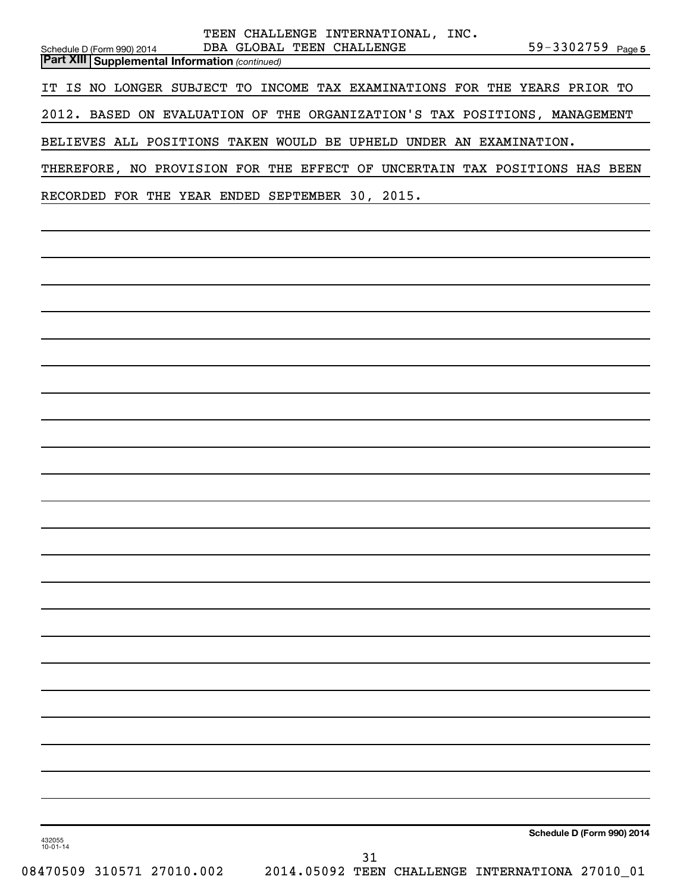| Schedule D (Form 990) 2014                            | TEEN CHALLENGE INTERNATIONAL, INC.<br>DBA GLOBAL TEEN CHALLENGE            | 59-3302759 Page 5 |
|-------------------------------------------------------|----------------------------------------------------------------------------|-------------------|
| <b>Part XIII Supplemental Information (continued)</b> |                                                                            |                   |
|                                                       | IT IS NO LONGER SUBJECT TO INCOME TAX EXAMINATIONS FOR THE YEARS PRIOR TO  |                   |
|                                                       | 2012. BASED ON EVALUATION OF THE ORGANIZATION'S TAX POSITIONS, MANAGEMENT  |                   |
|                                                       | BELIEVES ALL POSITIONS TAKEN WOULD BE UPHELD UNDER AN EXAMINATION.         |                   |
|                                                       | THEREFORE, NO PROVISION FOR THE EFFECT OF UNCERTAIN TAX POSITIONS HAS BEEN |                   |
|                                                       | RECORDED FOR THE YEAR ENDED SEPTEMBER 30, 2015.                            |                   |
|                                                       |                                                                            |                   |
|                                                       |                                                                            |                   |
|                                                       |                                                                            |                   |
|                                                       |                                                                            |                   |
|                                                       |                                                                            |                   |

**Schedule D (Form 990) 2014**

432055 10-01-14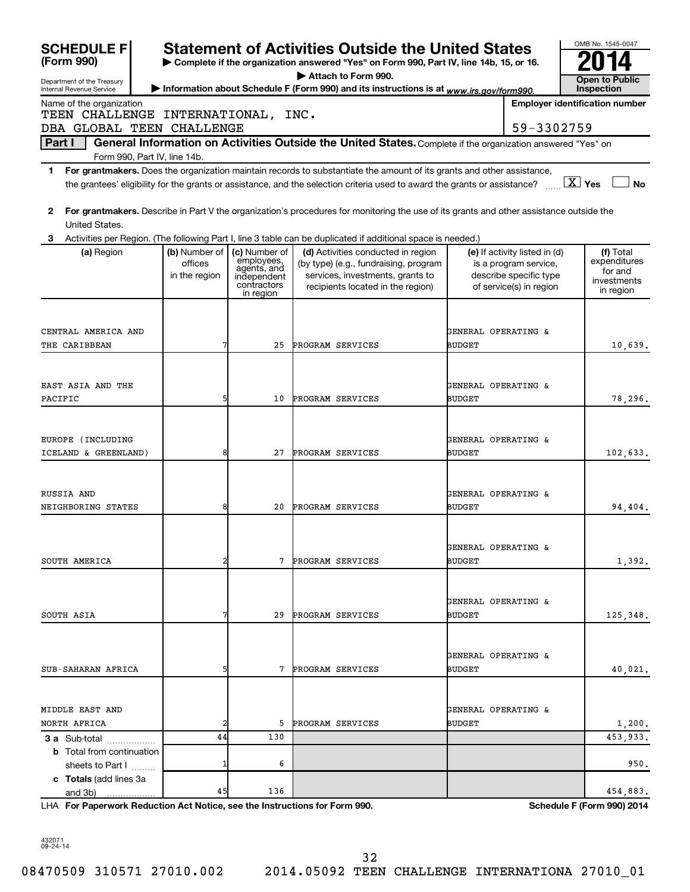| <b>SCHEDULE FI</b>                                              |               |                            | <b>Statement of Activities Outside the United States</b>                                                                                |                                |                                                   | OMB No. 1545-0047                     |
|-----------------------------------------------------------------|---------------|----------------------------|-----------------------------------------------------------------------------------------------------------------------------------------|--------------------------------|---------------------------------------------------|---------------------------------------|
| (Form 990)                                                      |               |                            | ► Complete if the organization answered "Yes" on Form 990, Part IV, line 14b, 15, or 16.                                                |                                |                                                   |                                       |
| Department of the Treasury                                      |               |                            | Attach to Form 990.                                                                                                                     |                                |                                                   | <b>Open to Public</b>                 |
| Internal Revenue Service                                        |               |                            | Information about Schedule F (Form 990) and its instructions is at www.irs.gov/form990.                                                 |                                |                                                   | Inspection                            |
| Name of the organization                                        |               |                            |                                                                                                                                         |                                |                                                   | <b>Employer identification number</b> |
| TEEN CHALLENGE INTERNATIONAL, INC.<br>DBA GLOBAL TEEN CHALLENGE |               |                            |                                                                                                                                         |                                | 59-3302759                                        |                                       |
| Part I                                                          |               |                            | General Information on Activities Outside the United States. Complete if the organization answered "Yes" on                             |                                |                                                   |                                       |
| Form 990, Part IV, line 14b.                                    |               |                            |                                                                                                                                         |                                |                                                   |                                       |
| 1.                                                              |               |                            | For grantmakers. Does the organization maintain records to substantiate the amount of its grants and other assistance,                  |                                |                                                   |                                       |
|                                                                 |               |                            | the grantees' eligibility for the grants or assistance, and the selection criteria used to award the grants or assistance?              |                                |                                                   | $\boxed{\text{X}}$ Yes<br><b>No</b>   |
|                                                                 |               |                            | For grantmakers. Describe in Part V the organization's procedures for monitoring the use of its grants and other assistance outside the |                                |                                                   |                                       |
| 2<br>United States.                                             |               |                            |                                                                                                                                         |                                |                                                   |                                       |
| 3                                                               |               |                            | Activities per Region. (The following Part I, line 3 table can be duplicated if additional space is needed.)                            |                                |                                                   |                                       |
| (a) Region                                                      | (b) Number of | (c) Number of              | (d) Activities conducted in region                                                                                                      |                                | (e) If activity listed in (d)                     | (f) Total                             |
|                                                                 | offices       | employees,<br>agents, and  | (by type) (e.g., fundraising, program                                                                                                   |                                | is a program service,                             | expenditures<br>for and               |
|                                                                 | in the region | independent<br>contractors | services, investments, grants to<br>recipients located in the region)                                                                   |                                | describe specific type<br>of service(s) in region | investments                           |
|                                                                 |               | in region                  |                                                                                                                                         |                                |                                                   | in region                             |
|                                                                 |               |                            |                                                                                                                                         |                                |                                                   |                                       |
| CENTRAL AMERICA AND                                             |               |                            |                                                                                                                                         | GENERAL OPERATING &            |                                                   |                                       |
| THE CARIBBEAN                                                   | 7             | 25                         | <b>PROGRAM SERVICES</b>                                                                                                                 | <b>BUDGET</b>                  |                                                   | 10,639.                               |
|                                                                 |               |                            |                                                                                                                                         |                                |                                                   |                                       |
|                                                                 |               |                            |                                                                                                                                         |                                |                                                   |                                       |
| EAST ASIA AND THE                                               |               |                            |                                                                                                                                         | <b>GENERAL OPERATING &amp;</b> |                                                   |                                       |
| PACIFIC                                                         | 5             | 10                         | PROGRAM SERVICES                                                                                                                        | <b>BUDGET</b>                  |                                                   | 78,296.                               |
|                                                                 |               |                            |                                                                                                                                         |                                |                                                   |                                       |
| EUROPE (INCLUDING                                               |               |                            |                                                                                                                                         | <b>GENERAL OPERATING &amp;</b> |                                                   |                                       |
| ICELAND & GREENLAND)                                            | 8             | 27                         | PROGRAM SERVICES                                                                                                                        | <b>BUDGET</b>                  |                                                   | 102,633.                              |
|                                                                 |               |                            |                                                                                                                                         |                                |                                                   |                                       |
|                                                                 |               |                            |                                                                                                                                         |                                |                                                   |                                       |
| RUSSIA AND                                                      |               |                            |                                                                                                                                         | <b>GENERAL OPERATING &amp;</b> |                                                   |                                       |
| NEIGHBORING STATES                                              | 8             | 20                         | PROGRAM SERVICES                                                                                                                        | <b>BUDGET</b>                  |                                                   | 94,404.                               |
|                                                                 |               |                            |                                                                                                                                         |                                |                                                   |                                       |
|                                                                 |               |                            |                                                                                                                                         | GENERAL OPERATING &            |                                                   |                                       |
| SOUTH AMERICA                                                   |               | 7                          | PROGRAM SERVICES                                                                                                                        | <b>BUDGET</b>                  |                                                   | 1,392.                                |
|                                                                 |               |                            |                                                                                                                                         |                                |                                                   |                                       |
|                                                                 |               |                            |                                                                                                                                         |                                |                                                   |                                       |
|                                                                 |               |                            |                                                                                                                                         | <b>GENERAL OPERATING &amp;</b> |                                                   |                                       |
| SOUTH ASIA                                                      |               | 29                         | PROGRAM SERVICES                                                                                                                        | <b>BUDGET</b>                  |                                                   | 125,348.                              |
|                                                                 |               |                            |                                                                                                                                         |                                |                                                   |                                       |
|                                                                 |               |                            |                                                                                                                                         | <b>GENERAL OPERATING &amp;</b> |                                                   |                                       |
| SUB-SAHARAN AFRICA                                              |               | 7                          | PROGRAM SERVICES                                                                                                                        | <b>BUDGET</b>                  |                                                   | 40,021.                               |
|                                                                 |               |                            |                                                                                                                                         |                                |                                                   |                                       |
|                                                                 |               |                            |                                                                                                                                         |                                |                                                   |                                       |
| MIDDLE EAST AND                                                 |               |                            |                                                                                                                                         | <b>GENERAL OPERATING &amp;</b> |                                                   |                                       |
| NORTH AFRICA                                                    |               | 5                          | PROGRAM SERVICES                                                                                                                        | <b>BUDGET</b>                  |                                                   | 1,200.                                |
| <b>3 a</b> Sub-total                                            | 44            | 130                        |                                                                                                                                         |                                |                                                   | 453,933.                              |
| <b>b</b> Total from continuation                                |               |                            |                                                                                                                                         |                                |                                                   |                                       |
| sheets to Part I<br>c Totals (add lines 3a                      |               | 6                          |                                                                                                                                         |                                |                                                   | 950.                                  |
| and 3b)                                                         | 45            | 136                        |                                                                                                                                         |                                |                                                   | 454,883.                              |
|                                                                 |               |                            |                                                                                                                                         |                                |                                                   |                                       |

**For Paperwork Reduction Act Notice, see the Instructions for Form 990. Schedule F (Form 990) 2014** LHA

432071 09-24-14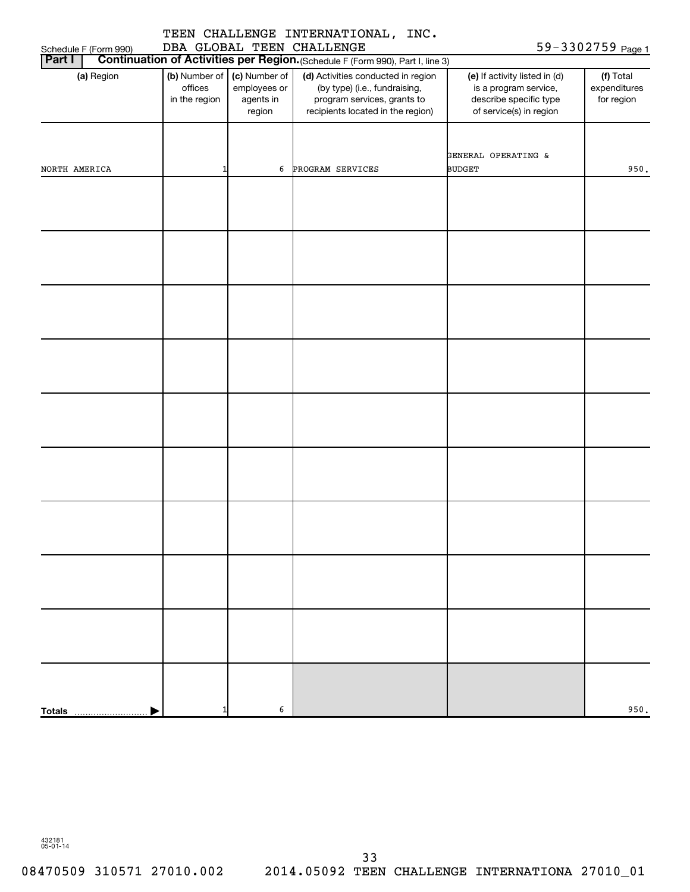|                                        |                                           |                                                      | TEEN CHALLENGE INTERNATIONAL, INC.<br>DBA GLOBAL TEEN CHALLENGE                                                                         |                                                                                                             | 59-3302759 Page 1                       |
|----------------------------------------|-------------------------------------------|------------------------------------------------------|-----------------------------------------------------------------------------------------------------------------------------------------|-------------------------------------------------------------------------------------------------------------|-----------------------------------------|
| Schedule F (Form 990)<br><b>Part I</b> |                                           |                                                      | Continuation of Activities per Region. (Schedule F (Form 990), Part I, line 3)                                                          |                                                                                                             |                                         |
| (a) Region                             | (b) Number of<br>offices<br>in the region | (c) Number of<br>employees or<br>agents in<br>region | (d) Activities conducted in region<br>(by type) (i.e., fundraising,<br>program services, grants to<br>recipients located in the region) | (e) If activity listed in (d)<br>is a program service,<br>describe specific type<br>of service(s) in region | (f) Total<br>expenditures<br>for region |
| NORTH AMERICA                          |                                           | 6                                                    | PROGRAM SERVICES                                                                                                                        | GENERAL OPERATING &<br><b>BUDGET</b>                                                                        | 950.                                    |
|                                        |                                           |                                                      |                                                                                                                                         |                                                                                                             |                                         |
|                                        |                                           |                                                      |                                                                                                                                         |                                                                                                             |                                         |
|                                        |                                           |                                                      |                                                                                                                                         |                                                                                                             |                                         |
|                                        |                                           |                                                      |                                                                                                                                         |                                                                                                             |                                         |
|                                        |                                           |                                                      |                                                                                                                                         |                                                                                                             |                                         |
|                                        |                                           |                                                      |                                                                                                                                         |                                                                                                             |                                         |
|                                        |                                           |                                                      |                                                                                                                                         |                                                                                                             |                                         |
|                                        |                                           |                                                      |                                                                                                                                         |                                                                                                             |                                         |
|                                        |                                           |                                                      |                                                                                                                                         |                                                                                                             |                                         |
| <b>Totals</b>                          |                                           | 6                                                    |                                                                                                                                         |                                                                                                             | 950.                                    |

432181 05-01-14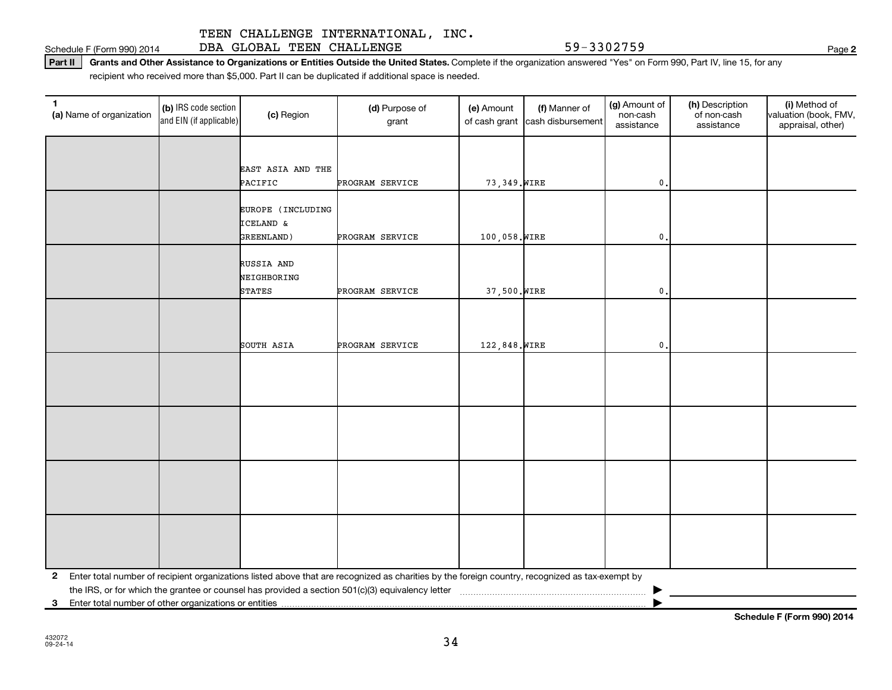#### Schedule F (Form 990) 2014 DBA GLOBAL TEEN CHALLENGE 59-3302759 Page TEEN CHALLENGE INTERNATIONAL, INC.

Part II | Grants and Other Assistance to Organizations or Entities Outside the United States. Complete if the organization answered "Yes" on Form 990, Part IV, line 15, for any recipient who received more than \$5,000. Part II can be duplicated if additional space is needed.

| $\mathbf{1}$<br>(a) Name of organization | (b) IRS code section<br>and EIN (if applicable) | (c) Region                     | (d) Purpose of<br>grant                                                                                                                         | (e) Amount    | (f) Manner of<br>of cash grant cash disbursement | (g) Amount of<br>non-cash<br>assistance | (h) Description<br>of non-cash<br>assistance | (i) Method of<br>valuation (book, FMV,<br>appraisal, other) |
|------------------------------------------|-------------------------------------------------|--------------------------------|-------------------------------------------------------------------------------------------------------------------------------------------------|---------------|--------------------------------------------------|-----------------------------------------|----------------------------------------------|-------------------------------------------------------------|
|                                          |                                                 |                                |                                                                                                                                                 |               |                                                  |                                         |                                              |                                                             |
|                                          |                                                 | EAST ASIA AND THE              |                                                                                                                                                 |               |                                                  |                                         |                                              |                                                             |
|                                          |                                                 | PACIFIC                        | PROGRAM SERVICE                                                                                                                                 | 73,349. WIRE  |                                                  | $\pmb{0}$                               |                                              |                                                             |
|                                          |                                                 | EUROPE (INCLUDING<br>ICELAND & |                                                                                                                                                 |               |                                                  |                                         |                                              |                                                             |
|                                          |                                                 | GREENLAND)                     | PROGRAM SERVICE                                                                                                                                 | 100,058. WIRE |                                                  | $\mathbf{0}$                            |                                              |                                                             |
|                                          |                                                 | RUSSIA AND<br>NEIGHBORING      |                                                                                                                                                 |               |                                                  |                                         |                                              |                                                             |
|                                          |                                                 | <b>STATES</b>                  | PROGRAM SERVICE                                                                                                                                 | 37,500. WIRE  |                                                  | $\mathbf 0$                             |                                              |                                                             |
|                                          |                                                 |                                |                                                                                                                                                 |               |                                                  |                                         |                                              |                                                             |
|                                          |                                                 |                                |                                                                                                                                                 |               |                                                  |                                         |                                              |                                                             |
|                                          |                                                 | SOUTH ASIA                     | PROGRAM SERVICE                                                                                                                                 | 122,848. WIRE |                                                  | $\mathbf 0$                             |                                              |                                                             |
|                                          |                                                 |                                |                                                                                                                                                 |               |                                                  |                                         |                                              |                                                             |
|                                          |                                                 |                                |                                                                                                                                                 |               |                                                  |                                         |                                              |                                                             |
|                                          |                                                 |                                |                                                                                                                                                 |               |                                                  |                                         |                                              |                                                             |
|                                          |                                                 |                                |                                                                                                                                                 |               |                                                  |                                         |                                              |                                                             |
|                                          |                                                 |                                |                                                                                                                                                 |               |                                                  |                                         |                                              |                                                             |
|                                          |                                                 |                                |                                                                                                                                                 |               |                                                  |                                         |                                              |                                                             |
|                                          |                                                 |                                |                                                                                                                                                 |               |                                                  |                                         |                                              |                                                             |
|                                          |                                                 |                                |                                                                                                                                                 |               |                                                  |                                         |                                              |                                                             |
| $\mathbf{2}$                             |                                                 |                                | Enter total number of recipient organizations listed above that are recognized as charities by the foreign country, recognized as tax-exempt by |               |                                                  |                                         |                                              |                                                             |
|                                          |                                                 |                                |                                                                                                                                                 |               |                                                  |                                         |                                              |                                                             |
| 3                                        |                                                 |                                |                                                                                                                                                 |               |                                                  |                                         |                                              |                                                             |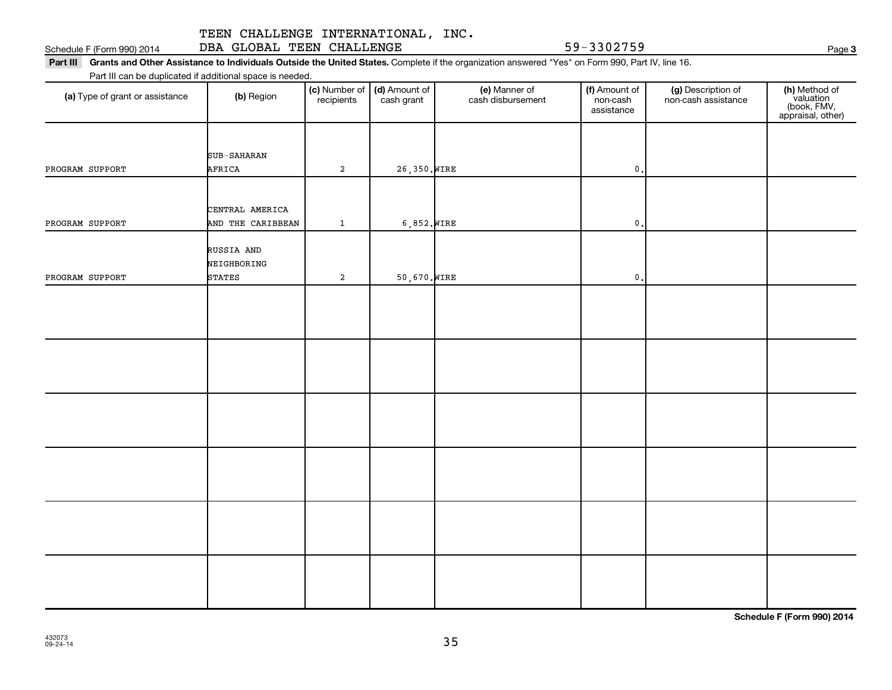| (a) Type of grant or assistance | (b) Region                   | (c) Number of $\vert$ (d) Amount of<br>recipients | cash grant   | (e) Manner of<br>cash disbursement | (f) Amount of<br>non-cash<br>assistance | (g) Description of<br>non-cash assistance | (h) Method of<br>valuation<br>(book, FMV,<br>appraisal, other) |
|---------------------------------|------------------------------|---------------------------------------------------|--------------|------------------------------------|-----------------------------------------|-------------------------------------------|----------------------------------------------------------------|
|                                 |                              |                                                   |              |                                    |                                         |                                           |                                                                |
|                                 | SUB-SAHARAN                  |                                                   |              |                                    |                                         |                                           |                                                                |
| PROGRAM SUPPORT                 | AFRICA                       | $\mathbf 2$                                       | 26,350. WIRE |                                    | $\mathbf 0$ .                           |                                           |                                                                |
|                                 |                              |                                                   |              |                                    |                                         |                                           |                                                                |
|                                 | CENTRAL AMERICA              |                                                   |              |                                    |                                         |                                           |                                                                |
| PROGRAM SUPPORT                 | AND THE CARIBBEAN            | $\mathbf{1}$                                      | 6,852. WIRE  |                                    | $\mathbf 0$ .                           |                                           |                                                                |
|                                 |                              |                                                   |              |                                    |                                         |                                           |                                                                |
|                                 | RUSSIA AND                   |                                                   |              |                                    |                                         |                                           |                                                                |
| PROGRAM SUPPORT                 | NEIGHBORING<br><b>STATES</b> |                                                   |              |                                    |                                         |                                           |                                                                |
|                                 |                              | $\mathbf 2$                                       | 50,670. WIRE |                                    | $\mathsf{0}$ .                          |                                           |                                                                |
|                                 |                              |                                                   |              |                                    |                                         |                                           |                                                                |
|                                 |                              |                                                   |              |                                    |                                         |                                           |                                                                |
|                                 |                              |                                                   |              |                                    |                                         |                                           |                                                                |
|                                 |                              |                                                   |              |                                    |                                         |                                           |                                                                |
|                                 |                              |                                                   |              |                                    |                                         |                                           |                                                                |
|                                 |                              |                                                   |              |                                    |                                         |                                           |                                                                |
|                                 |                              |                                                   |              |                                    |                                         |                                           |                                                                |
|                                 |                              |                                                   |              |                                    |                                         |                                           |                                                                |
|                                 |                              |                                                   |              |                                    |                                         |                                           |                                                                |
|                                 |                              |                                                   |              |                                    |                                         |                                           |                                                                |
|                                 |                              |                                                   |              |                                    |                                         |                                           |                                                                |
|                                 |                              |                                                   |              |                                    |                                         |                                           |                                                                |
|                                 |                              |                                                   |              |                                    |                                         |                                           |                                                                |
|                                 |                              |                                                   |              |                                    |                                         |                                           |                                                                |
|                                 |                              |                                                   |              |                                    |                                         |                                           |                                                                |
|                                 |                              |                                                   |              |                                    |                                         |                                           |                                                                |
|                                 |                              |                                                   |              |                                    |                                         |                                           |                                                                |
|                                 |                              |                                                   |              |                                    |                                         |                                           |                                                                |
|                                 |                              |                                                   |              |                                    |                                         |                                           | Schedule F (Form 990) 2014                                     |

35

TEEN CHALLENGE INTERNATIONAL, INC.

(c) Number of recipients

Part III can be duplicated if additional space is needed.

Part III Grants and Other Assistance to Individuals Outside the United States. Complete if the organization answered "Yes" on Form 990, Part IV, line 16.

(e) Manner of cash disbursement

(d) Amount of cash grant

Schedule F (Form 990) 2014 DBA GLOBAL TEEN CHALLENGE 59-3302759 Page

Amount of non-cash assistance

(g) Description of non-cash assistance **3**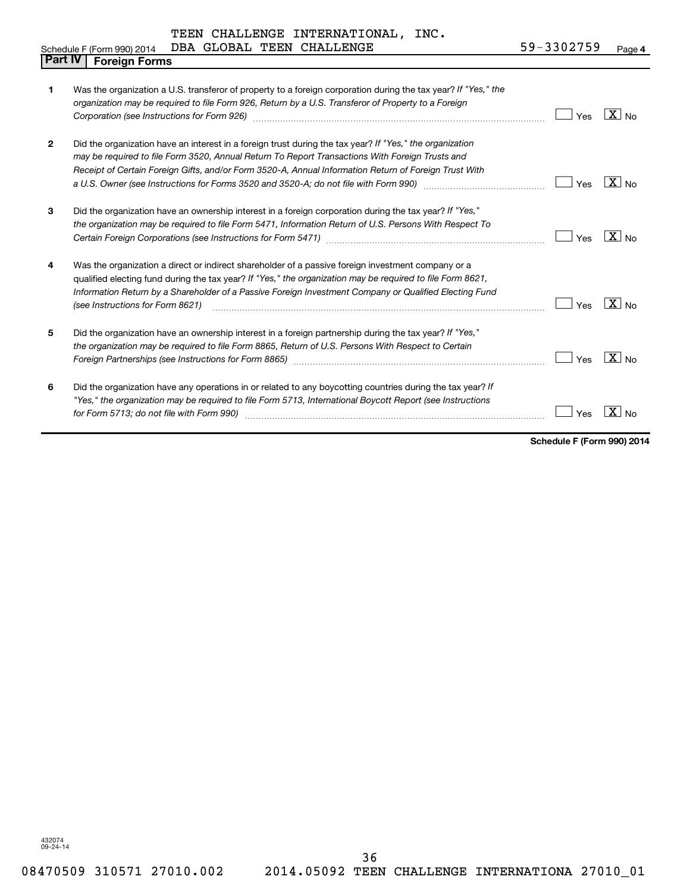| DBA GLOBAL TEEN CHALLENGE<br>Schedule F (Form 990) 2014                                                                                                                                                                                                                                                                                                                                                                      | 59-3302759 | Page 4                |
|------------------------------------------------------------------------------------------------------------------------------------------------------------------------------------------------------------------------------------------------------------------------------------------------------------------------------------------------------------------------------------------------------------------------------|------------|-----------------------|
| Part IV<br><b>Foreign Forms</b>                                                                                                                                                                                                                                                                                                                                                                                              |            |                       |
| Was the organization a U.S. transferor of property to a foreign corporation during the tax year? If "Yes," the<br>1<br>organization may be required to file Form 926, Return by a U.S. Transferor of Property to a Foreign                                                                                                                                                                                                   | Yes        | $\boxed{\text{X}}$ No |
| Did the organization have an interest in a foreign trust during the tax year? If "Yes," the organization<br>$\mathbf{2}$<br>may be required to file Form 3520, Annual Return To Report Transactions With Foreign Trusts and<br>Receipt of Certain Foreign Gifts, and/or Form 3520-A, Annual Information Return of Foreign Trust With<br>a U.S. Owner (see Instructions for Forms 3520 and 3520-A; do not file with Form 990) | Yes        | $\mid X \mid$ No.     |
| Did the organization have an ownership interest in a foreign corporation during the tax year? If "Yes,"<br>3<br>the organization may be required to file Form 5471, Information Return of U.S. Persons With Respect To                                                                                                                                                                                                       | Yes        | $\mid X \mid$ No      |
| Was the organization a direct or indirect shareholder of a passive foreign investment company or a<br>4<br>qualified electing fund during the tax year? If "Yes," the organization may be required to file Form 8621,<br>Information Return by a Shareholder of a Passive Foreign Investment Company or Qualified Electing Fund<br>(see Instructions for Form 8621)                                                          | Yes        | $\boxed{\text{X}}$ No |
| Did the organization have an ownership interest in a foreign partnership during the tax year? If "Yes,"<br>5<br>the organization may be required to file Form 8865, Return of U.S. Persons With Respect to Certain<br>Foreign Partnerships (see Instructions for Form 8865)                                                                                                                                                  | Yes        | $\overline{X}$ No     |
| Did the organization have any operations in or related to any boycotting countries during the tax year? If<br>6<br>"Yes," the organization may be required to file Form 5713, International Boycott Report (see Instructions<br>for Form 5713; do not file with Form 990)                                                                                                                                                    | Yes        | $\mathbf{X}$<br>No    |

**Schedule F (Form 990) 2014**

432074 09-24-14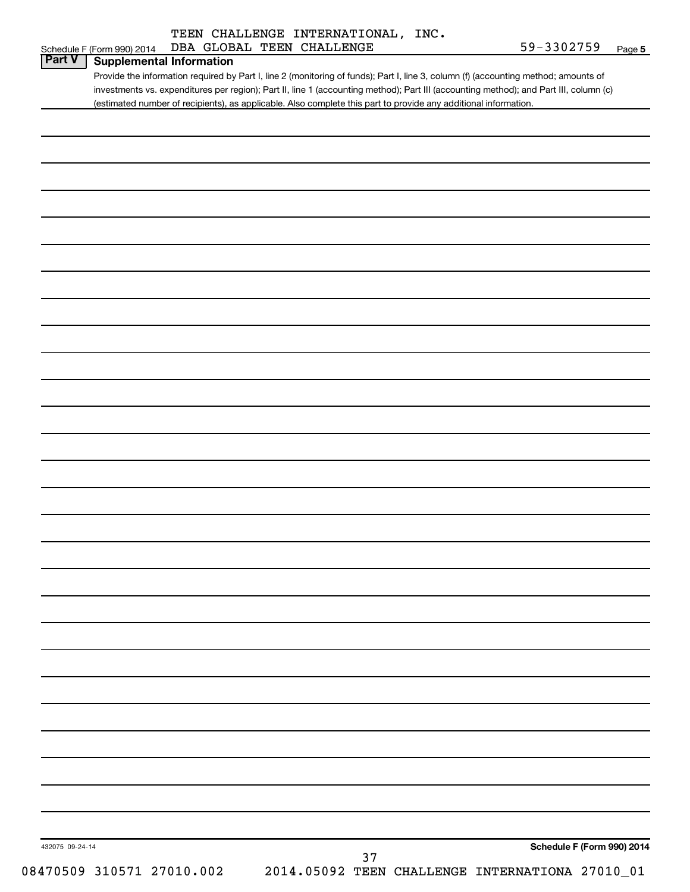|            | TEEN CHALLENGE INTERNATIONAL, INC. |  |
|------------|------------------------------------|--|
| --- ------ | ------- ---------                  |  |

|                 | Schedule F (Form 990) 2014                                                                                                            | DBA GLOBAL TEEN CHALLENGE |    | 59-3302759                                      | Page 5 |
|-----------------|---------------------------------------------------------------------------------------------------------------------------------------|---------------------------|----|-------------------------------------------------|--------|
| <b>Part V</b>   | <b>Supplemental Information</b>                                                                                                       |                           |    |                                                 |        |
|                 | Provide the information required by Part I, line 2 (monitoring of funds); Part I, line 3, column (f) (accounting method; amounts of   |                           |    |                                                 |        |
|                 | investments vs. expenditures per region); Part II, line 1 (accounting method); Part III (accounting method); and Part III, column (c) |                           |    |                                                 |        |
|                 | (estimated number of recipients), as applicable. Also complete this part to provide any additional information.                       |                           |    |                                                 |        |
|                 |                                                                                                                                       |                           |    |                                                 |        |
|                 |                                                                                                                                       |                           |    |                                                 |        |
|                 |                                                                                                                                       |                           |    |                                                 |        |
|                 |                                                                                                                                       |                           |    |                                                 |        |
|                 |                                                                                                                                       |                           |    |                                                 |        |
|                 |                                                                                                                                       |                           |    |                                                 |        |
|                 |                                                                                                                                       |                           |    |                                                 |        |
|                 |                                                                                                                                       |                           |    |                                                 |        |
|                 |                                                                                                                                       |                           |    |                                                 |        |
|                 |                                                                                                                                       |                           |    |                                                 |        |
|                 |                                                                                                                                       |                           |    |                                                 |        |
|                 |                                                                                                                                       |                           |    |                                                 |        |
|                 |                                                                                                                                       |                           |    |                                                 |        |
|                 |                                                                                                                                       |                           |    |                                                 |        |
|                 |                                                                                                                                       |                           |    |                                                 |        |
|                 |                                                                                                                                       |                           |    |                                                 |        |
|                 |                                                                                                                                       |                           |    |                                                 |        |
|                 |                                                                                                                                       |                           |    |                                                 |        |
|                 |                                                                                                                                       |                           |    |                                                 |        |
|                 |                                                                                                                                       |                           |    |                                                 |        |
|                 |                                                                                                                                       |                           |    |                                                 |        |
|                 |                                                                                                                                       |                           |    |                                                 |        |
|                 |                                                                                                                                       |                           |    |                                                 |        |
|                 |                                                                                                                                       |                           |    |                                                 |        |
|                 |                                                                                                                                       |                           |    |                                                 |        |
|                 |                                                                                                                                       |                           |    |                                                 |        |
|                 |                                                                                                                                       |                           |    |                                                 |        |
|                 |                                                                                                                                       |                           |    |                                                 |        |
|                 |                                                                                                                                       |                           |    |                                                 |        |
|                 |                                                                                                                                       |                           |    |                                                 |        |
|                 |                                                                                                                                       |                           |    |                                                 |        |
|                 |                                                                                                                                       |                           |    |                                                 |        |
|                 |                                                                                                                                       |                           |    |                                                 |        |
|                 |                                                                                                                                       |                           |    |                                                 |        |
|                 |                                                                                                                                       |                           |    |                                                 |        |
|                 |                                                                                                                                       |                           |    |                                                 |        |
|                 |                                                                                                                                       |                           |    |                                                 |        |
|                 |                                                                                                                                       |                           |    |                                                 |        |
|                 |                                                                                                                                       |                           |    |                                                 |        |
|                 |                                                                                                                                       |                           |    |                                                 |        |
|                 |                                                                                                                                       |                           |    |                                                 |        |
|                 |                                                                                                                                       |                           |    |                                                 |        |
|                 |                                                                                                                                       |                           |    |                                                 |        |
|                 |                                                                                                                                       |                           |    |                                                 |        |
|                 |                                                                                                                                       |                           |    |                                                 |        |
|                 |                                                                                                                                       |                           |    |                                                 |        |
|                 |                                                                                                                                       |                           |    |                                                 |        |
|                 |                                                                                                                                       |                           |    |                                                 |        |
|                 |                                                                                                                                       |                           |    |                                                 |        |
|                 |                                                                                                                                       |                           |    |                                                 |        |
|                 |                                                                                                                                       |                           |    |                                                 |        |
| 432075 09-24-14 |                                                                                                                                       |                           |    | Schedule F (Form 990) 2014                      |        |
|                 |                                                                                                                                       |                           | 37 |                                                 |        |
|                 | 08470509 310571 27010.002                                                                                                             |                           |    | 2014.05092 TEEN CHALLENGE INTERNATIONA 27010_01 |        |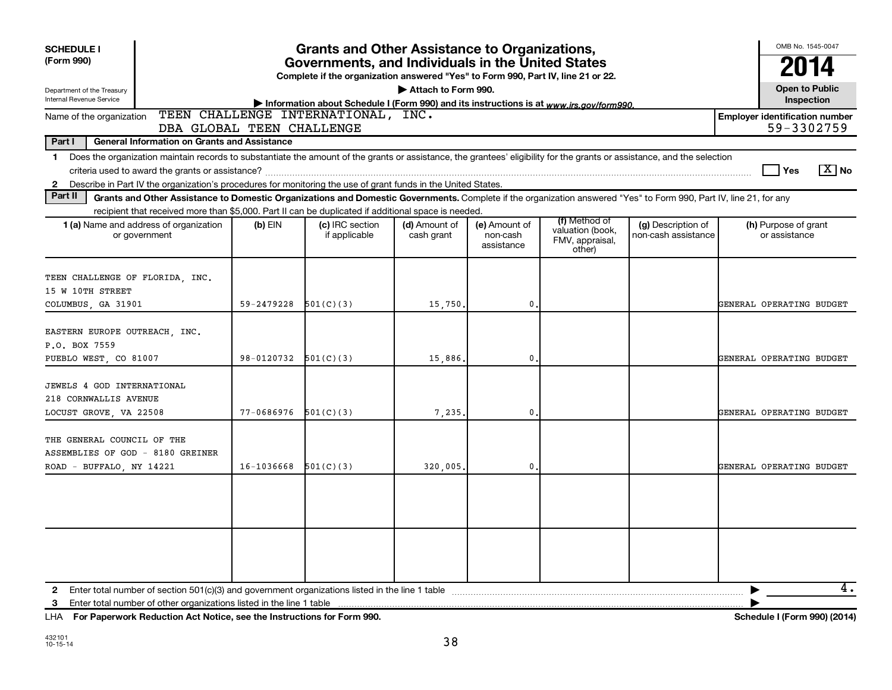|            |                                                     |                                                                                                   |                                         |                                                                                                                                                                                                                                             |                                                                                                                                                                                               | OMB No. 1545-0047<br>2014<br><b>Open to Public</b><br>Inspection                                                                                                                                                                                                                                                                                                                                                                                                 |
|------------|-----------------------------------------------------|---------------------------------------------------------------------------------------------------|-----------------------------------------|---------------------------------------------------------------------------------------------------------------------------------------------------------------------------------------------------------------------------------------------|-----------------------------------------------------------------------------------------------------------------------------------------------------------------------------------------------|------------------------------------------------------------------------------------------------------------------------------------------------------------------------------------------------------------------------------------------------------------------------------------------------------------------------------------------------------------------------------------------------------------------------------------------------------------------|
|            |                                                     |                                                                                                   |                                         |                                                                                                                                                                                                                                             |                                                                                                                                                                                               | <b>Employer identification number</b><br>59-3302759                                                                                                                                                                                                                                                                                                                                                                                                              |
|            |                                                     |                                                                                                   |                                         |                                                                                                                                                                                                                                             |                                                                                                                                                                                               |                                                                                                                                                                                                                                                                                                                                                                                                                                                                  |
|            |                                                     |                                                                                                   |                                         |                                                                                                                                                                                                                                             |                                                                                                                                                                                               | $\boxed{\text{X}}$ No<br>Yes                                                                                                                                                                                                                                                                                                                                                                                                                                     |
|            |                                                     |                                                                                                   |                                         |                                                                                                                                                                                                                                             |                                                                                                                                                                                               |                                                                                                                                                                                                                                                                                                                                                                                                                                                                  |
| $(b)$ EIN  | (c) IRC section<br>if applicable                    | (d) Amount of<br>cash grant                                                                       | (e) Amount of<br>non-cash<br>assistance | (f) Method of<br>valuation (book,<br>FMV, appraisal,<br>other)                                                                                                                                                                              | (g) Description of                                                                                                                                                                            | (h) Purpose of grant<br>or assistance                                                                                                                                                                                                                                                                                                                                                                                                                            |
| 59-2479228 | 501(C)(3)                                           | 15,750.                                                                                           | $\mathbf{0}$                            |                                                                                                                                                                                                                                             |                                                                                                                                                                                               | GENERAL OPERATING BUDGET                                                                                                                                                                                                                                                                                                                                                                                                                                         |
| 98-0120732 | 501(C)(3)                                           | 15,886.                                                                                           | $\mathbf{0}$                            |                                                                                                                                                                                                                                             |                                                                                                                                                                                               | GENERAL OPERATING BUDGET                                                                                                                                                                                                                                                                                                                                                                                                                                         |
| 77-0686976 | 501(C)(3)                                           | 7,235.                                                                                            | $\mathbf 0$ .                           |                                                                                                                                                                                                                                             |                                                                                                                                                                                               | GENERAL OPERATING BUDGET                                                                                                                                                                                                                                                                                                                                                                                                                                         |
| 16-1036668 | 501(C)(3)                                           | 320,005.                                                                                          | 0                                       |                                                                                                                                                                                                                                             |                                                                                                                                                                                               | GENERAL OPERATING BUDGET                                                                                                                                                                                                                                                                                                                                                                                                                                         |
|            |                                                     |                                                                                                   |                                         |                                                                                                                                                                                                                                             |                                                                                                                                                                                               | 4.                                                                                                                                                                                                                                                                                                                                                                                                                                                               |
|            | <b>General Information on Grants and Assistance</b> | DBA GLOBAL TEEN CHALLENGE<br>Enter total number of other organizations listed in the line 1 table | TEEN CHALLENGE INTERNATIONAL, INC.      | Attach to Form 990.<br>Describe in Part IV the organization's procedures for monitoring the use of grant funds in the United States.<br>recipient that received more than \$5,000. Part II can be duplicated if additional space is needed. | <b>Grants and Other Assistance to Organizations,</b><br>Governments, and Individuals in the United States<br>Complete if the organization answered "Yes" to Form 990, Part IV, line 21 or 22. | Information about Schedule I (Form 990) and its instructions is at www.irs.gov/form990.<br>Does the organization maintain records to substantiate the amount of the grants or assistance, the grantees' eligibility for the grants or assistance, and the selection<br>Grants and Other Assistance to Domestic Organizations and Domestic Governments. Complete if the organization answered "Yes" to Form 990, Part IV, line 21, for any<br>non-cash assistance |

**For Paperwork Reduction Act Notice, see the Instructions for Form 990. Schedule I (Form 990) (2014)** LHA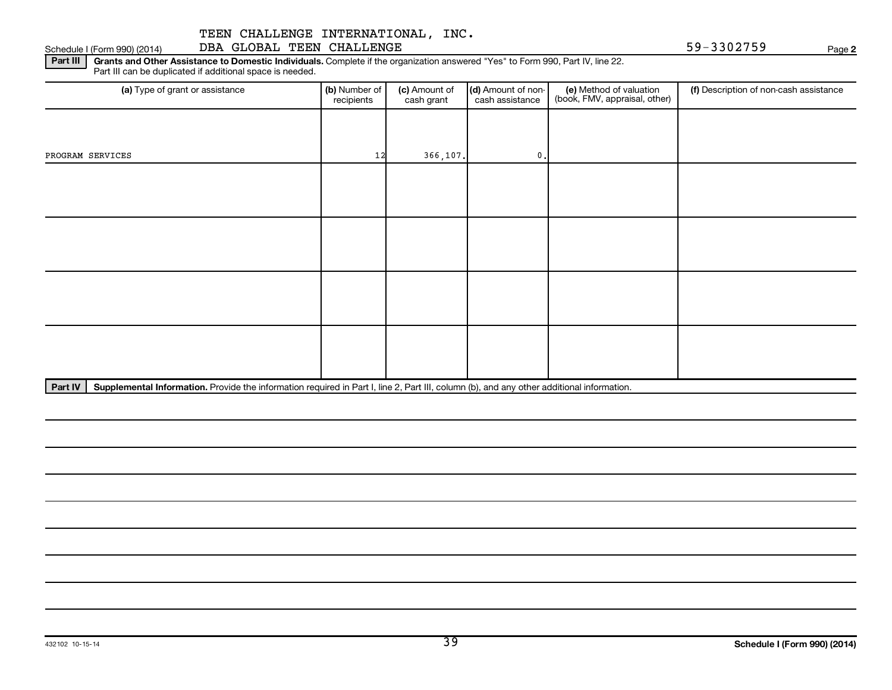Schedule I (Form 990) (2014) DBA GLOBAL TEEN CHALLENGE NEWSLA SERVICE SUPPORT STATES SOLUTE Page Page

**2**

Part III | Grants and Other Assistance to Domestic Individuals. Complete if the organization answered "Yes" to Form 990, Part IV, line 22. Part III can be duplicated if additional space is needed.

| (a) Type of grant or assistance | (b) Number of<br>recipients | (c) Amount of<br>cash grant | (d) Amount of non-<br>cash assistance | (e) Method of valuation<br>(book, FMV, appraisal, other) | (f) Description of non-cash assistance |
|---------------------------------|-----------------------------|-----------------------------|---------------------------------------|----------------------------------------------------------|----------------------------------------|
|                                 |                             |                             |                                       |                                                          |                                        |
| PROGRAM SERVICES                | 12                          | 366, 107.                   | $\mathbf{0}$ .                        |                                                          |                                        |
|                                 |                             |                             |                                       |                                                          |                                        |
|                                 |                             |                             |                                       |                                                          |                                        |
|                                 |                             |                             |                                       |                                                          |                                        |
|                                 |                             |                             |                                       |                                                          |                                        |
|                                 |                             |                             |                                       |                                                          |                                        |
|                                 |                             |                             |                                       |                                                          |                                        |
|                                 |                             |                             |                                       |                                                          |                                        |
|                                 |                             |                             |                                       |                                                          |                                        |

Part IV | Supplemental Information. Provide the information required in Part I, line 2, Part III, column (b), and any other additional information.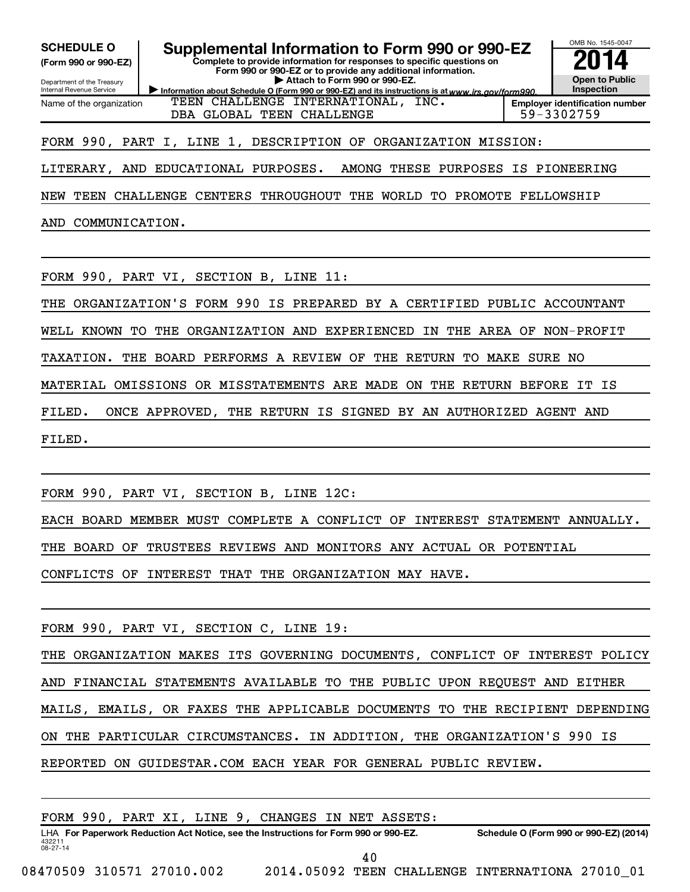**(Form 990 or 990-EZ)**

Department of the Treasury Internal Revenue Service

Name of the organization

Information about Schedule O (Form 990 or 990-EZ) and its instructions is at www.irs.gov/form990. **Complete to provide information for responses to specific questions on Form 990 or 990-EZ or to provide any additional information. | Attach to Form 990 or 990-EZ.** SCHEDULE O **Supplemental Information to Form 990 or 990-EZ 2014** 



TEEN CHALLENGE INTERNATIONAL, INC. DBA GLOBAL TEEN CHALLENGE THE SECOND 199-3302759

#### FORM 990, PART I, LINE 1, DESCRIPTION OF ORGANIZATION MISSION:

LITERARY, AND EDUCATIONAL PURPOSES. AMONG THESE PURPOSES IS PIONEERING

NEW TEEN CHALLENGE CENTERS THROUGHOUT THE WORLD TO PROMOTE FELLOWSHIP

AND COMMUNICATION.

FORM 990, PART VI, SECTION B, LINE 11:

THE ORGANIZATION'S FORM 990 IS PREPARED BY A CERTIFIED PUBLIC ACCOUNTANT

WELL KNOWN TO THE ORGANIZATION AND EXPERIENCED IN THE AREA OF NON-PROFIT

TAXATION. THE BOARD PERFORMS A REVIEW OF THE RETURN TO MAKE SURE NO

MATERIAL OMISSIONS OR MISSTATEMENTS ARE MADE ON THE RETURN BEFORE IT IS

FILED. ONCE APPROVED, THE RETURN IS SIGNED BY AN AUTHORIZED AGENT AND

FILED.

FORM 990, PART VI, SECTION B, LINE 12C:

EACH BOARD MEMBER MUST COMPLETE A CONFLICT OF INTEREST STATEMENT ANNUALLY. THE BOARD OF TRUSTEES REVIEWS AND MONITORS ANY ACTUAL OR POTENTIAL

CONFLICTS OF INTEREST THAT THE ORGANIZATION MAY HAVE.

FORM 990, PART VI, SECTION C, LINE 19:

THE ORGANIZATION MAKES ITS GOVERNING DOCUMENTS, CONFLICT OF INTEREST POLICY AND FINANCIAL STATEMENTS AVAILABLE TO THE PUBLIC UPON REQUEST AND EITHER MAILS, EMAILS, OR FAXES THE APPLICABLE DOCUMENTS TO THE RECIPIENT DEPENDING ON THE PARTICULAR CIRCUMSTANCES. IN ADDITION, THE ORGANIZATION'S 990 IS REPORTED ON GUIDESTAR.COM EACH YEAR FOR GENERAL PUBLIC REVIEW.

|                           |  |  | FORM 990, PART XI, LINE 9, CHANGES IN NET ASSETS:                                    |    |                                                 |  |
|---------------------------|--|--|--------------------------------------------------------------------------------------|----|-------------------------------------------------|--|
| 432211<br>$08 - 27 - 14$  |  |  | LHA For Paperwork Reduction Act Notice, see the Instructions for Form 990 or 990-EZ. |    | Schedule O (Form 990 or 990-EZ) (2014)          |  |
| 08470509 310571 27010.002 |  |  |                                                                                      | 40 | 2014.05092 TEEN CHALLENGE INTERNATIONA 27010 01 |  |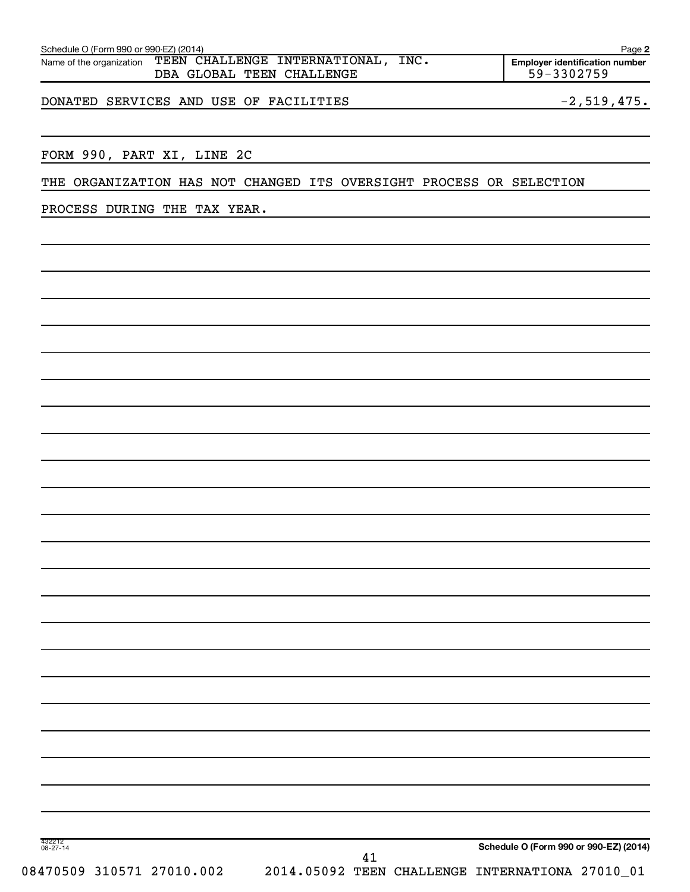| TEEN CHALLENGE INTERNATIONAL, INC.<br>Name of the organization<br>DBA GLOBAL TEEN CHALLENGE | Employer identification number<br>59-3302759 |
|---------------------------------------------------------------------------------------------|----------------------------------------------|
| DONATED SERVICES AND USE OF FACILITIES                                                      | $-2,519,475.$                                |
| FORM 990, PART XI, LINE 2C                                                                  |                                              |
| THE ORGANIZATION HAS NOT CHANGED ITS OVERSIGHT PROCESS OR SELECTION                         |                                              |
| PROCESS DURING THE TAX YEAR.                                                                |                                              |
|                                                                                             |                                              |
|                                                                                             |                                              |
|                                                                                             |                                              |
|                                                                                             |                                              |
|                                                                                             |                                              |
|                                                                                             |                                              |
|                                                                                             |                                              |
|                                                                                             |                                              |
|                                                                                             |                                              |
|                                                                                             |                                              |
|                                                                                             |                                              |
|                                                                                             |                                              |
|                                                                                             |                                              |
|                                                                                             |                                              |
|                                                                                             |                                              |
|                                                                                             |                                              |
|                                                                                             |                                              |
|                                                                                             |                                              |
|                                                                                             |                                              |
|                                                                                             |                                              |
|                                                                                             |                                              |
| 432212<br>08-27-14                                                                          | Schedule O (Form 990 or 990-EZ) (2014)       |
| 41<br>08470509 310571 27010.002 2014.05092 TEEN CHALLENGE INTERNATIONA 27010_01             |                                              |

Schedule O (Form 990 or 990-EZ) (2014)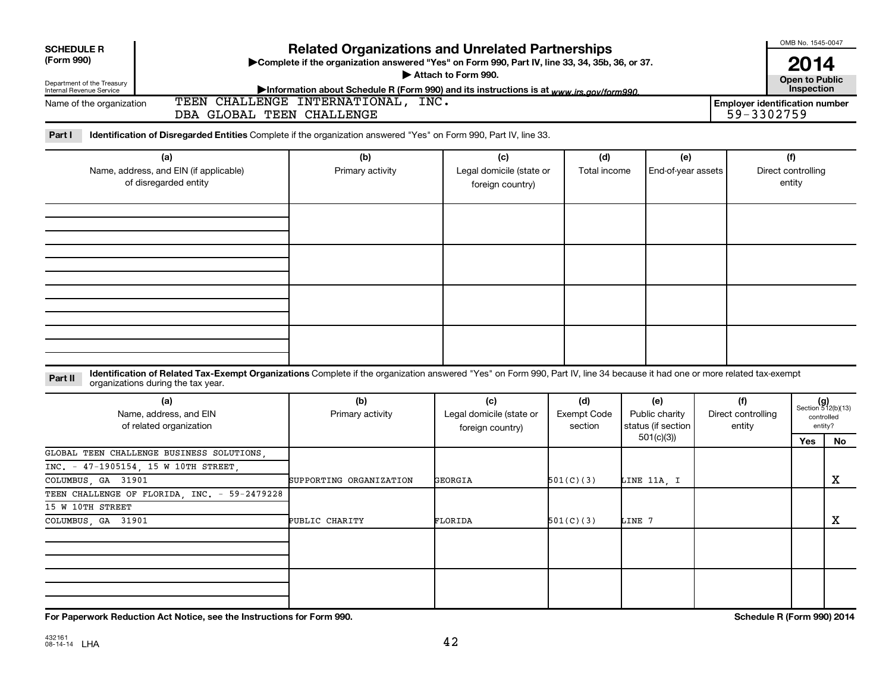| <b>Related Organizations and Unrelated Partnerships</b><br><b>SCHEDULE R</b><br>(Form 990)<br>>Complete if the organization answered "Yes" on Form 990, Part IV, line 33, 34, 35b, 36, or 37.<br>Attach to Form 990.<br>Department of the Treasury<br>Information about Schedule R (Form 990) and its instructions is at www.irs.gov/form990. |                                                                                                                                                                                                                  |                                                                                |                                                     |                               |                                                          |                                       |            |                                                      |                |  |  |
|-----------------------------------------------------------------------------------------------------------------------------------------------------------------------------------------------------------------------------------------------------------------------------------------------------------------------------------------------|------------------------------------------------------------------------------------------------------------------------------------------------------------------------------------------------------------------|--------------------------------------------------------------------------------|-----------------------------------------------------|-------------------------------|----------------------------------------------------------|---------------------------------------|------------|------------------------------------------------------|----------------|--|--|
| Internal Revenue Service<br>Name of the organization                                                                                                                                                                                                                                                                                          | DBA GLOBAL TEEN CHALLENGE                                                                                                                                                                                        | TEEN CHALLENGE INTERNATIONAL, INC.                                             |                                                     |                               |                                                          | <b>Employer identification number</b> | 59-3302759 | Inspection                                           |                |  |  |
| Part I                                                                                                                                                                                                                                                                                                                                        | Identification of Disregarded Entities Complete if the organization answered "Yes" on Form 990, Part IV, line 33.                                                                                                |                                                                                |                                                     |                               |                                                          |                                       |            |                                                      |                |  |  |
| (a)<br>Name, address, and EIN (if applicable)<br>of disregarded entity                                                                                                                                                                                                                                                                        |                                                                                                                                                                                                                  | (b)<br>(c)<br>Primary activity<br>Legal domicile (state or<br>foreign country) |                                                     | (d)<br>Total income           | (e)<br>End-of-year assets                                |                                       |            | (f)<br>Direct controlling<br>entity                  |                |  |  |
|                                                                                                                                                                                                                                                                                                                                               |                                                                                                                                                                                                                  |                                                                                |                                                     |                               |                                                          |                                       |            |                                                      |                |  |  |
|                                                                                                                                                                                                                                                                                                                                               |                                                                                                                                                                                                                  |                                                                                |                                                     |                               |                                                          |                                       |            |                                                      |                |  |  |
| Part II                                                                                                                                                                                                                                                                                                                                       | Identification of Related Tax-Exempt Organizations Complete if the organization answered "Yes" on Form 990, Part IV, line 34 because it had one or more related tax-exempt<br>organizations during the tax year. |                                                                                |                                                     |                               |                                                          |                                       |            |                                                      |                |  |  |
|                                                                                                                                                                                                                                                                                                                                               | (a)<br>Name, address, and EIN<br>of related organization                                                                                                                                                         | (b)<br>Primary activity                                                        | (c)<br>Legal domicile (state or<br>foreign country) | (d)<br>Exempt Code<br>section | (e)<br>Public charity<br>status (if section<br>501(c)(3) | (f)<br>Direct controlling<br>entity   |            | $(g)$<br>Section 512(b)(13)<br>controlled<br>entity? |                |  |  |
| COLUMBUS, GA 31901                                                                                                                                                                                                                                                                                                                            | GLOBAL TEEN CHALLENGE BUSINESS SOLUTIONS,<br>INC. - 47-1905154, 15 W 10TH STREET,                                                                                                                                | SUPPORTING ORGANIZATION                                                        | GEORGIA                                             | 501(C)(3)                     | LINE 11A, I                                              |                                       |            | Yes                                                  | <b>No</b><br>X |  |  |
| 15 W 10TH STREET<br>COLUMBUS GA 31901                                                                                                                                                                                                                                                                                                         | TEEN CHALLENGE OF FLORIDA, INC. - 59-2479228                                                                                                                                                                     | PUBLIC CHARITY                                                                 | FLORIDA                                             | 501(C)(3)                     | LINE 7                                                   |                                       |            |                                                      | X              |  |  |
|                                                                                                                                                                                                                                                                                                                                               |                                                                                                                                                                                                                  |                                                                                |                                                     |                               |                                                          |                                       |            |                                                      |                |  |  |
| $\overline{\phantom{a}}$                                                                                                                                                                                                                                                                                                                      |                                                                                                                                                                                                                  |                                                                                |                                                     |                               |                                                          |                                       | .          |                                                      |                |  |  |

**For Paperwork Reduction Act Notice, see the Instructions for Form 990. Schedule R (Form 990) 2014**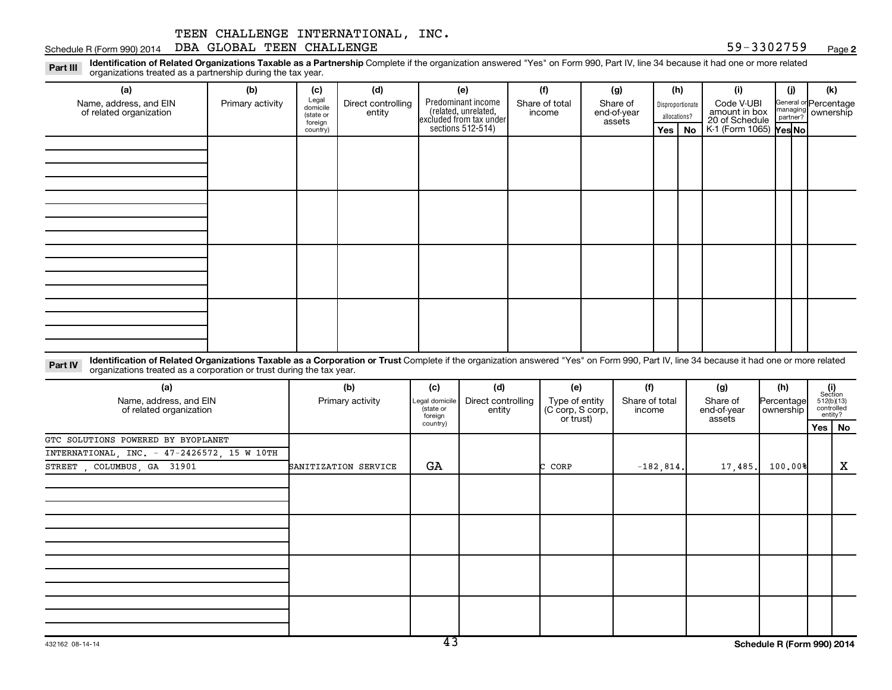#### Schedule R (Form 990) 2014 DBA GLOBAL TEEN CHALLENGE SERVICE SERVICE SERVICE SERVICE SERVICE SERVICE Page 59-3302759 Page

**2**

Part III Identification of Related Organizations Taxable as a Partnership Complete if the organization answered "Yes" on Form 990, Part IV, line 34 because it had one or more related<br>Read to the organizations tracted as a organizations treated as a partnership during the tax year.

| (a)                                               | (b)              | (c)                                       | (d)                          | (e)                                                                                        | (f)                      | (g)                               |                                  | (h) | (i)                                           | (j) | (k)                                                     |  |  |
|---------------------------------------------------|------------------|-------------------------------------------|------------------------------|--------------------------------------------------------------------------------------------|--------------------------|-----------------------------------|----------------------------------|-----|-----------------------------------------------|-----|---------------------------------------------------------|--|--|
| Name, address, and EIN<br>of related organization | Primary activity | Legal<br>domicile<br>(state or<br>foreign | Direct controlling<br>entity | Predominant income<br>(related, unrelated,<br>excluded from tax under<br>sections 512-514) | Share of total<br>income | Share of<br>end-of-year<br>assets | Disproportionate<br>allocations? |     | Code V-UBI<br>amount in box<br>20 of Schedule |     | General or Percentage<br>managing ownership<br>partner? |  |  |
|                                                   |                  | country)                                  |                              |                                                                                            |                          |                                   | Yes $ $                          | No  | $K1$ (Form 1065) $\gamma$ es No               |     |                                                         |  |  |
|                                                   |                  |                                           |                              |                                                                                            |                          |                                   |                                  |     |                                               |     |                                                         |  |  |
|                                                   |                  |                                           |                              |                                                                                            |                          |                                   |                                  |     |                                               |     |                                                         |  |  |
|                                                   |                  |                                           |                              |                                                                                            |                          |                                   |                                  |     |                                               |     |                                                         |  |  |
|                                                   |                  |                                           |                              |                                                                                            |                          |                                   |                                  |     |                                               |     |                                                         |  |  |
|                                                   |                  |                                           |                              |                                                                                            |                          |                                   |                                  |     |                                               |     |                                                         |  |  |
|                                                   |                  |                                           |                              |                                                                                            |                          |                                   |                                  |     |                                               |     |                                                         |  |  |
|                                                   |                  |                                           |                              |                                                                                            |                          |                                   |                                  |     |                                               |     |                                                         |  |  |
|                                                   |                  |                                           |                              |                                                                                            |                          |                                   |                                  |     |                                               |     |                                                         |  |  |
|                                                   |                  |                                           |                              |                                                                                            |                          |                                   |                                  |     |                                               |     |                                                         |  |  |
|                                                   |                  |                                           |                              |                                                                                            |                          |                                   |                                  |     |                                               |     |                                                         |  |  |
|                                                   |                  |                                           |                              |                                                                                            |                          |                                   |                                  |     |                                               |     |                                                         |  |  |
|                                                   |                  |                                           |                              |                                                                                            |                          |                                   |                                  |     |                                               |     |                                                         |  |  |
|                                                   |                  |                                           |                              |                                                                                            |                          |                                   |                                  |     |                                               |     |                                                         |  |  |
|                                                   |                  |                                           |                              |                                                                                            |                          |                                   |                                  |     |                                               |     |                                                         |  |  |
|                                                   |                  |                                           |                              |                                                                                            |                          |                                   |                                  |     |                                               |     |                                                         |  |  |
|                                                   |                  |                                           |                              |                                                                                            |                          |                                   |                                  |     |                                               |     |                                                         |  |  |
|                                                   |                  |                                           |                              |                                                                                            |                          |                                   |                                  |     |                                               |     |                                                         |  |  |

Part IV Identification of Related Organizations Taxable as a Corporation or Trust Complete if the organization answered "Yes" on Form 990, Part IV, line 34 because it had one or more related<br>Comparison tracted as a comprat organizations treated as a corporation or trust during the tax year.

| (a)<br>Name, address, and EIN<br>of related organization | (b)<br>Primary activity | (f)<br>(d)<br>(c)<br>(e)<br>Type of entity<br>(C corp, S corp,<br>Share of total<br>Direct controlling<br>Legal domicile<br>(state or<br>income<br>entity<br>foreign<br>or trust) |  | (g)<br>Share of<br>end-of-year<br>assets |              | (h)<br>Percentage<br>ownership | (i)<br>Section<br>$512(b)(13)$<br>controlled<br>entity? |          |
|----------------------------------------------------------|-------------------------|-----------------------------------------------------------------------------------------------------------------------------------------------------------------------------------|--|------------------------------------------|--------------|--------------------------------|---------------------------------------------------------|----------|
|                                                          |                         | country)                                                                                                                                                                          |  |                                          |              |                                |                                                         | Yes   No |
| GTC SOLUTIONS POWERED BY BYOPLANET                       |                         |                                                                                                                                                                                   |  |                                          |              |                                |                                                         |          |
| INTERNATIONAL, INC. - 47-2426572, 15 W 10TH              |                         |                                                                                                                                                                                   |  |                                          |              |                                |                                                         |          |
| STREET, COLUMBUS, GA 31901                               | SANITIZATION SERVICE    | GA                                                                                                                                                                                |  | CORP<br>с                                | $-182, 814.$ | 17,485.                        | 100.00%                                                 | X        |
|                                                          |                         |                                                                                                                                                                                   |  |                                          |              |                                |                                                         |          |
|                                                          |                         |                                                                                                                                                                                   |  |                                          |              |                                |                                                         |          |
|                                                          |                         |                                                                                                                                                                                   |  |                                          |              |                                |                                                         |          |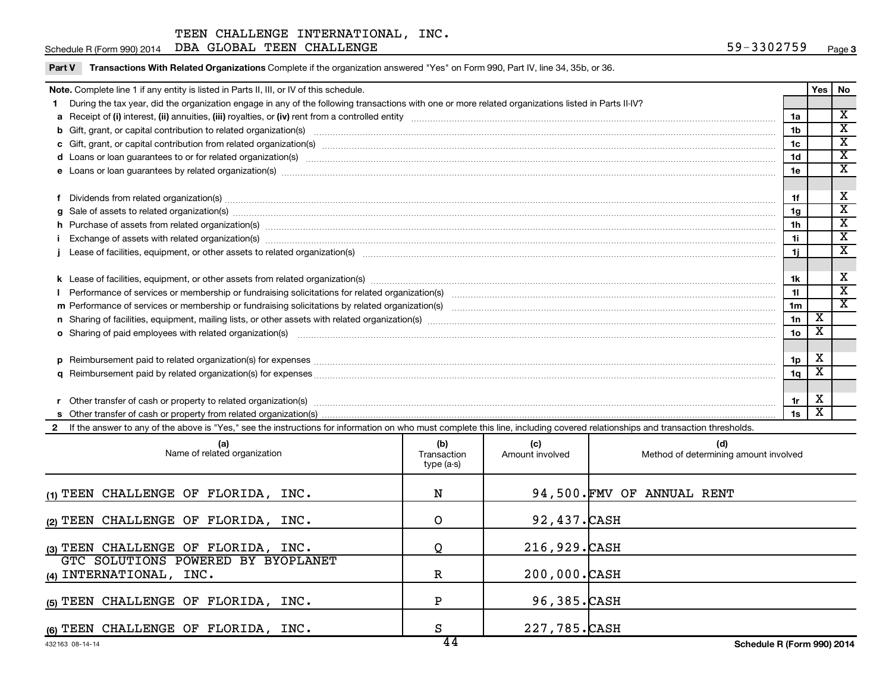Schedule R (Form 990) 2014 DBA GLOBAL TEEN CHALLENGE SERVICE SERVICE SERVICE SERVICE SERVICE SERVICE Page 59-3302759 Page

Part V Transactions With Related Organizations Complete if the organization answered "Yes" on Form 990, Part IV, line 34, 35b, or 36.

| Note. Complete line 1 if any entity is listed in Parts II, III, or IV of this schedule.                                                                                                                                        |                 | Yes   No |                             |
|--------------------------------------------------------------------------------------------------------------------------------------------------------------------------------------------------------------------------------|-----------------|----------|-----------------------------|
| During the tax year, did the organization engage in any of the following transactions with one or more related organizations listed in Parts II-IV?                                                                            |                 |          |                             |
|                                                                                                                                                                                                                                | 1a              |          | $\mathbf x$                 |
|                                                                                                                                                                                                                                | 1 <sub>b</sub>  |          | $\overline{\mathbf{x}}$     |
|                                                                                                                                                                                                                                | 1c              |          | $\overline{\texttt{x}}$     |
| d Loans or loan guarantees to or for related organization(s) www.communically.com/www.communically.com/www.communically.com/www.communically.com/www.communically.com/www.communically.com/www.communically.com/www.communical | 1 <sub>d</sub>  |          | $\overline{\texttt{x}}$     |
|                                                                                                                                                                                                                                | 1e              |          | $\overline{\mathbf{X}}$     |
|                                                                                                                                                                                                                                |                 |          |                             |
| Dividends from related organization(s) material content and content and content and content and content and content and content and content and content and content and content and content and content and content and conten | 1f              |          | х                           |
|                                                                                                                                                                                                                                | 1g              |          | $\overline{\mathbf{X}}$     |
|                                                                                                                                                                                                                                | 1 <sub>h</sub>  |          | $\overline{\textnormal{x}}$ |
| Exchange of assets with related organization(s) measurements are constructed as a constrained and constructed and constructed and constructed and constructed and constructed and constructed and constructed and constructed  | 1i.             |          | $\overline{\textbf{x}}$     |
| Lease of facilities, equipment, or other assets to related organization(s) manufactured content to the set of facilities, equipment, or other assets to related organization(s) manufactured content to the set of facilities, | 1i              |          | $\overline{\mathbf{x}}$     |
|                                                                                                                                                                                                                                |                 |          |                             |
|                                                                                                                                                                                                                                | 1k              |          | X                           |
|                                                                                                                                                                                                                                | 11              |          | $\overline{\textnormal{x}}$ |
|                                                                                                                                                                                                                                | 1 <sub>m</sub>  |          | $\overline{\mathbf{x}}$     |
|                                                                                                                                                                                                                                | 1n              | X        |                             |
| <b>o</b> Sharing of paid employees with related organization(s)                                                                                                                                                                | 10 <sub>o</sub> |          |                             |
|                                                                                                                                                                                                                                |                 |          |                             |
|                                                                                                                                                                                                                                | 1p              | X        |                             |
|                                                                                                                                                                                                                                | 1q              | X        |                             |
|                                                                                                                                                                                                                                |                 |          |                             |
|                                                                                                                                                                                                                                | 1r              | X        |                             |
|                                                                                                                                                                                                                                | 1s              | x        |                             |
| 2 If the answer to any of the above is "Yes," see the instructions for information on who must complete this line, including covered relationships and transaction thresholds.                                                 |                 |          |                             |

| (a)<br>Name of related organization                           | (b)<br>Transaction<br>type (a-s) | (c)<br>Amount involved | (d)<br>Method of determining amount involved |
|---------------------------------------------------------------|----------------------------------|------------------------|----------------------------------------------|
| (1) TEEN CHALLENGE OF FLORIDA, INC.                           | N                                |                        | 94,500.FMV OF ANNUAL RENT                    |
| (2) TEEN CHALLENGE OF FLORIDA, INC.                           |                                  | 92,437. CASH           |                                              |
| (3) TEEN CHALLENGE OF FLORIDA, INC.                           |                                  | 216,929.CASH           |                                              |
| GTC SOLUTIONS POWERED BY BYOPLANET<br>(4) INTERNATIONAL, INC. | R                                | 200,000.CASH           |                                              |
| (5) TEEN CHALLENGE OF FLORIDA, INC.                           | P                                | 96,385.CASH            |                                              |
| (6) TEEN CHALLENGE OF FLORIDA, INC.                           | S                                | 227,785. CASH          |                                              |
|                                                               | $\Lambda$                        |                        | 2221222<br>------                            |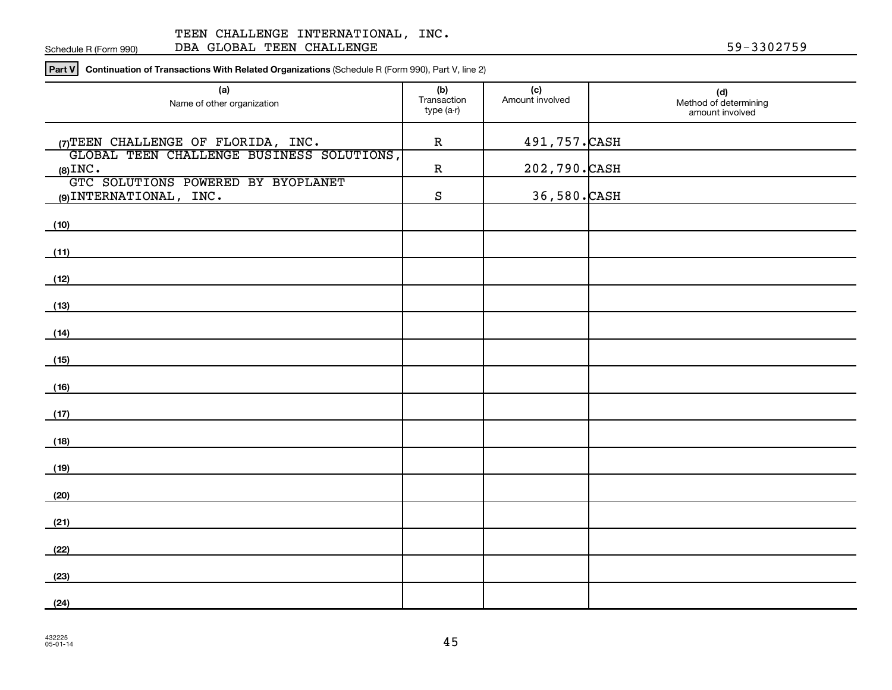Schedule R (Form 990)

DBA GLOBAL TEEN CHALLENGE 1999 SUMMER 2008 SP-3302759

**Part V Continuation of Transactions With Related Organizations**  (Schedule R (Form 990), Part V, line 2)

| (a)<br>Name of other organization                                                  | (b)<br>Transaction<br>type (a-r) | (c)<br>Amount involved | (d)<br>Method of determining<br>amount involved |
|------------------------------------------------------------------------------------|----------------------------------|------------------------|-------------------------------------------------|
| $_{(7)}$ TEEN CHALLENGE OF FLORIDA, INC. GLOBAL TEEN CHALLENGE BUSINESS SOLUTIONS, | ${\bf R}$                        | 491,757.CASH           |                                                 |
| $(8)$ INC.                                                                         | ${\bf R}$                        | 202,790.CASH           |                                                 |
| GTC SOLUTIONS POWERED BY BYOPLANET<br>(9) INTERNATIONAL, INC.                      | $\mathbf S$                      | 36,580.CASH            |                                                 |
| (10)                                                                               |                                  |                        |                                                 |
| (11)                                                                               |                                  |                        |                                                 |
| (12)                                                                               |                                  |                        |                                                 |
| (13)                                                                               |                                  |                        |                                                 |
| (14)                                                                               |                                  |                        |                                                 |
| (15)                                                                               |                                  |                        |                                                 |
| (16)                                                                               |                                  |                        |                                                 |
| (17)                                                                               |                                  |                        |                                                 |
| (18)                                                                               |                                  |                        |                                                 |
| (19)                                                                               |                                  |                        |                                                 |
| (20)                                                                               |                                  |                        |                                                 |
| (21)                                                                               |                                  |                        |                                                 |
| (22)                                                                               |                                  |                        |                                                 |
| (23)                                                                               |                                  |                        |                                                 |
| (24)                                                                               |                                  |                        |                                                 |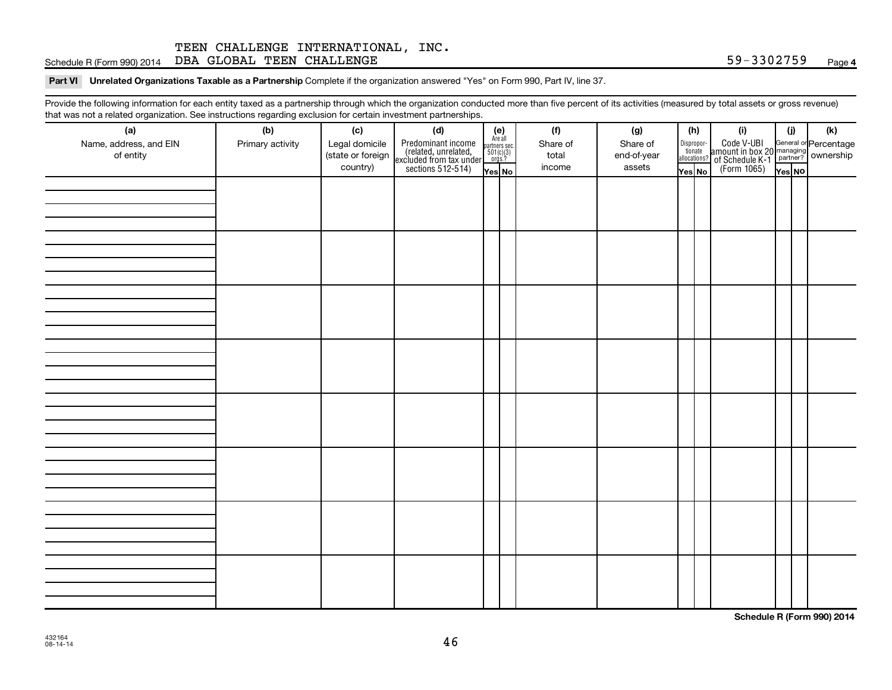Schedule R (Form 990) 2014 DBA GLOBAL TEEN CHALLENGE SERVICE SERVICE SERVICE SERVICE SERVICE SERVICE Page 59-3302759 Page

Part VI Unrelated Organizations Taxable as a Partnership Complete if the organization answered "Yes" on Form 990, Part IV, line 37.

Provide the following information for each entity taxed as a partnership through which the organization conducted more than five percent of its activities (measured by total assets or gross revenue) that was not a related organization. See instructions regarding exclusion for certain investment partnerships.

| hat neo hot a rolatod organization. Ooo motraotiono rogaranty oxolaolon for cortain invocaniont partnorompo.<br>(a) | (b)              | (c)               | (d)                                                                                        |                                                            |  | (f)      | (g)         |                                  | (h) | (i)                                                                                                | (i)    | (k) |  |  |  |  |  |  |  |  |
|---------------------------------------------------------------------------------------------------------------------|------------------|-------------------|--------------------------------------------------------------------------------------------|------------------------------------------------------------|--|----------|-------------|----------------------------------|-----|----------------------------------------------------------------------------------------------------|--------|-----|--|--|--|--|--|--|--|--|
| Name, address, and EIN                                                                                              | Primary activity | Legal domicile    |                                                                                            | $(e)$<br>Are all<br>partners sec.<br>$501(c)(3)$<br>orgs.? |  | Share of | Share of    |                                  |     |                                                                                                    |        |     |  |  |  |  |  |  |  |  |
| of entity                                                                                                           |                  | (state or foreign |                                                                                            |                                                            |  | total    | end-of-year | Disproportionate<br>allocations? |     |                                                                                                    |        |     |  |  |  |  |  |  |  |  |
|                                                                                                                     |                  | country)          | Predominant income<br>(related, unrelated,<br>excluded from tax under<br>sections 512-514) | Yes No                                                     |  | income   | assets      | Yes No                           |     | Code V-UBI<br>amount in box 20 managing<br>of Schedule K-1<br>(Form 1065)<br>$\overline{V}$ ves No | Yes NO |     |  |  |  |  |  |  |  |  |
|                                                                                                                     |                  |                   |                                                                                            |                                                            |  |          |             |                                  |     |                                                                                                    |        |     |  |  |  |  |  |  |  |  |
|                                                                                                                     |                  |                   |                                                                                            |                                                            |  |          |             |                                  |     |                                                                                                    |        |     |  |  |  |  |  |  |  |  |
|                                                                                                                     |                  |                   |                                                                                            |                                                            |  |          |             |                                  |     |                                                                                                    |        |     |  |  |  |  |  |  |  |  |
|                                                                                                                     |                  |                   |                                                                                            |                                                            |  |          |             |                                  |     |                                                                                                    |        |     |  |  |  |  |  |  |  |  |
|                                                                                                                     |                  |                   |                                                                                            |                                                            |  |          |             |                                  |     |                                                                                                    |        |     |  |  |  |  |  |  |  |  |
|                                                                                                                     |                  |                   |                                                                                            |                                                            |  |          |             |                                  |     |                                                                                                    |        |     |  |  |  |  |  |  |  |  |
|                                                                                                                     |                  |                   |                                                                                            |                                                            |  |          |             |                                  |     |                                                                                                    |        |     |  |  |  |  |  |  |  |  |
|                                                                                                                     |                  |                   |                                                                                            |                                                            |  |          |             |                                  |     |                                                                                                    |        |     |  |  |  |  |  |  |  |  |
|                                                                                                                     |                  |                   |                                                                                            |                                                            |  |          |             |                                  |     |                                                                                                    |        |     |  |  |  |  |  |  |  |  |
|                                                                                                                     |                  |                   |                                                                                            |                                                            |  |          |             |                                  |     |                                                                                                    |        |     |  |  |  |  |  |  |  |  |
|                                                                                                                     |                  |                   |                                                                                            |                                                            |  |          |             |                                  |     |                                                                                                    |        |     |  |  |  |  |  |  |  |  |
|                                                                                                                     |                  |                   |                                                                                            |                                                            |  |          |             |                                  |     |                                                                                                    |        |     |  |  |  |  |  |  |  |  |
|                                                                                                                     |                  |                   |                                                                                            |                                                            |  |          |             |                                  |     |                                                                                                    |        |     |  |  |  |  |  |  |  |  |
|                                                                                                                     |                  |                   |                                                                                            |                                                            |  |          |             |                                  |     |                                                                                                    |        |     |  |  |  |  |  |  |  |  |
|                                                                                                                     |                  |                   |                                                                                            |                                                            |  |          |             |                                  |     |                                                                                                    |        |     |  |  |  |  |  |  |  |  |
|                                                                                                                     |                  |                   |                                                                                            |                                                            |  |          |             |                                  |     |                                                                                                    |        |     |  |  |  |  |  |  |  |  |
|                                                                                                                     |                  |                   |                                                                                            |                                                            |  |          |             |                                  |     |                                                                                                    |        |     |  |  |  |  |  |  |  |  |
|                                                                                                                     |                  |                   |                                                                                            |                                                            |  |          |             |                                  |     |                                                                                                    |        |     |  |  |  |  |  |  |  |  |
|                                                                                                                     |                  |                   |                                                                                            |                                                            |  |          |             |                                  |     |                                                                                                    |        |     |  |  |  |  |  |  |  |  |
|                                                                                                                     |                  |                   |                                                                                            |                                                            |  |          |             |                                  |     |                                                                                                    |        |     |  |  |  |  |  |  |  |  |
|                                                                                                                     |                  |                   |                                                                                            |                                                            |  |          |             |                                  |     |                                                                                                    |        |     |  |  |  |  |  |  |  |  |
|                                                                                                                     |                  |                   |                                                                                            |                                                            |  |          |             |                                  |     |                                                                                                    |        |     |  |  |  |  |  |  |  |  |
|                                                                                                                     |                  |                   |                                                                                            |                                                            |  |          |             |                                  |     |                                                                                                    |        |     |  |  |  |  |  |  |  |  |
|                                                                                                                     |                  |                   |                                                                                            |                                                            |  |          |             |                                  |     |                                                                                                    |        |     |  |  |  |  |  |  |  |  |
|                                                                                                                     |                  |                   |                                                                                            |                                                            |  |          |             |                                  |     |                                                                                                    |        |     |  |  |  |  |  |  |  |  |
|                                                                                                                     |                  |                   |                                                                                            |                                                            |  |          |             |                                  |     |                                                                                                    |        |     |  |  |  |  |  |  |  |  |
|                                                                                                                     |                  |                   |                                                                                            |                                                            |  |          |             |                                  |     |                                                                                                    |        |     |  |  |  |  |  |  |  |  |
|                                                                                                                     |                  |                   |                                                                                            |                                                            |  |          |             |                                  |     |                                                                                                    |        |     |  |  |  |  |  |  |  |  |
|                                                                                                                     |                  |                   |                                                                                            |                                                            |  |          |             |                                  |     |                                                                                                    |        |     |  |  |  |  |  |  |  |  |
|                                                                                                                     |                  |                   |                                                                                            |                                                            |  |          |             |                                  |     |                                                                                                    |        |     |  |  |  |  |  |  |  |  |
|                                                                                                                     |                  |                   |                                                                                            |                                                            |  |          |             |                                  |     |                                                                                                    |        |     |  |  |  |  |  |  |  |  |
|                                                                                                                     |                  |                   |                                                                                            |                                                            |  |          |             |                                  |     |                                                                                                    |        |     |  |  |  |  |  |  |  |  |
|                                                                                                                     |                  |                   |                                                                                            |                                                            |  |          |             |                                  |     |                                                                                                    |        |     |  |  |  |  |  |  |  |  |

**Schedule R (Form 990) 2014**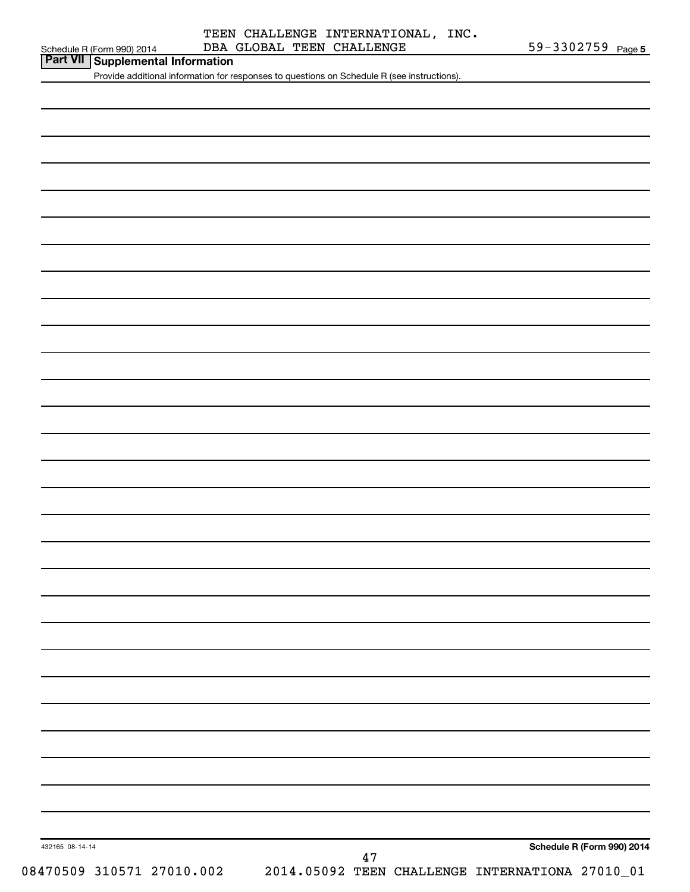#### Schedule R (Form 990) 2014 Page DBA GLOBAL TEEN CHALLENGE 59-3302759 TEEN CHALLENGE INTERNATIONAL, INC.

# **Part VII Schedule R (Form 990) 2014** DBA<br>**Part VII Supplemental Information**

Provide additional information for responses to questions on Schedule R (see instructions).

**Schedule R (Form 990) 2014**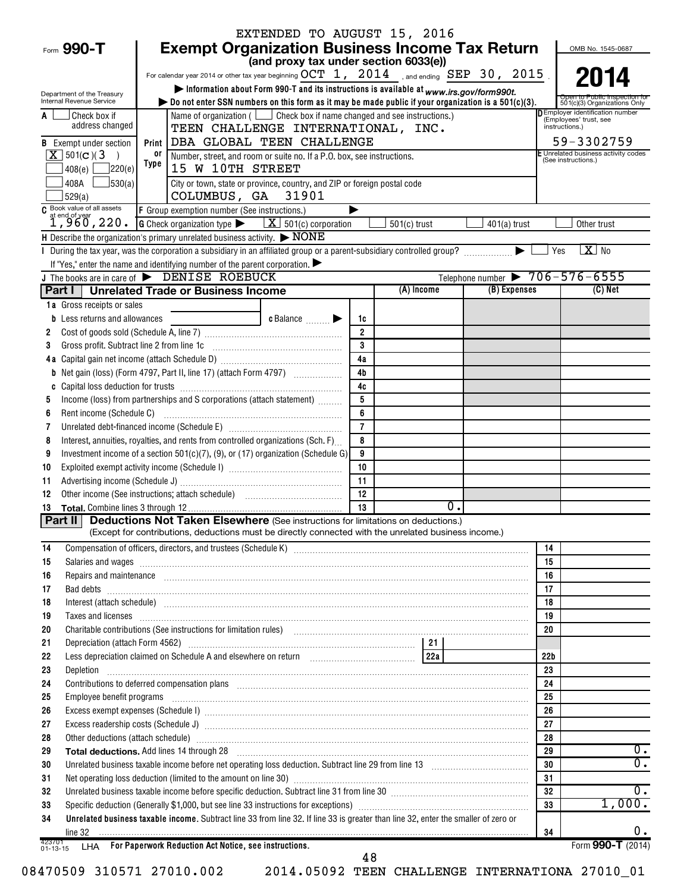|                                               |                                                                                                                                                                                                                                         | EXTENDED TO AUGUST 15, 2016                                                             |                      |            |                                                |                 |                                                                        |  |  |
|-----------------------------------------------|-----------------------------------------------------------------------------------------------------------------------------------------------------------------------------------------------------------------------------------------|-----------------------------------------------------------------------------------------|----------------------|------------|------------------------------------------------|-----------------|------------------------------------------------------------------------|--|--|
| Form 990-T                                    | <b>Exempt Organization Business Income Tax Return</b>                                                                                                                                                                                   |                                                                                         |                      |            |                                                |                 | OMB No. 1545-0687                                                      |  |  |
|                                               |                                                                                                                                                                                                                                         | (and proxy tax under section 6033(e))                                                   |                      |            |                                                |                 |                                                                        |  |  |
|                                               | For calendar year 2014 or other tax year beginning $OCT$ 1, $2014$ , and ending SEP 30, $2015$                                                                                                                                          |                                                                                         |                      |            |                                                |                 | 2014                                                                   |  |  |
| Department of the Treasury                    |                                                                                                                                                                                                                                         | Information about Form 990-T and its instructions is available at www.irs.gov/form990t. |                      |            |                                                |                 |                                                                        |  |  |
| Internal Revenue Service                      | bo not enter SSN numbers on this form as it may be made public if your organization is a $501(c)(3)$ .                                                                                                                                  |                                                                                         |                      |            |                                                |                 | 501(c)(3) Organizations Only<br><b>DEmployer identification number</b> |  |  |
| l Check box if<br>A<br>address changed        |                                                                                                                                                                                                                                         | Name of organization ( $\Box$ Check box if name changed and see instructions.)          |                      |            |                                                | instructions.)  | (Employees' trust, see                                                 |  |  |
|                                               |                                                                                                                                                                                                                                         | TEEN CHALLENGE INTERNATIONAL, INC.<br>DBA GLOBAL TEEN CHALLENGE                         |                      |            |                                                |                 | 59-3302759                                                             |  |  |
| <b>B</b> Exempt under section<br>$X$ 501(c)(3 | Print<br>0ľ                                                                                                                                                                                                                             | Number, street, and room or suite no. If a P.O. box, see instructions.                  |                      |            |                                                |                 | E Unrelated business activity codes                                    |  |  |
| 220(e)<br>408(e)                              | Type<br>15 W 10TH STREET                                                                                                                                                                                                                |                                                                                         |                      |            |                                                |                 | (See instructions.)                                                    |  |  |
| $\frac{1}{30(a)}$<br>408A                     |                                                                                                                                                                                                                                         | City or town, state or province, country, and ZIP or foreign postal code                |                      |            |                                                |                 |                                                                        |  |  |
| 529(a)                                        | COLUMBUS, GA                                                                                                                                                                                                                            | 31901                                                                                   |                      |            |                                                |                 |                                                                        |  |  |
| C Book value of all assets                    | F Group exemption number (See instructions.)                                                                                                                                                                                            |                                                                                         |                      |            |                                                |                 |                                                                        |  |  |
|                                               | at end of year $\overline{1}$ , 960, 220. $\overline{6}$ Check organization type $\overline{X}$ 501(c) corporation<br>$501(c)$ trust<br>$401(a)$ trust                                                                                  |                                                                                         |                      |            |                                                |                 |                                                                        |  |  |
|                                               | H Describe the organization's primary unrelated business activity. $\triangleright$ NONE                                                                                                                                                |                                                                                         |                      |            |                                                |                 |                                                                        |  |  |
| Ι.                                            |                                                                                                                                                                                                                                         |                                                                                         |                      |            |                                                | Yes             | $X$ No                                                                 |  |  |
|                                               | If "Yes," enter the name and identifying number of the parent corporation.                                                                                                                                                              |                                                                                         |                      |            |                                                |                 |                                                                        |  |  |
|                                               | J The books are in care of $\blacktriangleright$ DENISE ROEBUCK                                                                                                                                                                         |                                                                                         |                      |            | Telephone number $\triangleright$ 706-576-6555 |                 |                                                                        |  |  |
|                                               | Part I   Unrelated Trade or Business Income                                                                                                                                                                                             |                                                                                         |                      | (A) Income | (B) Expenses                                   |                 | $(C)$ Net                                                              |  |  |
| 1a Gross receipts or sales                    |                                                                                                                                                                                                                                         |                                                                                         |                      |            |                                                |                 |                                                                        |  |  |
| <b>b</b> Less returns and allowances          |                                                                                                                                                                                                                                         | $c$ Balance $\qquad \qquad \blacktriangleright$                                         | 1c<br>$\overline{2}$ |            |                                                |                 |                                                                        |  |  |
| 2<br>3                                        | Gross profit. Subtract line 2 from line 1c [11] [12] [12] [12] [13] [14] [15] [15] [15] [15] [15] [15] [15] [1                                                                                                                          |                                                                                         | $\mathbf{3}$         |            |                                                |                 |                                                                        |  |  |
|                                               |                                                                                                                                                                                                                                         |                                                                                         | 4a                   |            |                                                |                 |                                                                        |  |  |
|                                               | <b>b</b> Net gain (loss) (Form 4797, Part II, line 17) (attach Form 4797)                                                                                                                                                               |                                                                                         | 4 <sub>b</sub>       |            |                                                |                 |                                                                        |  |  |
| C                                             |                                                                                                                                                                                                                                         |                                                                                         | 4c                   |            |                                                |                 |                                                                        |  |  |
| 5                                             | Income (loss) from partnerships and S corporations (attach statement)                                                                                                                                                                   |                                                                                         | 5                    |            |                                                |                 |                                                                        |  |  |
| Rent income (Schedule C)<br>6                 |                                                                                                                                                                                                                                         |                                                                                         | 6                    |            |                                                |                 |                                                                        |  |  |
| 7                                             |                                                                                                                                                                                                                                         |                                                                                         | $\overline{7}$       |            |                                                |                 |                                                                        |  |  |
| 8                                             | Interest, annuities, royalties, and rents from controlled organizations (Sch. F)                                                                                                                                                        |                                                                                         | 8                    |            |                                                |                 |                                                                        |  |  |
| 9                                             | Investment income of a section $501(c)(7)$ , (9), or (17) organization (Schedule G)                                                                                                                                                     |                                                                                         | 9                    |            |                                                |                 |                                                                        |  |  |
| 10                                            |                                                                                                                                                                                                                                         |                                                                                         | 10                   |            |                                                |                 |                                                                        |  |  |
| 11                                            |                                                                                                                                                                                                                                         |                                                                                         | 11                   |            |                                                |                 |                                                                        |  |  |
| 12                                            |                                                                                                                                                                                                                                         |                                                                                         | 12<br>13             | 0.         |                                                |                 |                                                                        |  |  |
| 13                                            | <b>Part II</b> Deductions Not Taken Elsewhere (See instructions for limitations on deductions.)                                                                                                                                         |                                                                                         |                      |            |                                                |                 |                                                                        |  |  |
|                                               | (Except for contributions, deductions must be directly connected with the unrelated business income.)                                                                                                                                   |                                                                                         |                      |            |                                                |                 |                                                                        |  |  |
| 14                                            | Compensation of officers, directors, and trustees (Schedule K) [11] Compression material compensation of officers, directors, and trustees (Schedule K) [11] Materian material comparison material comparison material compari          |                                                                                         |                      |            |                                                | 14              |                                                                        |  |  |
| 15                                            | Salaries and wages information contains and contained a state of the state of the state of the state of the state of the state of the state of the state of the state of the state of the state of the state of the state of t          |                                                                                         |                      |            |                                                | 15              |                                                                        |  |  |
| 16                                            | Repairs and maintenance <i>[10]</i> [10] <b>Example 2016 Repairs and maintenance in the contract of the contract of the contract of the contract of the contract of the contract of the contract of the contract of the contract of</b> |                                                                                         |                      |            |                                                | 16              |                                                                        |  |  |
| 17                                            |                                                                                                                                                                                                                                         |                                                                                         |                      |            |                                                | 17              |                                                                        |  |  |
| 18                                            | Interest (attach schedule) <i>machine and accordinational content and accordinational content and accordination</i> and accordination and accordination and accordination and accordination and accordination and accordination and     |                                                                                         |                      |            |                                                | 18              |                                                                        |  |  |
| 19                                            | Taxes and licenses <b>construction and construction of the construction</b> and construction of the construction of the                                                                                                                 |                                                                                         |                      |            |                                                | 19              |                                                                        |  |  |
| 20                                            | Charitable contributions (See instructions for limitation rules) [11] manufacture in the contributions (See instructions for limitation rules) [11] manufacture in the contributions (See instructions for limitation rules) [          |                                                                                         |                      |            |                                                | 20              |                                                                        |  |  |
| 21                                            |                                                                                                                                                                                                                                         |                                                                                         |                      |            |                                                | 22 <sub>b</sub> |                                                                        |  |  |
| 22<br>23                                      | Less depreciation claimed on Schedule A and elsewhere on return [1] [224]                                                                                                                                                               |                                                                                         |                      |            |                                                | 23              |                                                                        |  |  |
| 24                                            |                                                                                                                                                                                                                                         |                                                                                         |                      |            |                                                | 24              |                                                                        |  |  |
| 25                                            | Employee benefit programs with an accommodation of the contract of the contract of the contract of the contract of the contract of the contract of the contract of the contract of the contract of the contract of the contrac          |                                                                                         |                      |            |                                                | 25              |                                                                        |  |  |
| 26                                            |                                                                                                                                                                                                                                         |                                                                                         |                      |            |                                                | 26              |                                                                        |  |  |
| 27                                            |                                                                                                                                                                                                                                         |                                                                                         |                      |            |                                                | 27              |                                                                        |  |  |
| 28                                            |                                                                                                                                                                                                                                         |                                                                                         |                      |            |                                                | 28              |                                                                        |  |  |
| 29                                            | Total deductions. Add lines 14 through 28 [11] manufactures in the contract of the state of the contract of the contract of the contract of the contract of the contract of the contract of the contract of the contract of th          |                                                                                         |                      |            |                                                | 29              | $0$ .                                                                  |  |  |
| 30                                            |                                                                                                                                                                                                                                         | 30<br>31                                                                                | $\overline{0}$ .     |            |                                                |                 |                                                                        |  |  |
| 31                                            |                                                                                                                                                                                                                                         |                                                                                         |                      |            |                                                |                 |                                                                        |  |  |
| 32                                            | Unrelated business taxable income before specific deduction. Subtract line 31 from line 30 manufacture incommunity income                                                                                                               |                                                                                         |                      |            |                                                |                 |                                                                        |  |  |
| 33<br>34                                      | Unrelated business taxable income. Subtract line 33 from line 32. If line 33 is greater than line 32, enter the smaller of zero or                                                                                                      |                                                                                         |                      |            |                                                |                 |                                                                        |  |  |
|                                               |                                                                                                                                                                                                                                         |                                                                                         |                      |            |                                                |                 |                                                                        |  |  |
| 423701<br>$01 - 13 - 15$                      | LHA For Paperwork Reduction Act Notice, see instructions.                                                                                                                                                                               |                                                                                         |                      |            |                                                | 34              | ο.<br>Form 990-T (2014)                                                |  |  |
|                                               |                                                                                                                                                                                                                                         |                                                                                         | 48                   |            |                                                |                 |                                                                        |  |  |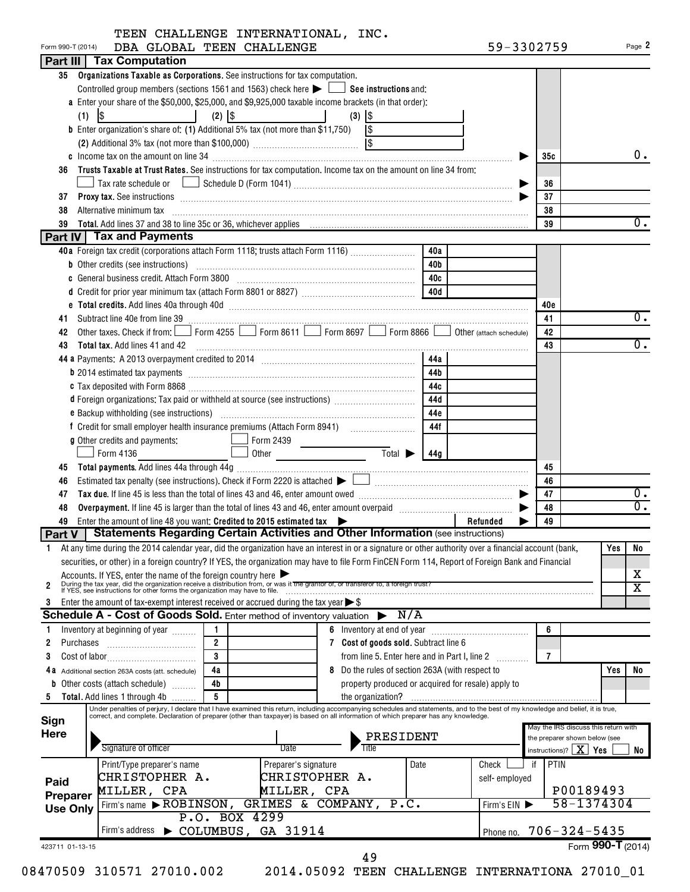|  | TEEN CHALLENGE INTERNATIONAL, INC. |  |
|--|------------------------------------|--|

| Form 990-T (2014)   | CITADUBNOB INIBRUAIIONAD,<br>DBA GLOBAL TEEN CHALLENGE                                                                                                                                                                                 |     | 59-3302759    |                                         |                                      | Page 2                |
|---------------------|----------------------------------------------------------------------------------------------------------------------------------------------------------------------------------------------------------------------------------------|-----|---------------|-----------------------------------------|--------------------------------------|-----------------------|
| Part III            | <b>Tax Computation</b>                                                                                                                                                                                                                 |     |               |                                         |                                      |                       |
| 35                  | Organizations Taxable as Corporations. See instructions for tax computation.                                                                                                                                                           |     |               |                                         |                                      |                       |
|                     | Controlled group members (sections 1561 and 1563) check here $\blacktriangleright$ $\Box$ See instructions and:                                                                                                                        |     |               |                                         |                                      |                       |
|                     | a Enter your share of the \$50,000, \$25,000, and \$9,925,000 taxable income brackets (in that order):                                                                                                                                 |     |               |                                         |                                      |                       |
|                     | \$<br>$(2)$ $ $ \$<br>$(3)$ $ $<br>(1)                                                                                                                                                                                                 |     |               |                                         |                                      |                       |
|                     | <b>b</b> Enter organization's share of: (1) Additional 5% tax (not more than \$11,750) $\vert$ \$                                                                                                                                      |     |               |                                         |                                      |                       |
|                     |                                                                                                                                                                                                                                        |     |               |                                         |                                      |                       |
|                     |                                                                                                                                                                                                                                        |     |               | 35c                                     |                                      | $0$ .                 |
| 36                  | Trusts Taxable at Trust Rates. See instructions for tax computation. Income tax on the amount on line 34 from:                                                                                                                         |     |               |                                         |                                      |                       |
|                     |                                                                                                                                                                                                                                        |     |               | 36                                      |                                      |                       |
| 37                  | <b>Proxy tax.</b> See instructions <b>constructions b</b>                                                                                                                                                                              |     |               | 37                                      |                                      |                       |
| 38                  | Alternative minimum tax                                                                                                                                                                                                                |     |               | 38                                      |                                      |                       |
| 39                  | Total. Add lines 37 and 38 to line 35c or 36, whichever applies [11] matter than the state of the state of the state of the state of the state of the state of the state of the state of the state of the state of the state o         |     |               | 39                                      |                                      | $\overline{0}$ .      |
|                     | <b>Part IV Tax and Payments</b>                                                                                                                                                                                                        |     |               |                                         |                                      |                       |
|                     | 40a Foreign tax credit (corporations attach Form 1118; trusts attach Form 1116)                                                                                                                                                        | 40a |               |                                         |                                      |                       |
|                     | <b>b</b> Other credits (see instructions)                                                                                                                                                                                              | 40b |               |                                         |                                      |                       |
| C                   |                                                                                                                                                                                                                                        | 40c |               |                                         |                                      |                       |
|                     |                                                                                                                                                                                                                                        |     |               |                                         |                                      |                       |
|                     |                                                                                                                                                                                                                                        |     |               | 40e                                     |                                      |                       |
| 41                  | Subtract line 40e from line 39                                                                                                                                                                                                         |     |               | 41                                      |                                      | $\overline{0}$ .      |
| 42                  | Other taxes. Check if from: Form 4255 Form 8611 Form 8697 Form 8866 Obther (attach schedule)                                                                                                                                           |     |               | 42                                      |                                      |                       |
| 43                  | <b>Total tax.</b> Add lines 41 and 42                                                                                                                                                                                                  |     |               | 43                                      |                                      | $\overline{0}$ .      |
|                     |                                                                                                                                                                                                                                        | 44a |               |                                         |                                      |                       |
|                     |                                                                                                                                                                                                                                        | 44b |               |                                         |                                      |                       |
|                     |                                                                                                                                                                                                                                        | 44c |               |                                         |                                      |                       |
|                     | d Foreign organizations: Tax paid or withheld at source (see instructions) [                                                                                                                                                           | 44d |               |                                         |                                      |                       |
|                     |                                                                                                                                                                                                                                        | 44e |               |                                         |                                      |                       |
|                     |                                                                                                                                                                                                                                        | 44f |               |                                         |                                      |                       |
|                     | g Other credits and payments:<br>Form 2439                                                                                                                                                                                             |     |               |                                         |                                      |                       |
|                     | $\overline{\mathrm{Total}}$<br>Form 4136<br>$\Box$                                                                                                                                                                                     | 44g |               |                                         |                                      |                       |
|                     |                                                                                                                                                                                                                                        |     |               | 45                                      |                                      |                       |
| 45                  |                                                                                                                                                                                                                                        |     |               | 46                                      |                                      |                       |
| 46                  | Estimated tax penalty (see instructions). Check if Form 2220 is attached $\blacktriangleright$                                                                                                                                         |     |               | 47                                      |                                      | $0$ .                 |
| 47                  |                                                                                                                                                                                                                                        |     |               | 48                                      |                                      | $\overline{0}$ .      |
| 48                  | Enter the amount of line 48 you want: Credited to 2015 estimated tax                                                                                                                                                                   |     |               | 49                                      |                                      |                       |
| 49<br><b>Part V</b> | <b>Statements Regarding Certain Activities and Other Information (see instructions)</b>                                                                                                                                                |     | Refunded      |                                         |                                      |                       |
|                     |                                                                                                                                                                                                                                        |     |               |                                         |                                      |                       |
| 1.                  | At any time during the 2014 calendar year, did the organization have an interest in or a signature or other authority over a financial account (bank,                                                                                  |     |               |                                         | Yes                                  | No                    |
|                     | securities, or other) in a foreign country? If YES, the organization may have to file Form FinCEN Form 114, Report of Foreign Bank and Financial                                                                                       |     |               |                                         |                                      | х                     |
| $\overline{2}$      | Accounts. If YES, enter the name of the foreign country here<br>During the tax year, did the organization receive a distribution from, or was it the grantor of, or transferor to, a foreign trust?<br>If YES, see instructions for    |     |               |                                         |                                      | $\overline{\text{x}}$ |
|                     |                                                                                                                                                                                                                                        |     |               |                                         |                                      |                       |
| 3                   | Enter the amount of tax-exempt interest received or accrued during the tax year $\triangleright$ \$<br>N/A<br>Schedule A - Cost of Goods Sold. Enter method of inventory valuation<br>▶                                                |     |               |                                         |                                      |                       |
|                     |                                                                                                                                                                                                                                        |     |               | 6                                       |                                      |                       |
| 1                   | Inventory at beginning of year<br>6 Inventory at end of year<br>$\overline{2}$                                                                                                                                                         |     |               |                                         |                                      |                       |
| 2<br>Purchases      | 7 Cost of goods sold. Subtract line 6<br>$\overline{3}$                                                                                                                                                                                |     |               |                                         |                                      |                       |
| 3                   | from line 5. Enter here and in Part I, line 2                                                                                                                                                                                          |     |               | $\overline{7}$                          |                                      |                       |
| 4a                  | 4a<br>8 Do the rules of section 263A (with respect to<br>Additional section 263A costs (att. schedule)                                                                                                                                 |     |               |                                         | Yes                                  | No                    |
| b                   | 4b<br>property produced or acquired for resale) apply to<br>Other costs (attach schedule)<br>5                                                                                                                                         |     |               |                                         |                                      |                       |
| 5                   | Total. Add lines 1 through 4b<br>the organization?<br>Under penalties of perjury, I declare that I have examined this return, including accompanying schedules and statements, and to the best of my knowledge and belief, it is true, |     |               |                                         |                                      |                       |
| Sign                | correct, and complete. Declaration of preparer (other than taxpayer) is based on all information of which preparer has any knowledge.                                                                                                  |     |               |                                         |                                      |                       |
| Here                |                                                                                                                                                                                                                                        |     |               |                                         | May the IRS discuss this return with |                       |
|                     | PRESIDENT<br>Signature of officer<br>Title<br>Date                                                                                                                                                                                     |     |               |                                         | the preparer shown below (see        |                       |
|                     |                                                                                                                                                                                                                                        |     |               | instructions)? $\boxed{\mathbf{X}}$ Yes |                                      | No                    |
|                     | Print/Type preparer's name<br>Preparer's signature<br>Date<br>CHRISTOPHER A.                                                                                                                                                           |     | Check         | <b>PTIN</b><br>if                       |                                      |                       |
| Paid                | CHRISTOPHER A.                                                                                                                                                                                                                         |     | self-employed |                                         |                                      |                       |
| Preparer            | MILLER, CPA<br>MILLER, CPA                                                                                                                                                                                                             |     |               |                                         | P00189493<br>58-1374304              |                       |
| <b>Use Only</b>     | GRIMES & COMPANY,<br>Firm's name ROBINSON,<br>P.C.<br>P.O. BOX 4299                                                                                                                                                                    |     | Firm's EIN    |                                         |                                      |                       |
|                     | Firm's address > COLUMBUS, GA 31914                                                                                                                                                                                                    |     |               |                                         | Phone no. 706-324-5435               |                       |
|                     |                                                                                                                                                                                                                                        |     |               |                                         |                                      |                       |
| 423711 01-13-15     | 49                                                                                                                                                                                                                                     |     |               |                                         | Form 990-T (2014)                    |                       |
|                     |                                                                                                                                                                                                                                        |     |               |                                         |                                      |                       |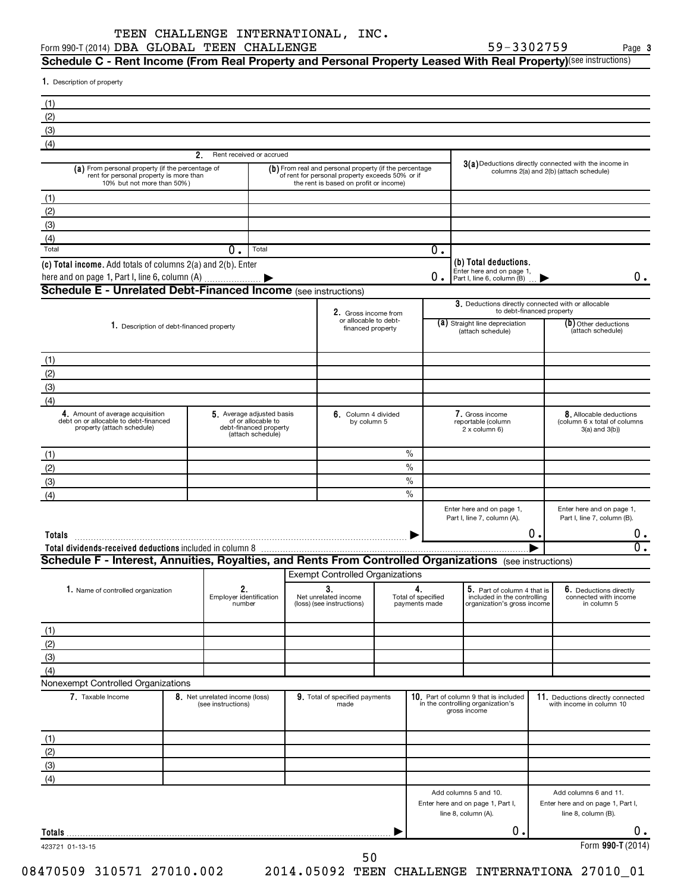**3**

1. Description of property Rent received or accrued  $3(a)$  Deductions directly connected with the income in columns  $2(a)$  and  $2(b)$  (attach schedule) (a) From personal property (if the percentage of (b) From real and personal property (if the percentage rent for personal property exceeds 50% or if columns 2(a) and 2(b) (attach schedule) rent for personal property is more than 10% but not more than 50%) the rent is based on profit or income) Total **Definition in the U** Total **Definition in the U** Total  $\mathbf{0}$  .  $\begin{bmatrix}$  Enter here and on page 1,<br>  $\mathbf{0}$  .  $\end{bmatrix}$   $\begin{bmatrix}$  Part I, line 6, column (B)  $\ldots$  Deductions directly connected with or allocable **3.** to debt-financed property or allocable to debt-Description of debt-financed property **Straight line depreciation** (attach schedule) Description of debt-financed property financed property (**a**) Straight line depreciation (**b**) Other deduction (attach schedule) (attach  $(b)$  Other deductions (attach schedule) Amount of average acquisition debt on or allocable to debt-financed property (attach schedule) 5. Average adjusted basis of or allocable to debt-financed property (attach schedule) 6. Column 4 divided by column 5 Gross income reportable (column 2 x column 6) 8. Allocable deductions (column 6 x total of columns 3(a) and 3(b)) Enter here and on page 1, Part I, line 7, column (A). Enter here and on page 1, Part I, line 7, column (B). Name of controlled organization **Part of Column 4 that is U.** Deductions directly **Part of Column 4 that is U. Deductions directly**<br> **Employer identification** Net unrelated income Total of specified included in the control Employer identification number Net unrelated income (loss) (see instructions) Total of specified payments made organization's gross income connected with income in column 5 7. Taxable Income **8.** Net unrelated income (loss) 9. Total of specified payments 10. Part of column 9 that is included 11. Deductions directly connected (see instructions) with income in column 10 Add columns 5 and 10. Enter here and on page 1, Part I, Add columns 6 and 11. Enter here and on page 1, Part I, **2. (a)** From personal property (if the percentage of **(b) Total deductions. (c) Total income.** Add totals of columns 2(a) and 2(b). Enter **2. 1.** Description of debt-financed property **1.** Description of debt-financed property **4.** Amount of average acquisition **5.** Average adjusted basis **6.** Column 4 divided 7. Gross income 8. **Totals Total dividends-received deductions** included in column 8 | **1.** Name of controlled organization  $\begin{vmatrix} 2. & 1 \end{vmatrix}$  **3. 4. 5.** Part of column 4 that is **6.** Deductions directly Form 990-T (2014)  $\bf{DBA}$   $\bf{GLOBAL}$   $\bf{TER}$   $\bf{CHALLENGE}$   $\bf{S9-3302759}$   $\bf{Page}$  ${\bf S}$ chedule C - Rent Income (From Real Property and Personal Property Leased With Real Property)<sup>(see instructions)</sup> here and on page 1, Part I, line 6, column  $(A)$   $\qquad \qquad \bullet$   $\qquad \qquad$   $\qquad \bullet$  $\frac{0}{n}$  $\frac{0}{0}$ %  $\frac{0}{0}$ ~~~~~~~~~~~~~~~~~~~~~~~~~~~~~~~~~~~~~~~~~ | (1) (2) (3) (4) (1) (2) (3) (4) **Schedule E - Unrelated Debt-Financed Income** (see instructions) (1) (2) (3) (4) (1) (2) (3) (4) **Schedule F - Interest, Annuities, Royalties, and Rents From Controlled Organizations** (see instructions) Exempt Controlled Organizations (1) (2) (3) (4) Nonexempt Controlled Organizations (1) (2) (3) (4) TEEN CHALLENGE INTERNATIONAL, INC.  $0.$  Total  $0.$  $\begin{array}{ccc} 0 \end{array}$  .

423721 01-13-15

**Totals**

50

 $\blacktriangleright$ 

line 8, column (A).

**990-T**  Form (2014)

0.

line 8, column (B).

 $\begin{array}{ccc} 0 \end{array}$  .  $\begin{array}{ccc} 0 \end{array}$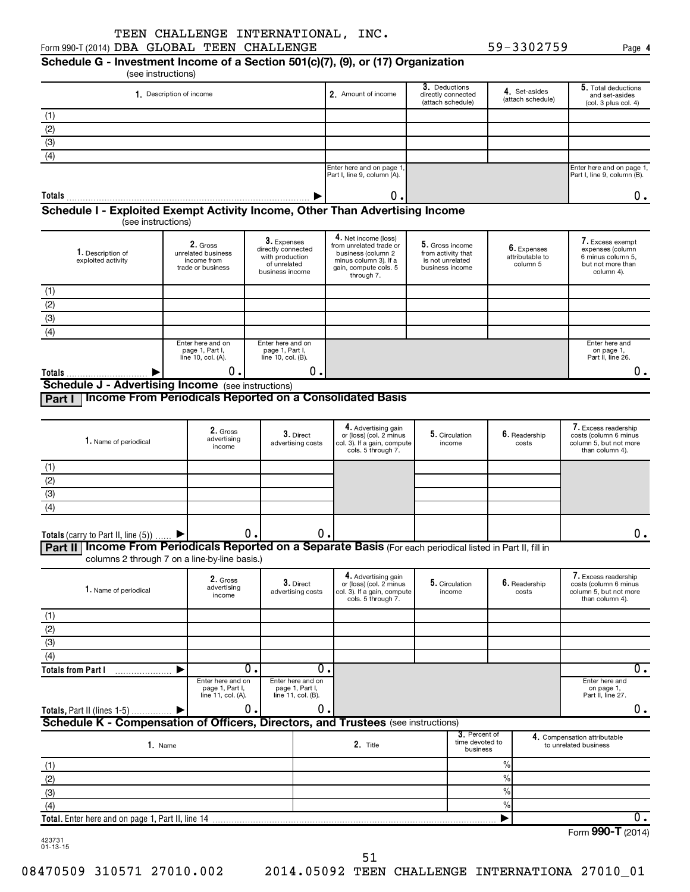| Form 990-T (2014) DBA GLOBAL TEEN CHALLENGE                                                                    |                                                                    |                                                                                         |                                                                                                                                       |                                                                                     | 59-3302759                                 | Page 4                                                                                       |
|----------------------------------------------------------------------------------------------------------------|--------------------------------------------------------------------|-----------------------------------------------------------------------------------------|---------------------------------------------------------------------------------------------------------------------------------------|-------------------------------------------------------------------------------------|--------------------------------------------|----------------------------------------------------------------------------------------------|
| Schedule G - Investment Income of a Section 501(c)(7), (9), or (17) Organization                               |                                                                    |                                                                                         |                                                                                                                                       |                                                                                     |                                            |                                                                                              |
|                                                                                                                | (see instructions)<br>1. Description of income                     |                                                                                         | 2. Amount of income                                                                                                                   | 3. Deductions<br>directly connected<br>(attach schedule)                            | 4. Set-asides<br>(attach schedule)         | 5. Total deductions<br>and set-asides<br>(col. 3 plus col. 4)                                |
| (1)                                                                                                            |                                                                    |                                                                                         |                                                                                                                                       |                                                                                     |                                            |                                                                                              |
| (2)                                                                                                            |                                                                    |                                                                                         |                                                                                                                                       |                                                                                     |                                            |                                                                                              |
| $\overline{3}$                                                                                                 |                                                                    |                                                                                         |                                                                                                                                       |                                                                                     |                                            |                                                                                              |
| (4)                                                                                                            |                                                                    |                                                                                         |                                                                                                                                       |                                                                                     |                                            |                                                                                              |
|                                                                                                                |                                                                    |                                                                                         | Enter here and on page 1<br>Part I, line 9, column (A).                                                                               |                                                                                     |                                            | Enter here and on page 1,<br>Part I, line 9, column (B).                                     |
| <b>Totals</b>                                                                                                  |                                                                    |                                                                                         | О.                                                                                                                                    |                                                                                     |                                            | 0.                                                                                           |
| Schedule I - Exploited Exempt Activity Income, Other Than Advertising Income                                   | (see instructions)                                                 |                                                                                         |                                                                                                                                       |                                                                                     |                                            |                                                                                              |
| 1. Description of<br>exploited activity                                                                        | 2. Gross<br>unrelated business<br>income from<br>trade or business | 3. Expenses<br>directly connected<br>with production<br>of unrelated<br>business income | 4. Net income (loss)<br>from unrelated trade or<br>business (column 2<br>minus column 3). If a<br>gain, compute cols. 5<br>through 7. | <b>b.</b> Gross income<br>from activity that<br>is not unrelated<br>business income | 6. Expenses<br>attributable to<br>column 5 | 7. Excess exempt<br>expenses (column<br>6 minus column 5.<br>but not more than<br>column 4). |
| (1)                                                                                                            |                                                                    |                                                                                         |                                                                                                                                       |                                                                                     |                                            |                                                                                              |
| $\overline{(2)}$                                                                                               |                                                                    |                                                                                         |                                                                                                                                       |                                                                                     |                                            |                                                                                              |
| $\overline{3}$                                                                                                 |                                                                    |                                                                                         |                                                                                                                                       |                                                                                     |                                            |                                                                                              |
| (4)                                                                                                            |                                                                    |                                                                                         |                                                                                                                                       |                                                                                     |                                            |                                                                                              |
|                                                                                                                | Enter here and on<br>page 1, Part I,<br>line 10, col. (A).         | Enter here and on<br>page 1, Part I,<br>line 10, col. (B).                              |                                                                                                                                       |                                                                                     |                                            | Enter here and<br>on page 1,<br>Part II, line 26.                                            |
|                                                                                                                | ο.                                                                 | 0.                                                                                      |                                                                                                                                       |                                                                                     |                                            | Ο.                                                                                           |
| <b>Schedule J - Advertising Income</b> (see instructions)                                                      |                                                                    |                                                                                         |                                                                                                                                       |                                                                                     |                                            |                                                                                              |
| Part I                                                                                                         | <b>Income From Periodicals Reported on a Consolidated Basis</b>    |                                                                                         |                                                                                                                                       |                                                                                     |                                            |                                                                                              |
| 1. Name of periodical                                                                                          | 2. Gross<br>advertising<br>income                                  | 3. Direct<br>advertising costs                                                          | 4. Advertising gain<br>or (loss) (col. 2 minus<br>col. 3). If a gain, compute<br>cols. 5 through 7.                                   | 5. Circulation<br>income                                                            | 6. Readership<br>costs                     | 7. Excess readership<br>costs (column 6 minus<br>column 5, but not more<br>than column 4).   |
| (1)                                                                                                            |                                                                    |                                                                                         |                                                                                                                                       |                                                                                     |                                            |                                                                                              |
| $\overline{(2)}$                                                                                               |                                                                    |                                                                                         |                                                                                                                                       |                                                                                     |                                            |                                                                                              |
| $\overline{3}$                                                                                                 |                                                                    |                                                                                         |                                                                                                                                       |                                                                                     |                                            |                                                                                              |
| (4)                                                                                                            |                                                                    |                                                                                         |                                                                                                                                       |                                                                                     |                                            |                                                                                              |
| <b>Totals</b> (carry to Part II, line $(5)$ )                                                                  |                                                                    | 0.                                                                                      | $\mathbf 0$ .                                                                                                                         |                                                                                     |                                            | о.                                                                                           |
| Part II   Income From Periodicals Reported on a Separate Basis (For each periodical listed in Part II, fill in | columns 2 through 7 on a line-by-line basis.)                      |                                                                                         |                                                                                                                                       |                                                                                     |                                            |                                                                                              |
| 1. Name of periodical                                                                                          | 2. Gross<br>advertising                                            | 3. Direct<br>advertising costs                                                          | 4. Advertising gain<br>or (loss) (col. 2 minus<br>col 3) If a gain compute                                                            | 5. Circulation<br>income                                                            | 6. Readership<br>costs                     | 7. Excess readership<br>costs (column 6 minus<br>column 5 but not more                       |

| 1. Name of periodical                                    | 2. Gross<br>3. Direct<br>advertising<br>advertising costs<br>income               |                                                            |          | <b>T.</b> Advertising gain<br>or (loss) (col. 2 minus<br>col. 3). If a gain, compute<br>cols. 5 through 7. | 5. Circulation<br>income |                                              | 6. Readership<br>costs |                                                       | <b>I.</b> Excess readership<br>costs (column 6 minus<br>column 5, but not more<br>than column 4). |    |
|----------------------------------------------------------|-----------------------------------------------------------------------------------|------------------------------------------------------------|----------|------------------------------------------------------------------------------------------------------------|--------------------------|----------------------------------------------|------------------------|-------------------------------------------------------|---------------------------------------------------------------------------------------------------|----|
| (1)                                                      |                                                                                   |                                                            |          |                                                                                                            |                          |                                              |                        |                                                       |                                                                                                   |    |
| (2)                                                      |                                                                                   |                                                            |          |                                                                                                            |                          |                                              |                        |                                                       |                                                                                                   |    |
| (3)                                                      |                                                                                   |                                                            |          |                                                                                                            |                          |                                              |                        |                                                       |                                                                                                   |    |
| (4)                                                      |                                                                                   |                                                            |          |                                                                                                            |                          |                                              |                        |                                                       |                                                                                                   |    |
| $\blacktriangleright$<br><b>Totals from Part I</b>       | 0.                                                                                |                                                            | 0.       |                                                                                                            |                          |                                              |                        |                                                       |                                                                                                   | 0. |
|                                                          | Enter here and on<br>page 1, Part I,<br>line 11, col. (A).                        | Enter here and on<br>page 1, Part I,<br>line 11, col. (B). |          |                                                                                                            |                          |                                              |                        |                                                       | Enter here and<br>on page 1,<br>Part II, line 27.                                                 |    |
| Totals, Part II (lines $1-5$ )                           | о.                                                                                |                                                            | 0.       |                                                                                                            |                          |                                              |                        |                                                       |                                                                                                   | 0. |
|                                                          | Schedule K - Compensation of Officers, Directors, and Trustees (see instructions) |                                                            |          |                                                                                                            |                          |                                              |                        |                                                       |                                                                                                   |    |
| 1. Name                                                  |                                                                                   |                                                            | 2. Title |                                                                                                            |                          | 3. Percent of<br>time devoted to<br>business |                        | 4. Compensation attributable<br>to unrelated business |                                                                                                   |    |
| (1)                                                      |                                                                                   |                                                            |          |                                                                                                            |                          |                                              | $\frac{9}{6}$          |                                                       |                                                                                                   |    |
| (2)                                                      |                                                                                   |                                                            |          |                                                                                                            |                          |                                              | $\frac{0}{0}$          |                                                       |                                                                                                   |    |
| (3)                                                      |                                                                                   |                                                            |          |                                                                                                            |                          |                                              | $\frac{0}{0}$          |                                                       |                                                                                                   |    |
| (4)                                                      |                                                                                   |                                                            |          |                                                                                                            |                          |                                              | $\%$                   |                                                       |                                                                                                   |    |
| <b>Total.</b> Enter here and on page 1, Part II, line 14 |                                                                                   |                                                            |          |                                                                                                            |                          |                                              |                        |                                                       |                                                                                                   | 0. |
|                                                          |                                                                                   |                                                            |          |                                                                                                            |                          |                                              |                        |                                                       | Form 990-T (2014)                                                                                 |    |

423731 01-13-15

51